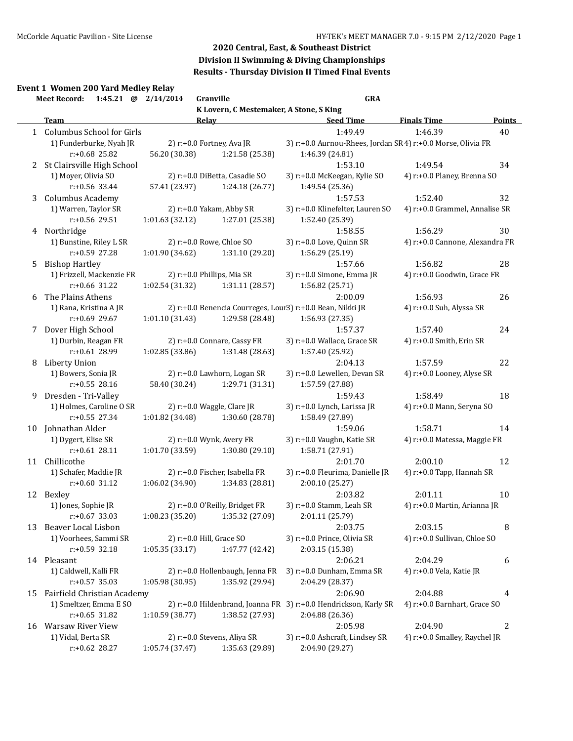# **Division II Swimming & Diving Championships**

# **Results - Thursday Division II Timed Final Events**

### **Event 1 Women 200 Yard Medley Relay**

|    | 1:45.21 @ 2/14/2014<br><b>Meet Record:</b> |                 | Granville                               | <b>GRA</b>                                                       |                                 |        |
|----|--------------------------------------------|-----------------|-----------------------------------------|------------------------------------------------------------------|---------------------------------|--------|
|    |                                            |                 | K Lovern, C Mestemaker, A Stone, S King |                                                                  |                                 |        |
|    | <b>Team</b>                                |                 | Relay                                   | <b>Seed Time</b>                                                 | <b>Finals Time</b>              | Points |
|    | 1 Columbus School for Girls                |                 |                                         | 1:49.49                                                          | 1:46.39                         | 40     |
|    | 1) Funderburke, Nyah JR                    |                 | 2) r:+0.0 Fortney, Ava JR               | 3) r:+0.0 Aurnou-Rhees, Jordan SR4) r:+0.0 Morse, Olivia FR      |                                 |        |
|    | r:+0.68 25.82                              | 56.20 (30.38)   | 1:21.58 (25.38)                         | 1:46.39 (24.81)                                                  |                                 |        |
|    | 2 St Clairsville High School               |                 |                                         | 1:53.10                                                          | 1:49.54                         | 34     |
|    | 1) Moyer, Olivia SO                        |                 | 2) r:+0.0 DiBetta, Casadie SO           | 3) r:+0.0 McKeegan, Kylie SO                                     | 4) r:+0.0 Planey, Brenna SO     |        |
|    | r:+0.56 33.44                              | 57.41 (23.97)   | 1:24.18 (26.77)                         | 1:49.54 (25.36)                                                  |                                 |        |
|    | 3 Columbus Academy                         |                 |                                         | 1:57.53                                                          | 1:52.40                         | 32     |
|    | 1) Warren, Taylor SR                       |                 | 2) r:+0.0 Yakam, Abby SR                | 3) r:+0.0 Klinefelter, Lauren SO                                 | 4) r:+0.0 Grammel, Annalise SR  |        |
|    | r:+0.56 29.51                              | 1:01.63 (32.12) | 1:27.01 (25.38)                         | 1:52.40 (25.39)                                                  |                                 |        |
|    | 4 Northridge                               |                 |                                         | 1:58.55                                                          | 1:56.29                         | 30     |
|    | 1) Bunstine, Riley L SR                    |                 | 2) r:+0.0 Rowe, Chloe SO                | 3) r:+0.0 Love, Quinn SR                                         | 4) r:+0.0 Cannone, Alexandra FR |        |
|    | r:+0.59 27.28                              | 1:01.90 (34.62) | 1:31.10 (29.20)                         | 1:56.29 (25.19)                                                  |                                 |        |
| 5. | <b>Bishop Hartley</b>                      |                 |                                         | 1:57.66                                                          | 1:56.82                         | 28     |
|    | 1) Frizzell, Mackenzie FR                  |                 | 2) r:+0.0 Phillips, Mia SR              | 3) r:+0.0 Simone, Emma JR                                        | 4) r:+0.0 Goodwin, Grace FR     |        |
|    | $r: +0.66$ 31.22                           | 1:02.54 (31.32) | 1:31.11 (28.57)                         | 1:56.82 (25.71)                                                  |                                 |        |
| 6  | The Plains Athens                          |                 |                                         | 2:00.09                                                          | 1:56.93                         | 26     |
|    | 1) Rana, Kristina A JR                     |                 |                                         | 2) r:+0.0 Benencia Courreges, Lour3) r:+0.0 Bean, Nikki JR       | 4) r:+0.0 Suh, Alyssa SR        |        |
|    | r:+0.69 29.67                              | 1:01.10 (31.43) | 1:29.58 (28.48)                         | 1:56.93 (27.35)                                                  |                                 |        |
| 7  | Dover High School                          |                 |                                         | 1:57.37                                                          | 1:57.40                         | 24     |
|    | 1) Durbin, Reagan FR                       |                 | 2) r:+0.0 Connare, Cassy FR             | 3) r:+0.0 Wallace, Grace SR                                      | 4) r:+0.0 Smith, Erin SR        |        |
|    | r:+0.61 28.99                              | 1:02.85 (33.86) | 1:31.48 (28.63)                         | 1:57.40 (25.92)                                                  |                                 |        |
| 8  | Liberty Union                              |                 |                                         | 2:04.13                                                          | 1:57.59                         | 22     |
|    | 1) Bowers, Sonia JR                        |                 | 2) r:+0.0 Lawhorn, Logan SR             | 3) r:+0.0 Lewellen, Devan SR                                     | 4) r:+0.0 Looney, Alyse SR      |        |
|    | $r: +0.55$ 28.16                           | 58.40 (30.24)   | 1:29.71 (31.31)                         | 1:57.59 (27.88)                                                  |                                 |        |
|    | 9 Dresden - Tri-Valley                     |                 |                                         | 1:59.43                                                          | 1:58.49                         | 18     |
|    | 1) Holmes, Caroline O SR                   |                 | 2) r:+0.0 Waggle, Clare JR              | 3) r:+0.0 Lynch, Larissa JR                                      | 4) r:+0.0 Mann, Seryna SO       |        |
|    | $r: +0.55$ 27.34                           | 1:01.82 (34.48) | 1:30.60 (28.78)                         | 1:58.49 (27.89)                                                  |                                 |        |
| 10 | Johnathan Alder                            |                 |                                         | 1:59.06                                                          | 1:58.71                         | 14     |
|    | 1) Dygert, Elise SR                        |                 | 2) r:+0.0 Wynk, Avery FR                | 3) r:+0.0 Vaughn, Katie SR                                       | 4) r:+0.0 Matessa, Maggie FR    |        |
|    | $r: +0.61$ 28.11                           | 1:01.70 (33.59) | 1:30.80 (29.10)                         | 1:58.71 (27.91)                                                  |                                 |        |
| 11 | Chillicothe                                |                 |                                         | 2:01.70                                                          | 2:00.10                         | 12     |
|    | 1) Schafer, Maddie JR                      |                 | 2) r:+0.0 Fischer, Isabella FR          | 3) r:+0.0 Fleurima, Danielle JR                                  | 4) r:+0.0 Tapp, Hannah SR       |        |
|    | $r: +0.60$ 31.12                           | 1:06.02 (34.90) | 1:34.83 (28.81)                         | 2:00.10 (25.27)                                                  |                                 |        |
|    | 12 Bexley                                  |                 |                                         | 2:03.82                                                          | 2:01.11                         | 10     |
|    | 1) Jones, Sophie JR                        |                 | 2) r:+0.0 O'Reilly, Bridget FR          | 3) r:+0.0 Stamm, Leah SR                                         | 4) r:+0.0 Martin, Arianna JR    |        |
|    | $r: +0.67$ 33.03                           | 1:08.23 (35.20) | 1:35.32 (27.09)                         | 2:01.11 (25.79)                                                  |                                 |        |
| 13 | Beaver Local Lisbon                        |                 |                                         | 2:03.75                                                          | 2:03.15                         | 8      |
|    | 1) Voorhees, Sammi SR                      |                 | 2) r:+0.0 Hill, Grace SO                | 3) r:+0.0 Prince, Olivia SR                                      | 4) r:+0.0 Sullivan, Chloe SO    |        |
|    | $r: +0.59$ 32.18                           | 1:05.35(33.17)  | 1:47.77 (42.42)                         | 2:03.15 (15.38)                                                  |                                 |        |
|    | 14 Pleasant                                |                 |                                         | 2:06.21                                                          | 2:04.29                         | 6      |
|    | 1) Caldwell, Kalli FR                      |                 | 2) r:+0.0 Hollenbaugh, Jenna FR         | 3) r:+0.0 Dunham, Emma SR                                        | 4) r:+0.0 Vela, Katie JR        |        |
|    | $r: +0.57$ 35.03                           | 1:05.98 (30.95) | 1:35.92 (29.94)                         | 2:04.29 (28.37)                                                  |                                 |        |
| 15 | Fairfield Christian Academy                |                 |                                         | 2:06.90                                                          | 2:04.88                         | 4      |
|    | 1) Smeltzer, Emma E SO                     |                 |                                         | 2) r:+0.0 Hildenbrand, Joanna FR 3) r:+0.0 Hendrickson, Karly SR | 4) r:+0.0 Barnhart, Grace SO    |        |
|    | $r: +0.65$ 31.82                           | 1:10.59 (38.77) | 1:38.52 (27.93)                         | 2:04.88 (26.36)                                                  |                                 |        |
| 16 | <b>Warsaw River View</b>                   |                 |                                         | 2:05.98                                                          | 2:04.90                         | 2      |
|    | 1) Vidal, Berta SR                         |                 | 2) r:+0.0 Stevens, Aliya SR             | 3) r:+0.0 Ashcraft, Lindsey SR                                   | 4) r:+0.0 Smalley, Raychel JR   |        |
|    | r:+0.62 28.27                              | 1:05.74 (37.47) | 1:35.63 (29.89)                         | 2:04.90 (29.27)                                                  |                                 |        |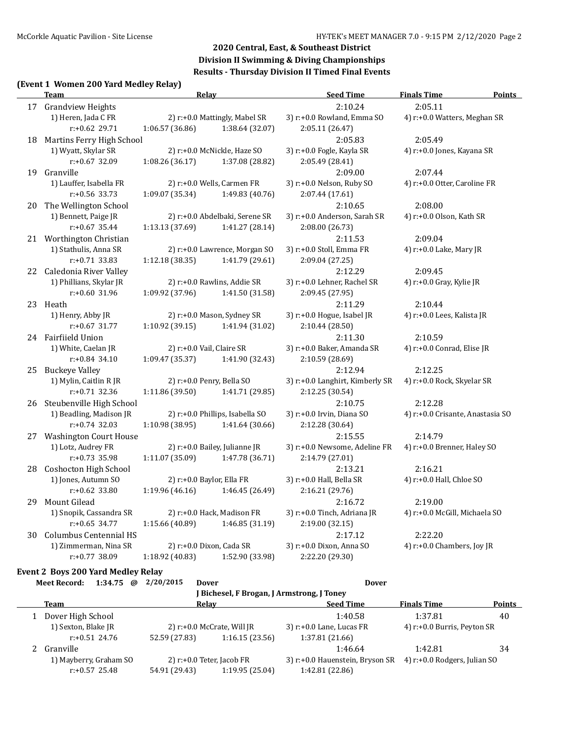#### **(Event 1 Women 200 Yard Medley Relay)**

| 2:10.24<br>2:05.11<br>17 Grandview Heights<br>1) Heren, Jada C FR<br>3) r:+0.0 Rowland, Emma SO<br>4) r:+0.0 Watters, Meghan SR<br>2) r:+0.0 Mattingly, Mabel SR<br>$r: +0.62$ 29.71<br>1:38.64 (32.07)<br>2:05.11 (26.47)<br>1:06.57 (36.86)<br>2:05.83<br>Martins Ferry High School<br>2:05.49<br>18<br>1) Wyatt, Skylar SR<br>2) r:+0.0 McNickle, Haze SO<br>3) r:+0.0 Fogle, Kayla SR<br>4) r:+0.0 Jones, Kayana SR<br>r:+0.67 32.09<br>1:08.26 (36.17)<br>1:37.08 (28.82)<br>2:05.49 (28.41)<br>Granville<br>2:09.00<br>19<br>2:07.44<br>3) r:+0.0 Nelson, Ruby SO<br>1) Lauffer, Isabella FR<br>2) r:+0.0 Wells, Carmen FR<br>4) r:+0.0 Otter, Caroline FR<br>1:09.07 (35.34)<br>$r: +0.56$ 33.73<br>1:49.83 (40.76)<br>2:07.44 (17.61)<br>The Wellington School<br>2:10.65<br>2:08.00<br>20<br>1) Bennett, Paige JR<br>2) r:+0.0 Abdelbaki, Serene SR<br>3) r:+0.0 Anderson, Sarah SR<br>4) r:+0.0 Olson, Kath SR<br>$r: +0.67$ 35.44<br>1:13.13 (37.69)<br>1:41.27 (28.14)<br>2:08.00 (26.73)<br>2:11.53<br>2:09.04<br>21 Worthington Christian<br>1) Stathulis, Anna SR<br>2) r:+0.0 Lawrence, Morgan SO<br>3) r:+0.0 Stoll, Emma FR<br>4) r:+0.0 Lake, Mary JR |  |
|--------------------------------------------------------------------------------------------------------------------------------------------------------------------------------------------------------------------------------------------------------------------------------------------------------------------------------------------------------------------------------------------------------------------------------------------------------------------------------------------------------------------------------------------------------------------------------------------------------------------------------------------------------------------------------------------------------------------------------------------------------------------------------------------------------------------------------------------------------------------------------------------------------------------------------------------------------------------------------------------------------------------------------------------------------------------------------------------------------------------------------------------------------------------------|--|
|                                                                                                                                                                                                                                                                                                                                                                                                                                                                                                                                                                                                                                                                                                                                                                                                                                                                                                                                                                                                                                                                                                                                                                          |  |
|                                                                                                                                                                                                                                                                                                                                                                                                                                                                                                                                                                                                                                                                                                                                                                                                                                                                                                                                                                                                                                                                                                                                                                          |  |
|                                                                                                                                                                                                                                                                                                                                                                                                                                                                                                                                                                                                                                                                                                                                                                                                                                                                                                                                                                                                                                                                                                                                                                          |  |
|                                                                                                                                                                                                                                                                                                                                                                                                                                                                                                                                                                                                                                                                                                                                                                                                                                                                                                                                                                                                                                                                                                                                                                          |  |
|                                                                                                                                                                                                                                                                                                                                                                                                                                                                                                                                                                                                                                                                                                                                                                                                                                                                                                                                                                                                                                                                                                                                                                          |  |
|                                                                                                                                                                                                                                                                                                                                                                                                                                                                                                                                                                                                                                                                                                                                                                                                                                                                                                                                                                                                                                                                                                                                                                          |  |
|                                                                                                                                                                                                                                                                                                                                                                                                                                                                                                                                                                                                                                                                                                                                                                                                                                                                                                                                                                                                                                                                                                                                                                          |  |
|                                                                                                                                                                                                                                                                                                                                                                                                                                                                                                                                                                                                                                                                                                                                                                                                                                                                                                                                                                                                                                                                                                                                                                          |  |
|                                                                                                                                                                                                                                                                                                                                                                                                                                                                                                                                                                                                                                                                                                                                                                                                                                                                                                                                                                                                                                                                                                                                                                          |  |
|                                                                                                                                                                                                                                                                                                                                                                                                                                                                                                                                                                                                                                                                                                                                                                                                                                                                                                                                                                                                                                                                                                                                                                          |  |
|                                                                                                                                                                                                                                                                                                                                                                                                                                                                                                                                                                                                                                                                                                                                                                                                                                                                                                                                                                                                                                                                                                                                                                          |  |
|                                                                                                                                                                                                                                                                                                                                                                                                                                                                                                                                                                                                                                                                                                                                                                                                                                                                                                                                                                                                                                                                                                                                                                          |  |
|                                                                                                                                                                                                                                                                                                                                                                                                                                                                                                                                                                                                                                                                                                                                                                                                                                                                                                                                                                                                                                                                                                                                                                          |  |
|                                                                                                                                                                                                                                                                                                                                                                                                                                                                                                                                                                                                                                                                                                                                                                                                                                                                                                                                                                                                                                                                                                                                                                          |  |
| $r: +0.71$ 33.83<br>1:41.79 (29.61)<br>1:12.18 (38.35)<br>2:09.04 (27.25)                                                                                                                                                                                                                                                                                                                                                                                                                                                                                                                                                                                                                                                                                                                                                                                                                                                                                                                                                                                                                                                                                                |  |
| 22 Caledonia River Valley<br>2:12.29<br>2:09.45                                                                                                                                                                                                                                                                                                                                                                                                                                                                                                                                                                                                                                                                                                                                                                                                                                                                                                                                                                                                                                                                                                                          |  |
| 2) r:+0.0 Rawlins, Addie SR<br>1) Phillians, Skylar JR<br>3) r:+0.0 Lehner, Rachel SR<br>4) r:+0.0 Gray, Kylie JR                                                                                                                                                                                                                                                                                                                                                                                                                                                                                                                                                                                                                                                                                                                                                                                                                                                                                                                                                                                                                                                        |  |
| $r: +0.60$ 31.96<br>1:09.92 (37.96)<br>1:41.50 (31.58)<br>2:09.45 (27.95)                                                                                                                                                                                                                                                                                                                                                                                                                                                                                                                                                                                                                                                                                                                                                                                                                                                                                                                                                                                                                                                                                                |  |
| 2:11.29<br>2:10.44<br>23<br>Heath                                                                                                                                                                                                                                                                                                                                                                                                                                                                                                                                                                                                                                                                                                                                                                                                                                                                                                                                                                                                                                                                                                                                        |  |
| 1) Henry, Abby JR<br>2) r:+0.0 Mason, Sydney SR<br>3) r:+0.0 Hogue, Isabel JR<br>4) r:+0.0 Lees, Kalista JR                                                                                                                                                                                                                                                                                                                                                                                                                                                                                                                                                                                                                                                                                                                                                                                                                                                                                                                                                                                                                                                              |  |
| 1:10.92 (39.15)<br>1:41.94 (31.02)<br>2:10.44 (28.50)<br>$r: +0.67$ 31.77                                                                                                                                                                                                                                                                                                                                                                                                                                                                                                                                                                                                                                                                                                                                                                                                                                                                                                                                                                                                                                                                                                |  |
| 24 Fairfiield Union<br>2:11.30<br>2:10.59                                                                                                                                                                                                                                                                                                                                                                                                                                                                                                                                                                                                                                                                                                                                                                                                                                                                                                                                                                                                                                                                                                                                |  |
| 3) r:+0.0 Baker, Amanda SR<br>4) r:+0.0 Conrad, Elise JR<br>1) White, Caelan JR<br>2) r:+0.0 Vail, Claire SR                                                                                                                                                                                                                                                                                                                                                                                                                                                                                                                                                                                                                                                                                                                                                                                                                                                                                                                                                                                                                                                             |  |
| r:+0.84 34.10<br>1:09.47 (35.37)<br>1:41.90 (32.43)<br>2:10.59 (28.69)                                                                                                                                                                                                                                                                                                                                                                                                                                                                                                                                                                                                                                                                                                                                                                                                                                                                                                                                                                                                                                                                                                   |  |
| <b>Buckeye Valley</b><br>2:12.94<br>2:12.25<br>25                                                                                                                                                                                                                                                                                                                                                                                                                                                                                                                                                                                                                                                                                                                                                                                                                                                                                                                                                                                                                                                                                                                        |  |
| 1) Mylin, Caitlin R JR<br>2) r:+0.0 Penry, Bella SO<br>3) r:+0.0 Langhirt, Kimberly SR<br>4) r:+0.0 Rock, Skyelar SR                                                                                                                                                                                                                                                                                                                                                                                                                                                                                                                                                                                                                                                                                                                                                                                                                                                                                                                                                                                                                                                     |  |
| $r: +0.71$ 32.36<br>1:11.86 (39.50)<br>1:41.71 (29.85)<br>2:12.25 (30.54)                                                                                                                                                                                                                                                                                                                                                                                                                                                                                                                                                                                                                                                                                                                                                                                                                                                                                                                                                                                                                                                                                                |  |
| 2:10.75<br>Steubenville High School<br>2:12.28<br>26                                                                                                                                                                                                                                                                                                                                                                                                                                                                                                                                                                                                                                                                                                                                                                                                                                                                                                                                                                                                                                                                                                                     |  |
| 1) Beadling, Madison JR<br>3) r:+0.0 Irvin, Diana SO<br>2) r:+0.0 Phillips, Isabella SO<br>4) r:+0.0 Crisante, Anastasia SO                                                                                                                                                                                                                                                                                                                                                                                                                                                                                                                                                                                                                                                                                                                                                                                                                                                                                                                                                                                                                                              |  |
| $r: +0.74$ 32.03<br>1:10.98 (38.95)<br>1:41.64 (30.66)<br>2:12.28 (30.64)                                                                                                                                                                                                                                                                                                                                                                                                                                                                                                                                                                                                                                                                                                                                                                                                                                                                                                                                                                                                                                                                                                |  |
| <b>Washington Court House</b><br>2:15.55<br>2:14.79<br>27                                                                                                                                                                                                                                                                                                                                                                                                                                                                                                                                                                                                                                                                                                                                                                                                                                                                                                                                                                                                                                                                                                                |  |
| 3) r:+0.0 Newsome, Adeline FR<br>4) r:+0.0 Brenner, Haley SO<br>1) Lotz, Audrey FR<br>2) r:+0.0 Bailey, Julianne JR                                                                                                                                                                                                                                                                                                                                                                                                                                                                                                                                                                                                                                                                                                                                                                                                                                                                                                                                                                                                                                                      |  |
| $r: +0.73$ 35.98<br>1:11.07 (35.09)<br>1:47.78 (36.71)<br>2:14.79 (27.01)                                                                                                                                                                                                                                                                                                                                                                                                                                                                                                                                                                                                                                                                                                                                                                                                                                                                                                                                                                                                                                                                                                |  |
| Coshocton High School<br>2:16.21<br>2:13.21<br>28                                                                                                                                                                                                                                                                                                                                                                                                                                                                                                                                                                                                                                                                                                                                                                                                                                                                                                                                                                                                                                                                                                                        |  |
| 1) Jones, Autumn SO<br>2) r:+0.0 Baylor, Ella FR<br>3) r:+0.0 Hall, Bella SR<br>4) r:+0.0 Hall, Chloe SO<br>$r: +0.62$ 33.80<br>1:19.96(46.16)                                                                                                                                                                                                                                                                                                                                                                                                                                                                                                                                                                                                                                                                                                                                                                                                                                                                                                                                                                                                                           |  |
| 1:46.45 (26.49)<br>2:16.21 (29.76)<br>2:16.72                                                                                                                                                                                                                                                                                                                                                                                                                                                                                                                                                                                                                                                                                                                                                                                                                                                                                                                                                                                                                                                                                                                            |  |
| 29<br>Mount Gilead<br>2:19.00                                                                                                                                                                                                                                                                                                                                                                                                                                                                                                                                                                                                                                                                                                                                                                                                                                                                                                                                                                                                                                                                                                                                            |  |
| 1) Snopik, Cassandra SR<br>2) r:+0.0 Hack, Madison FR<br>3) r:+0.0 Tinch, Adriana JR<br>4) r:+0.0 McGill, Michaela SO<br>$r: +0.65$ 34.77<br>1:46.85 (31.19)                                                                                                                                                                                                                                                                                                                                                                                                                                                                                                                                                                                                                                                                                                                                                                                                                                                                                                                                                                                                             |  |
| 1:15.66 (40.89)<br>2:19.00 (32.15)<br><b>Columbus Centennial HS</b><br>2:17.12<br>2:22.20                                                                                                                                                                                                                                                                                                                                                                                                                                                                                                                                                                                                                                                                                                                                                                                                                                                                                                                                                                                                                                                                                |  |
| 30<br>3) r:+0.0 Dixon, Anna SO<br>4) r:+0.0 Chambers, Joy JR<br>1) Zimmerman, Nina SR<br>2) r:+0.0 Dixon, Cada SR                                                                                                                                                                                                                                                                                                                                                                                                                                                                                                                                                                                                                                                                                                                                                                                                                                                                                                                                                                                                                                                        |  |
| r:+0.77 38.09<br>1:18.92 (40.83)<br>1:52.90 (33.98)<br>2:22.20 (29.30)                                                                                                                                                                                                                                                                                                                                                                                                                                                                                                                                                                                                                                                                                                                                                                                                                                                                                                                                                                                                                                                                                                   |  |

#### **Event 2 Boys 200 Yard Medley Relay**

**Meet Record: 1:34.75 @ 2/20/2015 Dover Dover J Bichesel, F Brogan, J Armstrong, J Toney Team Relay Seed Time Finals Time Points** 1:40.58 1:37.81 1:40.58 1:40.58 1:40.58 1:40.58 1:37.81 1:40.58 1:37.81 1:40.58 1:37.81 1:40.58 1:37.81 1:40.58 1:37.81 1:40 1) Sexton, Blake JR 2) r:+0.0 McCrate, Will JR 3) r:+0.0 Lane, Lucas FR 4) r:+0.0 Burris, Peyton SR r:+0.51 24.76 52.59 (27.83) 1:16.15 (23.56) 1:37.81 (21.66) 2 Granville 1:46.64 1:42.81 34 1) Mayberry, Graham SO 2) r:+0.0 Teter, Jacob FR 3) r:+0.0 Hauenstein, Bryson SR 4) r:+0.0 Rodgers, Julian SO r:+0.57 25.48 54.91 (29.43) 1:19.95 (25.04) 1:42.81 (22.86)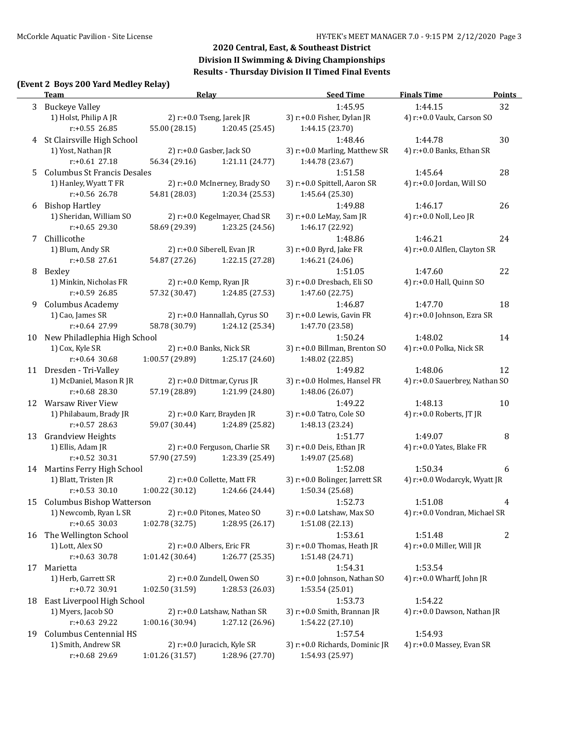# **(Event 2 Boys 200 Yard Medley Relay)**

|    | $\frac{1}{2}$ boys 200 rard rically riciny<br><u>Team</u> |                 | <b>Relay</b>                   | <b>Seed Time</b>                        | <b>Finals Time</b>                      | <b>Points</b>  |
|----|-----------------------------------------------------------|-----------------|--------------------------------|-----------------------------------------|-----------------------------------------|----------------|
|    | 3 Buckeye Valley                                          |                 |                                | 1:45.95                                 | 1:44.15                                 | 32             |
|    | 1) Holst, Philip A JR                                     |                 | 2) r:+0.0 Tseng, Jarek JR      | 3) r:+0.0 Fisher, Dylan JR              | 4) r:+0.0 Vaulx, Carson SO              |                |
|    | $r: +0.55$ 26.85                                          | 55.00 (28.15)   | 1:20.45 (25.45)                | 1:44.15 (23.70)                         |                                         |                |
| 4  | St Clairsville High School                                |                 |                                | 1:48.46                                 | 1:44.78                                 | 30             |
|    | 1) Yost, Nathan JR                                        |                 | 2) r:+0.0 Gasber, Jack SO      | 3) r:+0.0 Marling, Matthew SR           | 4) r:+0.0 Banks, Ethan SR               |                |
|    | $r: +0.61$ 27.18                                          | 56.34 (29.16)   | 1:21.11 (24.77)                | 1:44.78 (23.67)                         |                                         |                |
| 5  | <b>Columbus St Francis Desales</b>                        |                 |                                | 1:51.58                                 | 1:45.64                                 | 28             |
|    | 1) Hanley, Wyatt T FR                                     |                 | 2) r:+0.0 McInerney, Brady SO  | 3) r:+0.0 Spittell, Aaron SR            | 4) r:+0.0 Jordan, Will SO               |                |
|    | $r: +0.56$ 26.78                                          | 54.81 (28.03)   | 1:20.34 (25.53)                | 1:45.64 (25.30)                         |                                         |                |
| 6  | <b>Bishop Hartley</b>                                     |                 |                                | 1:49.88                                 | 1:46.17                                 | 26             |
|    | 1) Sheridan, William SO                                   |                 | 2) r:+0.0 Kegelmayer, Chad SR  | 3) r:+0.0 LeMay, Sam JR                 | 4) r:+0.0 Noll, Leo JR                  |                |
|    | $r: +0.65$ 29.30                                          | 58.69 (29.39)   | 1:23.25 (24.56)                | 1:46.17 (22.92)                         |                                         |                |
| 7  | Chillicothe                                               |                 |                                | 1:48.86                                 | 1:46.21                                 | 24             |
|    | 1) Blum, Andy SR                                          |                 | 2) r:+0.0 Siberell, Evan JR    | 3) r:+0.0 Byrd, Jake FR                 | 4) r:+0.0 Alflen, Clayton SR            |                |
|    | r:+0.58 27.61                                             | 54.87 (27.26)   | 1:22.15 (27.28)                | 1:46.21 (24.06)                         |                                         |                |
| 8  | Bexley                                                    |                 |                                | 1:51.05                                 | 1:47.60                                 | 22             |
|    | 1) Minkin, Nicholas FR<br>r:+0.59 26.85                   |                 | 2) r:+0.0 Kemp, Ryan JR        | 3) r:+0.0 Dresbach, Eli SO              | 4) r:+0.0 Hall, Quinn SO                |                |
| 9  | <b>Columbus Academy</b>                                   | 57.32 (30.47)   | 1:24.85 (27.53)                | 1:47.60 (22.75)<br>1:46.87              | 1:47.70                                 | 18             |
|    | 1) Cao, James SR                                          |                 | 2) r:+0.0 Hannallah, Cyrus SO  | 3) r:+0.0 Lewis, Gavin FR               | 4) r:+0.0 Johnson, Ezra SR              |                |
|    | r:+0.64 27.99                                             | 58.78 (30.79)   | 1:24.12 (25.34)                | 1:47.70 (23.58)                         |                                         |                |
| 10 | New Philadlephia High School                              |                 |                                | 1:50.24                                 | 1:48.02                                 | 14             |
|    | 1) Cox, Kyle SR                                           |                 | 2) r:+0.0 Banks, Nick SR       | 3) r:+0.0 Billman, Brenton SO           | 4) r:+0.0 Polka, Nick SR                |                |
|    | $r: +0.64$ 30.68                                          | 1:00.57 (29.89) | 1:25.17 (24.60)                | 1:48.02 (22.85)                         |                                         |                |
| 11 | Dresden - Tri-Valley                                      |                 |                                | 1:49.82                                 | 1:48.06                                 | 12             |
|    | 1) McDaniel, Mason R JR                                   |                 | 2) r:+0.0 Dittmar, Cyrus JR    | 3) r:+0.0 Holmes, Hansel FR             | 4) r:+0.0 Sauerbrey, Nathan SO          |                |
|    | $r: +0.68$ 28.30                                          | 57.19 (28.89)   | 1:21.99 (24.80)                | 1:48.06 (26.07)                         |                                         |                |
| 12 | <b>Warsaw River View</b>                                  |                 |                                | 1:49.22                                 | 1:48.13                                 | 10             |
|    | 1) Philabaum, Brady JR                                    |                 | 2) r:+0.0 Karr, Brayden JR     | 3) r:+0.0 Tatro, Cole SO                | 4) r:+0.0 Roberts, JT JR                |                |
|    | $r: +0.57$ 28.63                                          | 59.07 (30.44)   | 1:24.89 (25.82)                | 1:48.13 (23.24)                         |                                         |                |
| 13 | <b>Grandview Heights</b>                                  |                 |                                | 1:51.77                                 | 1:49.07                                 | 8              |
|    | 1) Ellis, Adam JR                                         |                 | 2) r:+0.0 Ferguson, Charlie SR | 3) r:+0.0 Deis, Ethan JR                | 4) r:+0.0 Yates, Blake FR               |                |
|    | r:+0.52 30.31                                             | 57.90 (27.59)   | 1:23.39 (25.49)                | 1:49.07 (25.68)                         |                                         |                |
| 14 | Martins Ferry High School                                 |                 |                                | 1:52.08                                 | 1:50.34                                 | 6              |
|    | 1) Blatt, Tristen JR                                      |                 | 2) r:+0.0 Collette, Matt FR    | 3) r:+0.0 Bolinger, Jarrett SR          | 4) r:+0.0 Wodarcyk, Wyatt JR            |                |
|    | $r: +0.53$ 30.10                                          | 1:00.22(30.12)  | 1:24.66 (24.44)                | 1:50.34 (25.68)                         |                                         |                |
| 15 | <b>Columbus Bishop Watterson</b>                          |                 |                                | 1:52.73                                 | 1:51.08                                 | 4              |
|    | 1) Newcomb, Ryan L SR                                     |                 | 2) r:+0.0 Pitones, Mateo SO    | 3) r:+0.0 Latshaw, Max SO               | 4) r:+0.0 Vondran, Michael SR           |                |
|    | $r: +0.65$ 30.03                                          | 1:02.78 (32.75) | 1:28.95 (26.17)                | 1:51.08 (22.13)                         |                                         |                |
| 16 | The Wellington School                                     |                 |                                | 1:53.61                                 | 1:51.48                                 | $\overline{c}$ |
|    | 1) Lott, Alex SO                                          |                 | 2) r:+0.0 Albers, Eric FR      | 3) r:+0.0 Thomas, Heath JR              | 4) r:+0.0 Miller, Will JR               |                |
|    | r:+0.63 30.78                                             | 1:01.42 (30.64) | 1:26.77 (25.35)                | 1:51.48 (24.71)                         |                                         |                |
| 17 | Marietta<br>1) Herb, Garrett SR                           |                 | 2) r:+0.0 Zundell, Owen SO     | 1:54.31<br>3) r:+0.0 Johnson, Nathan SO | 1:53.54<br>4) $r: +0.0$ Wharff, John JR |                |
|    | r:+0.72 30.91                                             | 1:02.50 (31.59) | 1:28.53 (26.03)                | 1:53.54 (25.01)                         |                                         |                |
| 18 | East Liverpool High School                                |                 |                                | 1:53.73                                 | 1:54.22                                 |                |
|    | 1) Myers, Jacob SO                                        |                 | 2) r:+0.0 Latshaw, Nathan SR   | 3) r:+0.0 Smith, Brannan JR             | 4) r:+0.0 Dawson, Nathan JR             |                |
|    | r:+0.63 29.22                                             | 1:00.16 (30.94) | 1:27.12 (26.96)                | 1:54.22 (27.10)                         |                                         |                |
| 19 | Columbus Centennial HS                                    |                 |                                | 1:57.54                                 | 1:54.93                                 |                |
|    | 1) Smith, Andrew SR                                       |                 | 2) r:+0.0 Juracich, Kyle SR    | 3) r:+0.0 Richards, Dominic JR          | 4) r:+0.0 Massey, Evan SR               |                |
|    | r:+0.68 29.69                                             | 1:01.26 (31.57) | 1:28.96 (27.70)                | 1:54.93 (25.97)                         |                                         |                |
|    |                                                           |                 |                                |                                         |                                         |                |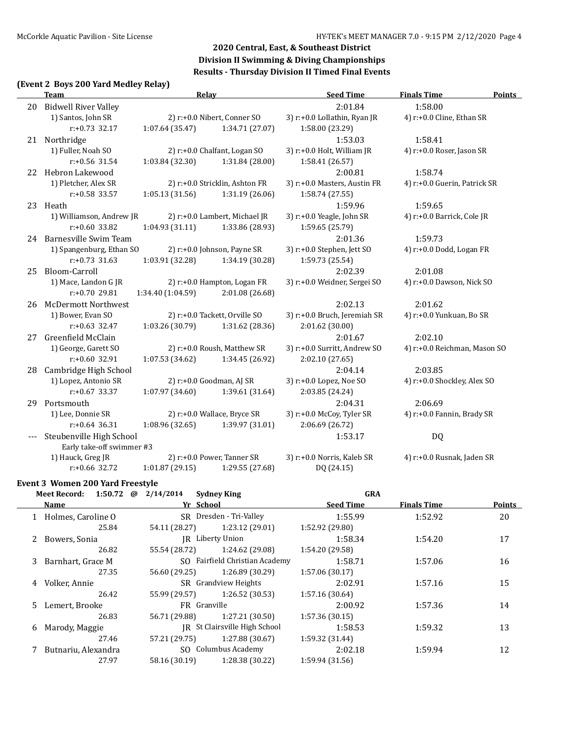# **(Event 2 Boys 200 Yard Medley Relay)**

|       | <b>Team</b>                 |                   | <b>Relay</b>                   | <b>Seed Time</b>             | <b>Finals Time</b>           | <b>Points</b> |
|-------|-----------------------------|-------------------|--------------------------------|------------------------------|------------------------------|---------------|
| 20    | <b>Bidwell River Valley</b> |                   |                                | 2:01.84                      | 1:58.00                      |               |
|       | 1) Santos, John SR          |                   | 2) r:+0.0 Nibert, Conner SO    | 3) r:+0.0 Lollathin, Ryan JR | 4) r:+0.0 Cline, Ethan SR    |               |
|       | $r: +0.73$ 32.17            | 1:07.64(35.47)    | 1:34.71 (27.07)                | 1:58.00 (23.29)              |                              |               |
|       | 21 Northridge               |                   |                                | 1:53.03                      | 1:58.41                      |               |
|       | 1) Fuller, Noah SO          |                   | 2) r:+0.0 Chalfant, Logan SO   | 3) r:+0.0 Holt, William JR   | 4) r:+0.0 Roser, Jason SR    |               |
|       | $r: +0.56$ 31.54            | 1:03.84(32.30)    | 1:31.84 (28.00)                | 1:58.41 (26.57)              |                              |               |
|       | 22 Hebron Lakewood          |                   |                                | 2:00.81                      | 1:58.74                      |               |
|       | 1) Pletcher, Alex SR        |                   | 2) r:+0.0 Stricklin, Ashton FR | 3) r:+0.0 Masters, Austin FR | 4) r:+0.0 Guerin, Patrick SR |               |
|       | r:+0.58 33.57               | 1:05.13(31.56)    | 1:31.19 (26.06)                | 1:58.74 (27.55)              |                              |               |
|       | 23 Heath                    |                   |                                | 1:59.96                      | 1:59.65                      |               |
|       | 1) Williamson, Andrew JR    |                   | 2) r:+0.0 Lambert, Michael JR  | 3) r:+0.0 Yeagle, John SR    | 4) r:+0.0 Barrick, Cole JR   |               |
|       | $r: +0.60$ 33.82            | 1:04.93 (31.11)   | 1:33.86 (28.93)                | 1:59.65 (25.79)              |                              |               |
|       | 24 Barnesville Swim Team    |                   |                                | 2:01.36                      | 1:59.73                      |               |
|       | 1) Spangenburg, Ethan SO    |                   | 2) r:+0.0 Johnson, Payne SR    | 3) r:+0.0 Stephen, Jett SO   | 4) r:+0.0 Dodd, Logan FR     |               |
|       | $r: +0.73$ 31.63            | 1:03.91 (32.28)   | 1:34.19 (30.28)                | 1:59.73 (25.54)              |                              |               |
| 25    | Bloom-Carroll               |                   |                                | 2:02.39                      | 2:01.08                      |               |
|       | 1) Mace, Landon G JR        |                   | 2) r:+0.0 Hampton, Logan FR    | 3) r:+0.0 Weidner, Sergei SO | 4) r:+0.0 Dawson, Nick SO    |               |
|       | $r: +0.70$ 29.81            | 1:34.40 (1:04.59) | 2:01.08 (26.68)                |                              |                              |               |
| 26    | <b>McDermott Northwest</b>  |                   |                                | 2:02.13                      | 2:01.62                      |               |
|       | 1) Bower, Evan SO           |                   | 2) r:+0.0 Tackett, Orville SO  | 3) r:+0.0 Bruch, Jeremiah SR | 4) r:+0.0 Yunkuan, Bo SR     |               |
|       | $r: +0.63$ 32.47            | 1:03.26(30.79)    | 1:31.62 (28.36)                | 2:01.62 (30.00)              |                              |               |
| 27    | Greenfield McClain          |                   |                                | 2:01.67                      | 2:02.10                      |               |
|       | 1) George, Garett SO        |                   | 2) r:+0.0 Roush, Matthew SR    | 3) r:+0.0 Surritt, Andrew SO | 4) r:+0.0 Reichman, Mason SO |               |
|       | $r: +0.60$ 32.91            | 1:07.53(34.62)    | 1:34.45 (26.92)                | 2:02.10 (27.65)              |                              |               |
| 28    | Cambridge High School       |                   |                                | 2:04.14                      | 2:03.85                      |               |
|       | 1) Lopez, Antonio SR        |                   | 2) r:+0.0 Goodman, AJ SR       | 3) r:+0.0 Lopez, Noe SO      | 4) r:+0.0 Shockley, Alex SO  |               |
|       | $r: +0.67$ 33.37            | 1:07.97(34.60)    | 1:39.61 (31.64)                | 2:03.85 (24.24)              |                              |               |
| 29    | Portsmouth                  |                   |                                | 2:04.31                      | 2:06.69                      |               |
|       | 1) Lee, Donnie SR           |                   | 2) r:+0.0 Wallace, Bryce SR    | 3) r:+0.0 McCoy, Tyler SR    | 4) r:+0.0 Fannin, Brady SR   |               |
|       | $r: +0.64$ 36.31            | 1:08.96(32.65)    | 1:39.97 (31.01)                | 2:06.69 (26.72)              |                              |               |
| $---$ | Steubenville High School    |                   |                                | 1:53.17                      | DQ                           |               |
|       | Early take-off swimmer #3   |                   |                                |                              |                              |               |
|       | 1) Hauck, Greg JR           |                   | 2) r:+0.0 Power, Tanner SR     | 3) r:+0.0 Norris, Kaleb SR   | 4) r:+0.0 Rusnak, Jaden SR   |               |
|       | r:+0.66 32.72               | 1:01.87(29.15)    | 1:29.55 (27.68)                | DQ (24.15)                   |                              |               |

#### **Event 3 Women 200 Yard Freestyle**

|   | 1:50.72 $\omega$<br>Meet Record: | 2/14/2014     | <b>Sydney King</b>             | <b>GRA</b>       |                    |               |
|---|----------------------------------|---------------|--------------------------------|------------------|--------------------|---------------|
|   | <b>Name</b>                      |               | Yr School                      | <b>Seed Time</b> | <b>Finals Time</b> | <b>Points</b> |
|   | 1 Holmes, Caroline O             |               | SR Dresden - Tri-Valley        | 1:55.99          | 1:52.92            | 20            |
|   | 25.84                            | 54.11 (28.27) | 1:23.12 (29.01)                | 1:52.92 (29.80)  |                    |               |
|   | 2 Bowers, Sonia                  |               | JR Liberty Union               | 1:58.34          | 1:54.20            | 17            |
|   | 26.82                            | 55.54 (28.72) | 1:24.62 (29.08)                | 1:54.20 (29.58)  |                    |               |
|   | 3 Barnhart, Grace M              |               | SO Fairfield Christian Academy | 1:58.71          | 1:57.06            | 16            |
|   | 27.35                            | 56.60 (29.25) | 1:26.89 (30.29)                | 1:57.06(30.17)   |                    |               |
|   | 4 Volker, Annie                  |               | SR Grandview Heights           | 2:02.91          | 1:57.16            | 15            |
|   | 26.42                            | 55.99 (29.57) | 1:26.52 (30.53)                | 1:57.16(30.64)   |                    |               |
|   | 5 Lemert, Brooke                 |               | FR Granville                   | 2:00.92          | 1:57.36            | 14            |
|   | 26.83                            | 56.71 (29.88) | 1:27.21 (30.50)                | 1:57.36(30.15)   |                    |               |
| 6 | Marody, Maggie                   |               | IR St Clairsville High School  | 1:58.53          | 1:59.32            | 13            |
|   | 27.46                            | 57.21 (29.75) | 1:27.88 (30.67)                | 1:59.32 (31.44)  |                    |               |
|   | Butnariu, Alexandra              |               | SO Columbus Academy            | 2:02.18          | 1:59.94            | 12            |
|   | 27.97                            | 58.16 (30.19) | 1:28.38 (30.22)                | 1:59.94 (31.56)  |                    |               |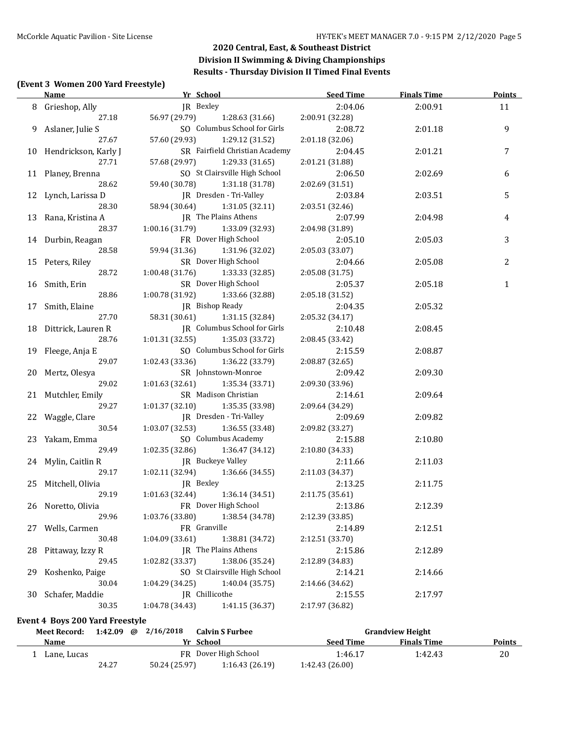### **(Event 3 Women 200 Yard Freestyle)**

|    | <b>Name</b>                            | Yr School                                              | Seed Time                  | Finals Time | <b>Points</b>    |
|----|----------------------------------------|--------------------------------------------------------|----------------------------|-------------|------------------|
|    | 8 Grieshop, Ally                       | JR Bexley                                              | 2:04.06                    | 2:00.91     | 11               |
|    | 27.18                                  | 56.97 (29.79)<br>1:28.63 (31.66)                       | 2:00.91 (32.28)            |             |                  |
|    | 9 Aslaner, Julie S                     | SO Columbus School for Girls                           | 2:08.72                    | 2:01.18     | $\boldsymbol{9}$ |
|    | 27.67                                  | 57.60 (29.93)<br>1:29.12 (31.52)                       | 2:01.18 (32.06)            |             |                  |
|    | 10 Hendrickson, Karly J                | SR Fairfield Christian Academy                         | 2:04.45                    | 2:01.21     | 7                |
|    | 27.71                                  | 57.68 (29.97)<br>1:29.33 (31.65)                       | 2:01.21 (31.88)            |             |                  |
|    | 11 Planey, Brenna                      | SO St Clairsville High School                          | 2:06.50                    | 2:02.69     | 6                |
|    | 28.62                                  | 59.40 (30.78) 1:31.18 (31.78)                          | 2:02.69 (31.51)            |             |                  |
|    | 12 Lynch, Larissa D                    | JR Dresden - Tri-Valley                                | 2:03.84                    | 2:03.51     | 5                |
|    | 28.30                                  | 58.94 (30.64) 1:31.05 (32.11)                          | 2:03.51 (32.46)            |             |                  |
|    | 13 Rana, Kristina A                    | JR The Plains Athens                                   | 2:07.99                    | 2:04.98     | 4                |
|    | 28.37                                  | 1:00.16 (31.79)<br>1:33.09 (32.93)                     | 2:04.98 (31.89)            |             |                  |
|    | 14 Durbin, Reagan                      | FR Dover High School                                   | 2:05.10                    | 2:05.03     | 3                |
|    | 28.58                                  | 59.94 (31.36)<br>1:31.96 (32.02)                       | 2:05.03 (33.07)            |             |                  |
|    | 15 Peters, Riley                       | SR Dover High School                                   | 2:04.66                    | 2:05.08     | 2                |
|    | 28.72                                  | 1:00.48 (31.76)<br>1:33.33 (32.85)                     | 2:05.08 (31.75)            |             |                  |
|    | 16 Smith, Erin                         | SR Dover High School                                   | 2:05.37                    | 2:05.18     | $\mathbf{1}$     |
|    | 28.86                                  | 1:00.78 (31.92)<br>1:33.66 (32.88)                     | 2:05.18 (31.52)            |             |                  |
|    | 17 Smith, Elaine                       | JR Bishop Ready                                        | 2:04.35                    | 2:05.32     |                  |
|    | 27.70                                  | 58.31 (30.61)<br>1:31.15 (32.84)                       | 2:05.32 (34.17)            |             |                  |
|    | 18 Dittrick, Lauren R                  | JR Columbus School for Girls                           | 2:10.48                    | 2:08.45     |                  |
|    | 28.76                                  | 1:01.31 (32.55)<br>1:35.03 (33.72)                     | 2:08.45 (33.42)            |             |                  |
|    | 19 Fleege, Anja E                      | SO Columbus School for Girls                           | 2:15.59                    | 2:08.87     |                  |
|    | 29.07                                  | 1:02.43 (33.36)<br>1:36.22 (33.79)                     | 2:08.87 (32.65)            |             |                  |
|    | 20 Mertz, Olesya                       | SR Johnstown-Monroe                                    | 2:09.42                    | 2:09.30     |                  |
|    | 29.02                                  | $1:01.63$ (32.61) $1:35.34$ (33.71)                    | 2:09.30 (33.96)            |             |                  |
|    | 21 Mutchler, Emily                     | SR Madison Christian                                   | 2:14.61                    | 2:09.64     |                  |
|    | 29.27                                  | 1:35.35 (33.98)<br>1:01.37(32.10)                      | 2:09.64 (34.29)            |             |                  |
|    | 22 Waggle, Clare                       | JR Dresden - Tri-Valley                                | 2:09.69                    | 2:09.82     |                  |
|    | 30.54                                  | $1:03.07(32.53)$ $1:36.55(33.48)$                      | 2:09.82 (33.27)            |             |                  |
|    | 23 Yakam, Emma<br>29.49                | SO Columbus Academy                                    | 2:15.88                    | 2:10.80     |                  |
|    |                                        | $1:02.35(32.86)$ $1:36.47(34.12)$<br>JR Buckeye Valley | 2:10.80 (34.33)            |             |                  |
|    | 24 Mylin, Caitlin R<br>29.17           | $1:02.11(32.94)$ $1:36.66(34.55)$                      | 2:11.66<br>2:11.03 (34.37) | 2:11.03     |                  |
|    | 25 Mitchell, Olivia                    | JR Bexley                                              | 2:13.25                    | 2:11.75     |                  |
|    | 29.19                                  | 1:01.63 (32.44) 1:36.14 (34.51)                        | 2:11.75(35.61)             |             |                  |
|    | 26 Noretto, Olivia                     | FR Dover High School                                   | 2:13.86                    | 2:12.39     |                  |
|    | 29.96                                  | 1:03.76 (33.80)<br>1:38.54 (34.78)                     | 2:12.39 (33.85)            |             |                  |
| 27 | Wells, Carmen                          | FR Granville                                           | 2:14.89                    | 2:12.51     |                  |
|    | 30.48                                  | 1:38.81 (34.72)<br>1:04.09 (33.61)                     | 2:12.51 (33.70)            |             |                  |
| 28 | Pittaway, Izzy R                       | JR The Plains Athens                                   | 2:15.86                    | 2:12.89     |                  |
|    | 29.45                                  | 1:38.06 (35.24)<br>1:02.82 (33.37)                     | 2:12.89 (34.83)            |             |                  |
| 29 | Koshenko, Paige                        | SO St Clairsville High School                          | 2:14.21                    | 2:14.66     |                  |
|    | 30.04                                  | 1:04.29 (34.25)<br>1:40.04 (35.75)                     | 2:14.66 (34.62)            |             |                  |
| 30 | Schafer, Maddie                        | JR Chillicothe                                         | 2:15.55                    | 2:17.97     |                  |
|    | 30.35                                  | 1:04.78 (34.43)<br>1:41.15 (36.37)                     | 2:17.97 (36.82)            |             |                  |
|    | <b>Event 4 Boys 200 Yard Freestyle</b> |                                                        |                            |             |                  |
|    |                                        |                                                        |                            |             |                  |

| Meet Record: |       | $1:42.09$ @ $2/16/2018$ | <b>Calvin S Furbee</b> |                  | <b>Grandview Height</b> |               |
|--------------|-------|-------------------------|------------------------|------------------|-------------------------|---------------|
| <b>Name</b>  |       |                         | Yr School              | <b>Seed Time</b> | <b>Finals Time</b>      | <b>Points</b> |
| Lane. Lucas  |       |                         | FR Dover High School   | 1:46.17          | 1:42.43                 | 20            |
|              | 24.27 | 50.24 (25.97)           | 1:16.43(26.19)         | 1:42.43(26.00)   |                         |               |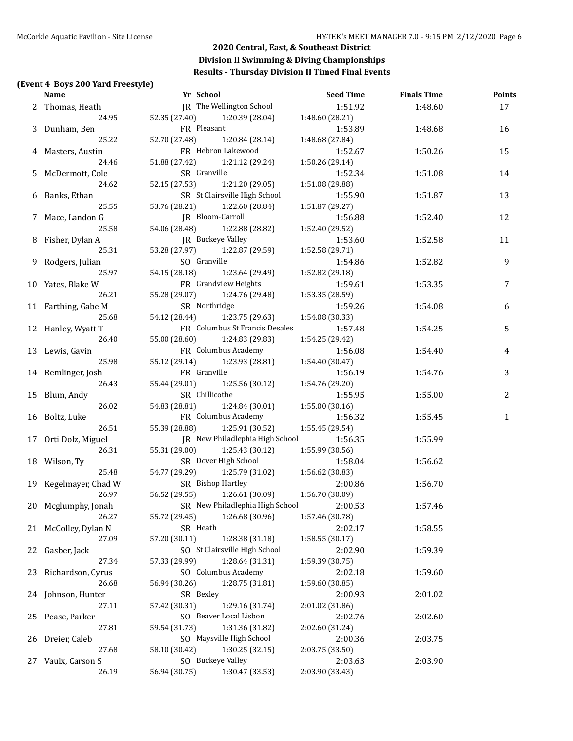### **(Event 4 Boys 200 Yard Freestyle)**

|    | <b>Name</b>                | Yr School                                     | Seed Time       | <b>Finals Time</b> | <b>Points</b> |
|----|----------------------------|-----------------------------------------------|-----------------|--------------------|---------------|
|    | 2 Thomas, Heath            | JR The Wellington School                      | 1:51.92         | 1:48.60            | 17            |
|    | 24.95                      | 52.35 (27.40) 1:20.39 (28.04)                 | 1:48.60 (28.21) |                    |               |
|    | 3 Dunham, Ben              | FR Pleasant                                   | 1:53.89         | 1:48.68            | 16            |
|    | 25.22                      | 52.70 (27.48)<br>1:20.84 (28.14)              | 1:48.68 (27.84) |                    |               |
|    | 4 Masters, Austin          | FR Hebron Lakewood                            | 1:52.67         | 1:50.26            | 15            |
|    | 24.46                      | 51.88 (27.42)<br>1:21.12 (29.24)              | 1:50.26 (29.14) |                    |               |
|    | 5 McDermott, Cole          | SR Granville                                  | 1:52.34         | 1:51.08            | 14            |
|    | 24.62                      | 52.15 (27.53)<br>1:21.20 (29.05)              | 1:51.08 (29.88) |                    |               |
|    | 6 Banks, Ethan             | SR St Clairsville High School                 | 1:55.90         | 1:51.87            | 13            |
|    | 25.55                      | 53.76 (28.21) 1:22.60 (28.84)                 | 1:51.87 (29.27) |                    |               |
|    | 7 Mace, Landon G           | JR Bloom-Carroll                              | 1:56.88         | 1:52.40            | 12            |
|    | 25.58                      | 54.06 (28.48) 1:22.88 (28.82)                 | 1:52.40 (29.52) |                    |               |
|    | 8 Fisher, Dylan A          | JR Buckeye Valley                             | 1:53.60         | 1:52.58            | 11            |
|    | 25.31                      | 53.28 (27.97) 1:22.87 (29.59)                 | 1:52.58 (29.71) |                    |               |
|    | 9 Rodgers, Julian          | SO Granville                                  | 1:54.86         | 1:52.82            | 9             |
|    | 25.97                      | 54.15 (28.18) 1:23.64 (29.49)                 | 1:52.82 (29.18) |                    |               |
|    |                            | FR Grandview Heights                          | 1:59.61         |                    | 7             |
|    | 10 Yates, Blake W<br>26.21 |                                               |                 | 1:53.35            |               |
|    |                            | 55.28 (29.07) 1:24.76 (29.48)                 | 1:53.35 (28.59) |                    |               |
|    | 11 Farthing, Gabe M        | SR Northridge                                 | 1:59.26         | 1:54.08            | 6             |
|    | 25.68                      | 54.12 (28.44) 1:23.75 (29.63)                 | 1:54.08 (30.33) |                    |               |
|    | 12 Hanley, Wyatt T         | FR Columbus St Francis Desales                | 1:57.48         | 1:54.25            | 5             |
|    | 26.40                      | 55.00 (28.60) 1:24.83 (29.83)                 | 1:54.25 (29.42) |                    |               |
|    | 13 Lewis, Gavin            | FR Columbus Academy                           | 1:56.08         | 1:54.40            | 4             |
|    | 25.98                      | 55.12 (29.14) 1:23.93 (28.81)                 | 1:54.40(30.47)  |                    |               |
|    | 14 Remlinger, Josh         | FR Granville                                  | 1:56.19         | 1:54.76            | 3             |
|    | 26.43                      | 55.44 (29.01) 1:25.56 (30.12)                 | 1:54.76 (29.20) |                    |               |
|    | 15 Blum, Andy              | SR Chillicothe                                | 1:55.95         | 1:55.00            | 2             |
|    | 26.02                      | 54.83 (28.81) 1:24.84 (30.01)                 | 1:55.00(30.16)  |                    |               |
|    | 16 Boltz, Luke             | FR Columbus Academy                           | 1:56.32         | 1:55.45            | 1             |
|    | 26.51                      | 55.39 (28.88) 1:25.91 (30.52)                 | 1:55.45 (29.54) |                    |               |
|    | 17 Orti Dolz, Miguel       | JR New Philadlephia High School               | 1:56.35         | 1:55.99            |               |
|    | 26.31                      | 55.31 (29.00) 1:25.43 (30.12)                 | 1:55.99 (30.56) |                    |               |
|    | 18 Wilson, Ty              | SR Dover High School                          | 1:58.04         | 1:56.62            |               |
|    | 25.48                      | 54.77 (29.29) 1:25.79 (31.02) 1:56.62 (30.83) |                 |                    |               |
|    | 19 Kegelmayer, Chad W      | SR Bishop Hartley                             | 2:00.86         | 1:56.70            |               |
|    | 26.97                      | 56.52 (29.55) 1:26.61 (30.09)                 | 1:56.70 (30.09) |                    |               |
|    | 20 Mcglumphy, Jonah        | SR New Philadlephia High School               | 2:00.53         | 1:57.46            |               |
|    | 26.27                      | 55.72 (29.45)<br>1:26.68 (30.96)              | 1:57.46 (30.78) |                    |               |
|    | 21 McColley, Dylan N       | SR Heath                                      | 2:02.17         | 1:58.55            |               |
|    | 27.09                      | 57.20 (30.11)<br>1:28.38 (31.18)              | 1:58.55 (30.17) |                    |               |
|    | Gasber, Jack               | SO St Clairsville High School                 | 2:02.90         | 1:59.39            |               |
| 22 | 27.34                      | 1:28.64 (31.31)                               |                 |                    |               |
|    |                            | 57.33 (29.99)                                 | 1:59.39 (30.75) |                    |               |
| 23 | Richardson, Cyrus          | SO Columbus Academy                           | 2:02.18         | 1:59.60            |               |
|    | 26.68                      | 1:28.75 (31.81)<br>56.94 (30.26)              | 1:59.60 (30.85) |                    |               |
|    | 24 Johnson, Hunter         | SR Bexley                                     | 2:00.93         | 2:01.02            |               |
|    | 27.11                      | 1:29.16 (31.74)<br>57.42 (30.31)              | 2:01.02 (31.86) |                    |               |
| 25 | Pease, Parker              | SO Beaver Local Lisbon                        | 2:02.76         | 2:02.60            |               |
|    | 27.81                      | 59.54 (31.73)<br>1:31.36 (31.82)              | 2:02.60 (31.24) |                    |               |
| 26 | Dreier, Caleb              | SO Maysville High School                      | 2:00.36         | 2:03.75            |               |
|    | 27.68                      | 58.10 (30.42)<br>1:30.25 (32.15)              | 2:03.75 (33.50) |                    |               |
| 27 | Vaulx, Carson S            | SO Buckeye Valley                             | 2:03.63         | 2:03.90            |               |
|    | 26.19                      | 56.94 (30.75)<br>1:30.47 (33.53)              | 2:03.90 (33.43) |                    |               |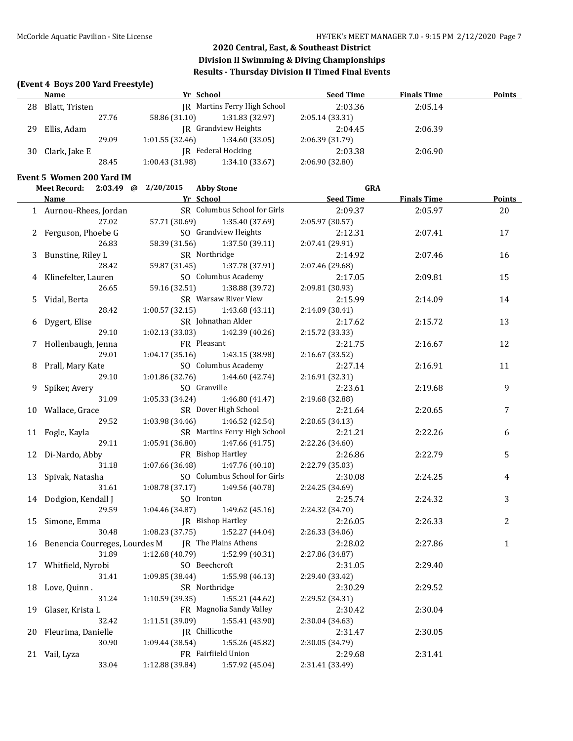### **(Event 4 Boys 200 Yard Freestyle)**

|    | Name           |       | Yr School       |                                     | <b>Seed Time</b> | <b>Finals Time</b> | <b>Points</b> |
|----|----------------|-------|-----------------|-------------------------------------|------------------|--------------------|---------------|
| 28 | Blatt, Tristen |       |                 | <b>IR</b> Martins Ferry High School | 2:03.36          | 2:05.14            |               |
|    |                | 27.76 | 58.86 (31.10)   | 1:31.83 (32.97)                     | 2:05.14(33.31)   |                    |               |
| 29 | Ellis, Adam    |       |                 | IR Grandview Heights                | 2:04.45          | 2:06.39            |               |
|    |                | 29.09 | 1:01.55(32.46)  | 1:34.60 (33.05)                     | 2:06.39(31.79)   |                    |               |
| 30 | Clark, Jake E  |       |                 | IR Federal Hocking                  | 2:03.38          | 2:06.90            |               |
|    |                | 28.45 | 1:00.43 (31.98) | 1:34.10(33.67)                      | 2:06.90(32.80)   |                    |               |

#### **Event 5 Women 200 Yard IM**

|    | <b>Meet Record:</b>           |       | 2:03.49 @ 2/20/2015 | <b>Abby Stone</b>            | <b>GRA</b>       |                    |               |
|----|-------------------------------|-------|---------------------|------------------------------|------------------|--------------------|---------------|
|    | <b>Name</b>                   |       |                     | Yr School                    | <b>Seed Time</b> | <b>Finals Time</b> | <b>Points</b> |
|    | 1 Aurnou-Rhees, Jordan        |       |                     | SR Columbus School for Girls | 2:09.37          | 2:05.97            | 20            |
|    |                               | 27.02 | 57.71 (30.69)       | 1:35.40 (37.69)              | 2:05.97 (30.57)  |                    |               |
|    | 2 Ferguson, Phoebe G          |       |                     | SO Grandview Heights         | 2:12.31          | 2:07.41            | 17            |
|    |                               | 26.83 | 58.39 (31.56)       | 1:37.50 (39.11)              | 2:07.41 (29.91)  |                    |               |
|    | 3 Bunstine, Riley L           |       |                     | SR Northridge                | 2:14.92          | 2:07.46            | 16            |
|    |                               | 28.42 | 59.87 (31.45)       | 1:37.78 (37.91)              | 2:07.46 (29.68)  |                    |               |
|    | 4 Klinefelter, Lauren         |       |                     | SO Columbus Academy          | 2:17.05          | 2:09.81            | 15            |
|    |                               | 26.65 | 59.16 (32.51)       | 1:38.88 (39.72)              | 2:09.81 (30.93)  |                    |               |
| 5  | Vidal, Berta                  |       |                     | SR Warsaw River View         | 2:15.99          | 2:14.09            | 14            |
|    |                               | 28.42 | 1:00.57(32.15)      | 1:43.68(43.11)               | 2:14.09 (30.41)  |                    |               |
| 6  | Dygert, Elise                 |       |                     | SR Johnathan Alder           | 2:17.62          | 2:15.72            | 13            |
|    |                               | 29.10 | 1:02.13 (33.03)     | 1:42.39 (40.26)              | 2:15.72 (33.33)  |                    |               |
|    | 7 Hollenbaugh, Jenna          |       |                     | FR Pleasant                  | 2:21.75          | 2:16.67            | 12            |
|    |                               | 29.01 | 1:04.17(35.16)      | 1:43.15 (38.98)              | 2:16.67 (33.52)  |                    |               |
| 8  | Prall, Mary Kate              |       |                     | SO Columbus Academy          | 2:27.14          | 2:16.91            | 11            |
|    |                               | 29.10 | 1:01.86(32.76)      | 1:44.60 (42.74)              | 2:16.91 (32.31)  |                    |               |
| 9  | Spiker, Avery                 |       |                     | SO Granville                 | 2:23.61          | 2:19.68            | 9             |
|    |                               | 31.09 | 1:05.33 (34.24)     | 1:46.80(41.47)               | 2:19.68 (32.88)  |                    |               |
|    | 10 Wallace, Grace             |       |                     | SR Dover High School         | 2:21.64          | 2:20.65            | 7             |
|    |                               | 29.52 | 1:03.98 (34.46)     | 1:46.52 (42.54)              | 2:20.65 (34.13)  |                    |               |
|    | 11 Fogle, Kayla               |       |                     | SR Martins Ferry High School | 2:21.21          | 2:22.26            | 6             |
|    |                               | 29.11 | 1:05.91(36.80)      | 1:47.66 (41.75)              | 2:22.26 (34.60)  |                    |               |
| 12 | Di-Nardo, Abby                |       |                     | FR Bishop Hartley            | 2:26.86          | 2:22.79            | 5             |
|    |                               | 31.18 | 1:07.66 (36.48)     | 1:47.76 (40.10)              | 2:22.79 (35.03)  |                    |               |
| 13 | Spivak, Natasha               |       |                     | SO Columbus School for Girls | 2:30.08          | 2:24.25            | 4             |
|    |                               | 31.61 | 1:08.78(37.17)      | 1:49.56 (40.78)              | 2:24.25 (34.69)  |                    |               |
|    | 14 Dodgion, Kendall J         |       |                     | SO Ironton                   | 2:25.74          | 2:24.32            | 3             |
|    |                               | 29.59 | 1:04.46 (34.87)     | 1:49.62 (45.16)              | 2:24.32 (34.70)  |                    |               |
| 15 | Simone, Emma                  |       |                     | JR Bishop Hartley            | 2:26.05          | 2:26.33            | 2             |
|    |                               | 30.48 | 1:08.23(37.75)      | 1:52.27 (44.04)              | 2:26.33 (34.06)  |                    |               |
| 16 | Benencia Courreges, Lourdes M |       |                     | <b>IR</b> The Plains Athens  | 2:28.02          | 2:27.86            | $\mathbf{1}$  |
|    |                               | 31.89 | 1:12.68 (40.79)     | 1:52.99 (40.31)              | 2:27.86 (34.87)  |                    |               |
|    | 17 Whitfield, Nyrobi          |       |                     | SO Beechcroft                | 2:31.05          | 2:29.40            |               |
|    |                               | 31.41 | 1:09.85(38.44)      | 1:55.98 (46.13)              | 2:29.40 (33.42)  |                    |               |
|    | 18 Love, Quinn.               |       |                     | SR Northridge                | 2:30.29          | 2:29.52            |               |
|    |                               | 31.24 | 1:10.59 (39.35)     | 1:55.21 (44.62)              | 2:29.52 (34.31)  |                    |               |
| 19 | Glaser, Krista L              |       |                     | FR Magnolia Sandy Valley     | 2:30.42          | 2:30.04            |               |
|    |                               | 32.42 | 1:11.51 (39.09)     | 1:55.41 (43.90)              | 2:30.04 (34.63)  |                    |               |
| 20 | Fleurima, Danielle            |       |                     | JR Chillicothe               | 2:31.47          | 2:30.05            |               |
|    |                               | 30.90 | 1:09.44 (38.54)     | 1:55.26 (45.82)              | 2:30.05 (34.79)  |                    |               |
|    | 21 Vail, Lyza                 |       |                     | FR Fairfiield Union          | 2:29.68          | 2:31.41            |               |
|    |                               | 33.04 | 1:12.88 (39.84)     | 1:57.92 (45.04)              | 2:31.41 (33.49)  |                    |               |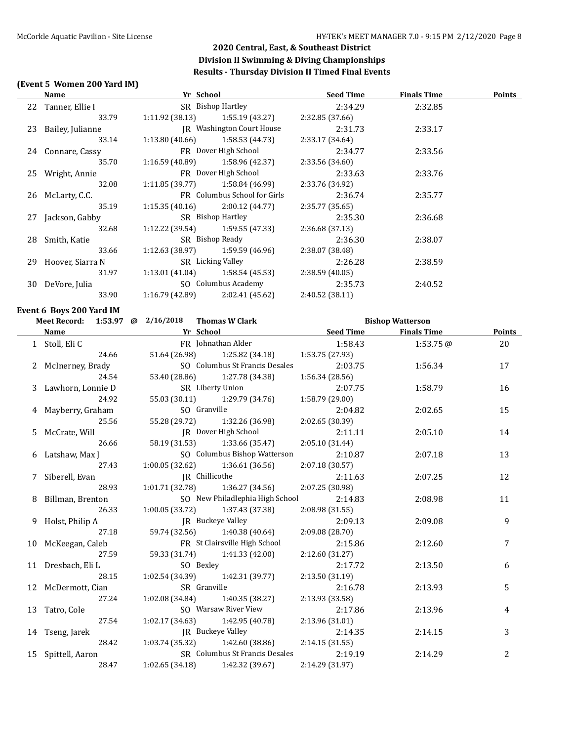### **(Event 5 Women 200 Yard IM)**

|    | <u>Name</u>                                                                                                                                                                                                                   | <b>The School Seed Time Seed Time</b>            |                 | <b>Finals Time</b>      | <b>Points</b> |
|----|-------------------------------------------------------------------------------------------------------------------------------------------------------------------------------------------------------------------------------|--------------------------------------------------|-----------------|-------------------------|---------------|
|    | 22 Tanner, Ellie I                                                                                                                                                                                                            | SR Bishop Hartley                                | 2:34.29         | 2:32.85                 |               |
|    | 33.79                                                                                                                                                                                                                         | $1:11.92$ (38.13) $1:55.19$ (43.27)              | 2:32.85 (37.66) |                         |               |
|    | 23 Bailey, Julianne                                                                                                                                                                                                           | JR Washington Court House                        | 2:31.73         | 2:33.17                 |               |
|    | 33.14                                                                                                                                                                                                                         | $1:13.80(40.66)$ $1:58.53(44.73)$                | 2:33.17 (34.64) |                         |               |
|    | 24 Connare, Cassy                                                                                                                                                                                                             | FR Dover High School                             | 2:34.77         | 2:33.56                 |               |
|    | 35.70                                                                                                                                                                                                                         | $1:16.59(40.89)$ $1:58.96(42.37)$                | 2:33.56 (34.60) |                         |               |
|    | 25 Wright, Annie                                                                                                                                                                                                              | FR Dover High School                             | 2:33.63         | 2:33.76                 |               |
|    | 32.08                                                                                                                                                                                                                         | $1:11.85(39.77)$ $1:58.84(46.99)$                | 2:33.76 (34.92) |                         |               |
|    | 26 McLarty, C.C.                                                                                                                                                                                                              | FR Columbus School for Girls                     | 2:36.74         | 2:35.77                 |               |
|    | 35.19                                                                                                                                                                                                                         | $1:15.35(40.16)$ $2:00.12(44.77)$                | 2:35.77 (35.65) |                         |               |
|    | 27 Jackson, Gabby                                                                                                                                                                                                             | SR Bishop Hartley                                | 2:35.30         | 2:36.68                 |               |
|    | 32.68                                                                                                                                                                                                                         | $1:12.22$ (39.54) $1:59.55$ (47.33)              | 2:36.68 (37.13) |                         |               |
|    | 28 Smith, Katie                                                                                                                                                                                                               | SR Bishop Ready                                  | 2:36.30         | 2:38.07                 |               |
|    | 33.66                                                                                                                                                                                                                         | $1:12.63$ (38.97) $1:59.59$ (46.96)              | 2:38.07 (38.48) |                         |               |
|    | 29 Hoover, Siarra N                                                                                                                                                                                                           | SR Licking Valley                                | 2:26.28         | 2:38.59                 |               |
|    | 31.97                                                                                                                                                                                                                         | $1:13.01(41.04)$ $1:58.54(45.53)$                | 2:38.59 (40.05) |                         |               |
|    | 30 DeVore, Julia                                                                                                                                                                                                              | SO Columbus Academy                              | 2:35.73         | 2:40.52                 |               |
|    | 33.90                                                                                                                                                                                                                         | $1:16.79(42.89)$ $2:02.41(45.62)$                | 2:40.52 (38.11) |                         |               |
|    |                                                                                                                                                                                                                               |                                                  |                 |                         |               |
|    | Event 6 Boys 200 Yard IM                                                                                                                                                                                                      |                                                  |                 |                         |               |
|    |                                                                                                                                                                                                                               | Meet Record: 1:53.97 @ 2/16/2018 Thomas W Clark  |                 | <b>Bishop Watterson</b> |               |
|    | Name and the same state of the state of the state of the state of the state of the state of the state of the state of the state of the state of the state of the state of the state of the state of the state of the state of | <b>Example 2 Seed Time</b> Seed Time Finals Time |                 |                         | <b>Points</b> |
|    | 1 Stoll, Eli C                                                                                                                                                                                                                | FR Johnathan Alder                               | 1:58.43         | 1:53.75@                | 20            |
|    | 24.66                                                                                                                                                                                                                         | 51.64 (26.98) 1:25.82 (34.18)                    | 1:53.75 (27.93) |                         |               |
|    | 2 McInerney, Brady                                                                                                                                                                                                            | SO Columbus St Francis Desales                   | 2:03.75         | 1:56.34                 | 17            |
|    | 24.54                                                                                                                                                                                                                         | 53.40 (28.86) 1:27.78 (34.38)                    | 1:56.34 (28.56) |                         |               |
|    | 3 Lawhorn, Lonnie D                                                                                                                                                                                                           | SR Liberty Union                                 | 2:07.75         | 1:58.79                 | 16            |
|    | 24.92                                                                                                                                                                                                                         | 55.03 (30.11)<br>1:29.79 (34.76)                 | 1:58.79 (29.00) |                         |               |
|    | 4 Mayberry, Graham                                                                                                                                                                                                            | SO Granville                                     | 2:04.82         | 2:02.65                 | 15            |
|    | 25.56                                                                                                                                                                                                                         | 1:32.26 (36.98)<br>55.28 (29.72)                 | 2:02.65 (30.39) |                         |               |
|    | 5 McCrate, Will                                                                                                                                                                                                               | JR Dover High School                             | 2:11.11         | 2:05.10                 | 14            |
|    | 26.66                                                                                                                                                                                                                         | 58.19 (31.53)<br>1:33.66 (35.47)                 | 2:05.10 (31.44) |                         |               |
|    | 6 Latshaw, Max J                                                                                                                                                                                                              | SO Columbus Bishop Watterson                     | 2:10.87         | 2:07.18                 | 13            |
|    | 27.43                                                                                                                                                                                                                         | 1:00.05(32.62)<br>1:36.61 (36.56)                | 2:07.18(30.57)  |                         |               |
|    | 7 Siberell, Evan                                                                                                                                                                                                              | JR Chillicothe                                   | 2:11.63         | 2:07.25                 | 12            |
|    | 28.93                                                                                                                                                                                                                         | 1:01.71 (32.78)<br>1:36.27 (34.56)               | 2:07.25 (30.98) |                         |               |
|    | 8 Billman, Brenton                                                                                                                                                                                                            | SO New Philadlephia High School                  | 2:14.83         | 2:08.98                 | 11            |
|    | 26.33                                                                                                                                                                                                                         | $1:00.05(33.72)$ $1:37.43(37.38)$                | 2:08.98 (31.55) |                         |               |
|    | 9 Holst, Philip A                                                                                                                                                                                                             | JR Buckeye Valley                                | 2:09.13         | 2:09.08                 | 9             |
|    | 27.18                                                                                                                                                                                                                         | 59.74 (32.56)<br>1:40.38 (40.64)                 | 2:09.08 (28.70) |                         |               |
|    | 10 McKeegan, Caleb                                                                                                                                                                                                            | FR St Clairsville High School                    | 2:15.86         | 2:12.60                 | 7             |
|    | 27.59                                                                                                                                                                                                                         | 59.33 (31.74)<br>1:41.33 (42.00)                 | 2:12.60 (31.27) |                         |               |
|    | 11 Dresbach, Eli L                                                                                                                                                                                                            | SO Bexley                                        | 2:17.72         | 2:13.50                 | 6             |
|    | 28.15                                                                                                                                                                                                                         | 1:02.54 (34.39)<br>1:42.31 (39.77)               | 2:13.50 (31.19) |                         |               |
|    | 12 McDermott, Cian                                                                                                                                                                                                            | SR Granville                                     | 2:16.78         | 2:13.93                 | 5             |
|    | 27.24                                                                                                                                                                                                                         | 1:02.08 (34.84)<br>1:40.35 (38.27)               | 2:13.93 (33.58) |                         |               |
| 13 | Tatro, Cole                                                                                                                                                                                                                   | SO Warsaw River View                             | 2:17.86         | 2:13.96                 | 4             |
|    | 27.54                                                                                                                                                                                                                         | 1:02.17 (34.63)<br>1:42.95 (40.78)               | 2:13.96 (31.01) |                         |               |
| 14 | Tseng, Jarek                                                                                                                                                                                                                  | JR Buckeye Valley                                | 2:14.35         | 2:14.15                 | 3             |
|    | 28.42                                                                                                                                                                                                                         | 1:42.60 (38.86)<br>1:03.74 (35.32)               | 2:14.15 (31.55) |                         |               |
| 15 | Spittell, Aaron                                                                                                                                                                                                               | SR Columbus St Francis Desales                   | 2:19.19         | 2:14.29                 | 2             |
|    | 28.47                                                                                                                                                                                                                         | 1:02.65 (34.18)<br>1:42.32 (39.67)               | 2:14.29 (31.97) |                         |               |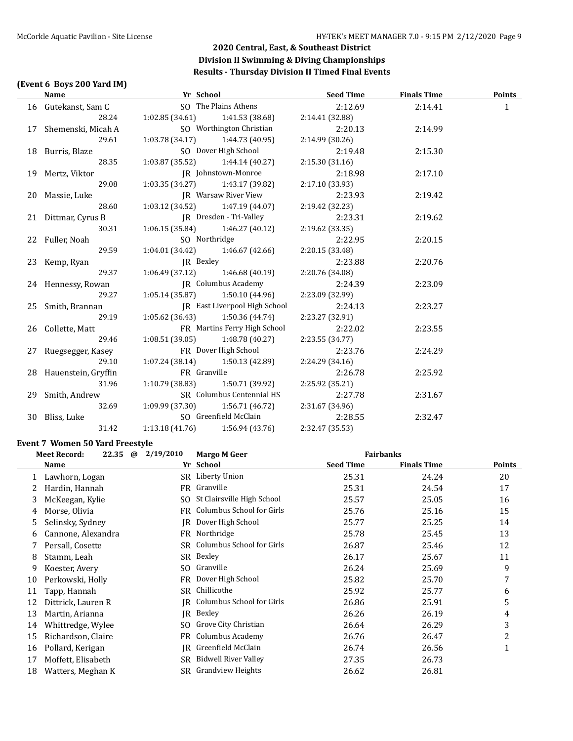### **(Event 6 Boys 200 Yard IM)**

| <b>Name</b>            | <b>Example 2018 The School</b> School Service School School School School School School School School School School School School School School School School School School School School School School School School School School |                                                                      | Seed Time                    | <b>Finals Time</b> | <b>Points</b> |
|------------------------|-------------------------------------------------------------------------------------------------------------------------------------------------------------------------------------------------------------------------------------|----------------------------------------------------------------------|------------------------------|--------------------|---------------|
| 16 Gutekanst, Sam C    |                                                                                                                                                                                                                                     |                                                                      | SO The Plains Athens 2:12.69 | 2:14.41            | $\mathbf{1}$  |
|                        | 28.24 1:02.85 (34.61) 1:41.53 (38.68) 2:14.41 (32.88)                                                                                                                                                                               |                                                                      |                              |                    |               |
| 17 Shemenski, Micah A  |                                                                                                                                                                                                                                     | SO Worthington Christian                                             | 2:20.13                      | 2:14.99            |               |
| 29.61                  |                                                                                                                                                                                                                                     | $1:03.78(34.17)$ $1:44.73(40.95)$                                    | 2:14.99 (30.26)              |                    |               |
| 18 Burris, Blaze       |                                                                                                                                                                                                                                     | SO Dover High School                                                 | 2:19.48                      | 2:15.30            |               |
| 28.35                  |                                                                                                                                                                                                                                     | $1:03.87(35.52)$ $1:44.14(40.27)$                                    | 2:15.30 (31.16)              |                    |               |
| 19 Mertz, Viktor       |                                                                                                                                                                                                                                     | JR Johnstown-Monroe                                                  | 2:18.98                      | 2:17.10            |               |
| 29.08                  |                                                                                                                                                                                                                                     | $1:03.35(34.27)$ $1:43.17(39.82)$                                    | 2:17.10 (33.93)              |                    |               |
| 20 Massie, Luke        |                                                                                                                                                                                                                                     | IR Warsaw River View 2:23.93                                         |                              | 2:19.42            |               |
| 28.60                  |                                                                                                                                                                                                                                     | $1:03.12$ $(34.52)$ $1:47.19$ $(44.07)$                              | 2:19.42 (32.23)              |                    |               |
| 21 Dittmar, Cyrus B    |                                                                                                                                                                                                                                     | JR Dresden - Tri-Valley<br>1:06.15 (35.84) 1:46.27 (40.12) 2:19.62 ( | 2:23.31                      | 2:19.62            |               |
| 30.31                  |                                                                                                                                                                                                                                     |                                                                      | 2:19.62 (33.35)              |                    |               |
| 22 Fuller, Noah        | SO Northridge                                                                                                                                                                                                                       |                                                                      | 2:22.95                      | 2:20.15            |               |
| 29.59                  |                                                                                                                                                                                                                                     | $1:04.01(34.42)$ $1:46.67(42.66)$                                    | 2:20.15(33.48)               |                    |               |
| 23 Kemp, Ryan          |                                                                                                                                                                                                                                     | IR Bexley                                                            | 2:23.88                      | 2:20.76            |               |
| 29.37                  |                                                                                                                                                                                                                                     | $1:06.49(37.12)$ $1:46.68(40.19)$ $2:20.76(34.08)$                   |                              |                    |               |
| 24 Hennessy, Rowan     |                                                                                                                                                                                                                                     | <b>IR</b> Columbus Academy                                           | 2:24.39                      | 2:23.09            |               |
| 29.27                  |                                                                                                                                                                                                                                     | $1:05.14(35.87)$ $1:50.10(44.96)$                                    | 2:23.09 (32.99)              |                    |               |
| 25 Smith, Brannan      |                                                                                                                                                                                                                                     | JR East Liverpool High School                                        | 2:24.13                      | 2:23.27            |               |
| 29.19                  |                                                                                                                                                                                                                                     | $1:05.62(36.43)$ $1:50.36(44.74)$                                    | 2:23.27 (32.91)              |                    |               |
| 26 Collette, Matt      |                                                                                                                                                                                                                                     | FR Martins Ferry High School                                         | 2:22.02                      | 2:23.55            |               |
| 29.46                  |                                                                                                                                                                                                                                     | $1:08.51(39.05)$ $1:48.78(40.27)$                                    | 2:23.55 (34.77)              |                    |               |
| 27 Ruegsegger, Kasey   |                                                                                                                                                                                                                                     | FR Dover High School                                                 | 2:23.76                      | 2:24.29            |               |
| 29.10                  |                                                                                                                                                                                                                                     | $1:07.24(38.14)$ $1:50.13(42.89)$                                    | 2:24.29 (34.16)              |                    |               |
| 28 Hauenstein, Gryffin | FR Granville                                                                                                                                                                                                                        |                                                                      | 2:26.78                      | 2:25.92            |               |
| 31.96                  |                                                                                                                                                                                                                                     | $1:10.79$ (38.83) $1:50.71$ (39.92)                                  | 2:25.92 (35.21)              |                    |               |
| 29 Smith, Andrew       |                                                                                                                                                                                                                                     | SR Columbus Centennial HS 2:27.78                                    |                              | 2:31.67            |               |
|                        | 32.69 1:09.99 (37.30) 1:56.71 (46.72) 2:31.67 (34.96)                                                                                                                                                                               |                                                                      |                              |                    |               |
| 30 Bliss, Luke         |                                                                                                                                                                                                                                     | SO Greenfield McClain 2:28.55                                        |                              | 2:32.47            |               |
| 31.42                  | $1:13.18(41.76)$ $1:56.94(43.76)$                                                                                                                                                                                                   |                                                                      | 2:32.47 (35.53)              |                    |               |

#### **Event 7 Women 50 Yard Freestyle**

|    | 22.35<br><b>Meet Record:</b> | 2/19/2010<br>@ | <b>Fairbanks</b><br><b>Margo M Geer</b> |                  |                    |        |
|----|------------------------------|----------------|-----------------------------------------|------------------|--------------------|--------|
|    | Name                         |                | Yr School                               | <b>Seed Time</b> | <b>Finals Time</b> | Points |
|    | Lawhorn, Logan               | SR             | Liberty Union                           | 25.31            | 24.24              | 20     |
|    | Hardin, Hannah               | FR             | Granville                               | 25.31            | 24.54              | 17     |
| 3  | McKeegan, Kylie              | SO.            | St Clairsville High School              | 25.57            | 25.05              | 16     |
| 4  | Morse, Olivia                | FR             | Columbus School for Girls               | 25.76            | 25.16              | 15     |
| 5  | Selinsky, Sydney             | IR             | Dover High School                       | 25.77            | 25.25              | 14     |
| 6  | Cannone, Alexandra           | FR             | Northridge                              | 25.78            | 25.45              | 13     |
|    | Persall, Cosette             | SR             | Columbus School for Girls               | 26.87            | 25.46              | 12     |
| 8  | Stamm, Leah                  |                | SR Bexley                               | 26.17            | 25.67              | 11     |
| 9  | Koester, Avery               | SO.            | Granville                               | 26.24            | 25.69              | 9      |
| 10 | Perkowski, Holly             | FR             | Dover High School                       | 25.82            | 25.70              | 7      |
| 11 | Tapp, Hannah                 | SR             | Chillicothe                             | 25.92            | 25.77              | 6      |
| 12 | Dittrick, Lauren R           | IR             | Columbus School for Girls               | 26.86            | 25.91              | 5      |
| 13 | Martin, Arianna              | IR             | Bexley                                  | 26.26            | 26.19              | 4      |
| 14 | Whittredge, Wylee            | SO.            | Grove City Christian                    | 26.64            | 26.29              | 3      |
| 15 | Richardson, Claire           | FR             | <b>Columbus Academy</b>                 | 26.76            | 26.47              | 2      |
| 16 | Pollard, Kerigan             | IR             | Greenfield McClain                      | 26.74            | 26.56              | 1      |
| 17 | Moffett, Elisabeth           | SR             | <b>Bidwell River Valley</b>             | 27.35            | 26.73              |        |
| 18 | Watters, Meghan K            | SR             | <b>Grandview Heights</b>                | 26.62            | 26.81              |        |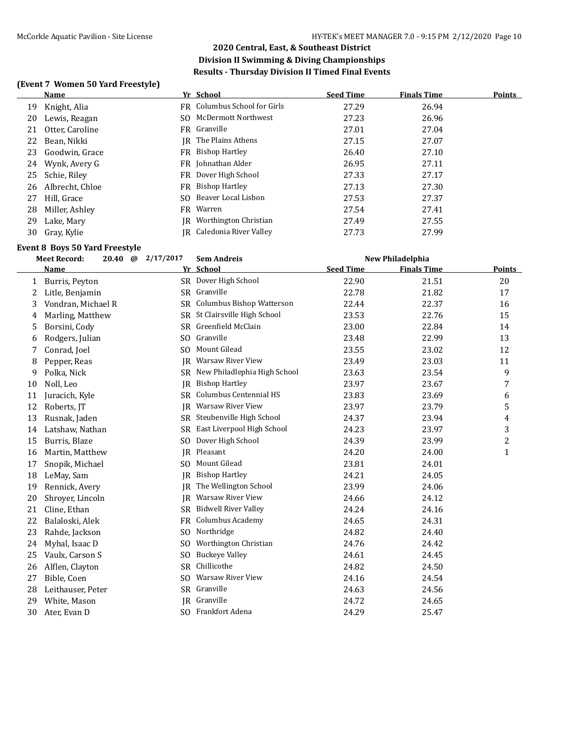#### **(Event 7 Women 50 Yard Freestyle)**

|    | Name            |    | Yr School                           | <b>Seed Time</b> | <b>Finals Time</b> | <b>Points</b> |
|----|-----------------|----|-------------------------------------|------------------|--------------------|---------------|
| 19 | Knight, Alia    |    | <b>FR</b> Columbus School for Girls | 27.29            | 26.94              |               |
| 20 | Lewis, Reagan   |    | SO McDermott Northwest              | 27.23            | 26.96              |               |
| 21 | Otter, Caroline |    | FR Granville                        | 27.01            | 27.04              |               |
| 22 | Bean, Nikki     |    | <b>IR</b> The Plains Athens         | 27.15            | 27.07              |               |
| 23 | Goodwin, Grace  |    | FR Bishop Hartley                   | 26.40            | 27.10              |               |
| 24 | Wynk, Avery G   |    | FR Johnathan Alder                  | 26.95            | 27.11              |               |
| 25 | Schie, Riley    |    | FR Dover High School                | 27.33            | 27.17              |               |
| 26 | Albrecht, Chloe |    | FR Bishop Hartley                   | 27.13            | 27.30              |               |
| 27 | Hill, Grace     |    | SO Beaver Local Lisbon              | 27.53            | 27.37              |               |
| 28 | Miller, Ashley  |    | FR Warren                           | 27.54            | 27.41              |               |
| 29 | Lake, Mary      | IR | Worthington Christian               | 27.49            | 27.55              |               |
| 30 | Gray, Kylie     |    | JR Caledonia River Valley           | 27.73            | 27.99              |               |

# **Event 8 Boys 50 Yard Freestyle**

|    | <b>Meet Record:</b> |  | 2/17/2017<br>$20.40 \quad \textcircled{a}$ | <b>Sem Andreis</b>           | New Philadelphia |                    |               |
|----|---------------------|--|--------------------------------------------|------------------------------|------------------|--------------------|---------------|
|    | <b>Name</b>         |  | Yr                                         | School                       | <b>Seed Time</b> | <b>Finals Time</b> | <b>Points</b> |
| 1  | Burris, Peyton      |  |                                            | SR Dover High School         | 22.90            | 21.51              | 20            |
| 2  | Litle, Benjamin     |  |                                            | SR Granville                 | 22.78            | 21.82              | 17            |
| 3  | Vondran, Michael R  |  | SR.                                        | Columbus Bishop Watterson    | 22.44            | 22.37              | 16            |
| 4  | Marling, Matthew    |  | SR.                                        | St Clairsville High School   | 23.53            | 22.76              | 15            |
| 5  | Borsini, Cody       |  |                                            | SR Greenfield McClain        | 23.00            | 22.84              | 14            |
| 6  | Rodgers, Julian     |  |                                            | SO Granville                 | 23.48            | 22.99              | 13            |
| 7  | Conrad, Joel        |  | SO.                                        | <b>Mount Gilead</b>          | 23.55            | 23.02              | 12            |
| 8  | Pepper, Reas        |  | IR                                         | Warsaw River View            | 23.49            | 23.03              | 11            |
| 9  | Polka, Nick         |  | SR                                         | New Philadlephia High School | 23.63            | 23.54              | 9             |
| 10 | Noll, Leo           |  | IR                                         | <b>Bishop Hartley</b>        | 23.97            | 23.67              | 7             |
| 11 | Juracich, Kyle      |  | SR.                                        | Columbus Centennial HS       | 23.83            | 23.69              | 6             |
| 12 | Roberts, JT         |  | IR                                         | Warsaw River View            | 23.97            | 23.79              | 5             |
| 13 | Rusnak, Jaden       |  | <b>SR</b>                                  | Steubenville High School     | 24.37            | 23.94              | 4             |
| 14 | Latshaw, Nathan     |  | SR.                                        | East Liverpool High School   | 24.23            | 23.97              | 3             |
| 15 | Burris, Blaze       |  | SO.                                        | Dover High School            | 24.39            | 23.99              | 2             |
| 16 | Martin, Matthew     |  |                                            | JR Pleasant                  | 24.20            | 24.00              | $\mathbf{1}$  |
| 17 | Snopik, Michael     |  | SO.                                        | Mount Gilead                 | 23.81            | 24.01              |               |
| 18 | LeMay, Sam          |  | IR                                         | <b>Bishop Hartley</b>        | 24.21            | 24.05              |               |
| 19 | Rennick, Avery      |  | IR.                                        | The Wellington School        | 23.99            | 24.06              |               |
| 20 | Shroyer, Lincoln    |  | IR                                         | Warsaw River View            | 24.66            | 24.12              |               |
| 21 | Cline, Ethan        |  | SR.                                        | <b>Bidwell River Valley</b>  | 24.24            | 24.16              |               |
| 22 | Balaloski, Alek     |  | FR                                         | <b>Columbus Academy</b>      | 24.65            | 24.31              |               |
| 23 | Rahde, Jackson      |  | SO.                                        | Northridge                   | 24.82            | 24.40              |               |
| 24 | Myhal, Isaac D      |  | SO.                                        | Worthington Christian        | 24.76            | 24.42              |               |
| 25 | Vaulx, Carson S     |  | SO.                                        | <b>Buckeye Valley</b>        | 24.61            | 24.45              |               |
| 26 | Alflen, Clayton     |  | <b>SR</b>                                  | Chillicothe                  | 24.82            | 24.50              |               |
| 27 | Bible, Coen         |  | SO.                                        | Warsaw River View            | 24.16            | 24.54              |               |
| 28 | Leithauser, Peter   |  |                                            | SR Granville                 | 24.63            | 24.56              |               |
| 29 | White, Mason        |  |                                            | JR Granville                 | 24.72            | 24.65              |               |
| 30 | Ater, Evan D        |  |                                            | SO Frankfort Adena           | 24.29            | 25.47              |               |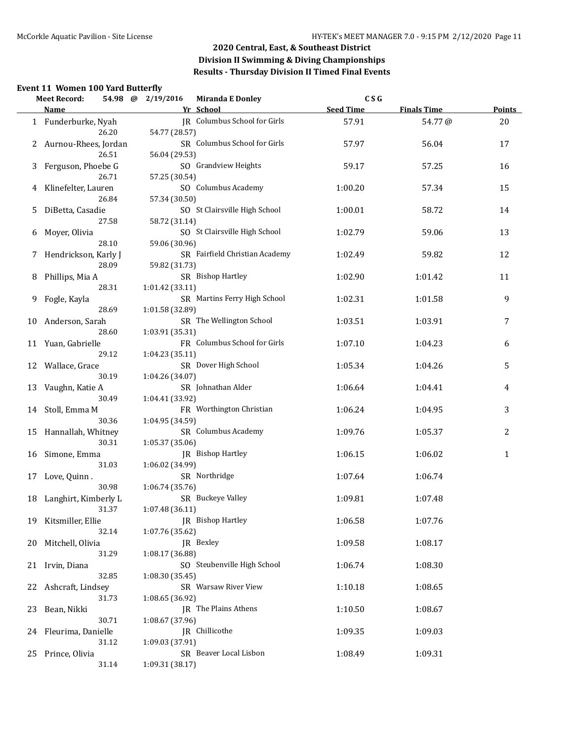## **Event 11 Women 100 Yard Butterfly**

|    | <b>Meet Record:</b>    | 54.98 @ | 2/19/2016       | <b>Miranda E Donley</b>        | C S G            |                    |               |
|----|------------------------|---------|-----------------|--------------------------------|------------------|--------------------|---------------|
|    | Name                   |         |                 | Yr School                      | <b>Seed Time</b> | <b>Finals Time</b> | <b>Points</b> |
|    | 1 Funderburke, Nyah    | 26.20   | 54.77 (28.57)   | JR Columbus School for Girls   | 57.91            | 54.77@             | 20            |
|    | 2 Aurnou-Rhees, Jordan | 26.51   | 56.04 (29.53)   | SR Columbus School for Girls   | 57.97            | 56.04              | 17            |
| 3  | Ferguson, Phoebe G     | 26.71   | 57.25 (30.54)   | SO Grandview Heights           | 59.17            | 57.25              | 16            |
| 4  | Klinefelter, Lauren    | 26.84   | 57.34 (30.50)   | SO Columbus Academy            | 1:00.20          | 57.34              | 15            |
| 5  | DiBetta, Casadie       | 27.58   |                 | SO St Clairsville High School  | 1:00.01          | 58.72              | 14            |
| 6  | Moyer, Olivia          |         | 58.72 (31.14)   | SO St Clairsville High School  | 1:02.79          | 59.06              | 13            |
| 7  | Hendrickson, Karly J   | 28.10   | 59.06 (30.96)   | SR Fairfield Christian Academy | 1:02.49          | 59.82              | 12            |
| 8  | Phillips, Mia A        | 28.09   | 59.82 (31.73)   | SR Bishop Hartley              | 1:02.90          | 1:01.42            | 11            |
| 9  | Fogle, Kayla           | 28.31   | 1:01.42 (33.11) | SR Martins Ferry High School   | 1:02.31          | 1:01.58            | 9             |
| 10 | Anderson, Sarah        | 28.69   | 1:01.58 (32.89) | SR The Wellington School       | 1:03.51          | 1:03.91            | 7             |
|    | 11 Yuan, Gabrielle     | 28.60   | 1:03.91 (35.31) | FR Columbus School for Girls   | 1:07.10          | 1:04.23            | 6             |
|    | 12 Wallace, Grace      | 29.12   | 1:04.23 (35.11) | SR Dover High School           | 1:05.34          | 1:04.26            | 5             |
| 13 | Vaughn, Katie A        | 30.19   | 1:04.26 (34.07) | SR Johnathan Alder             | 1:06.64          | 1:04.41            | 4             |
| 14 | Stoll, Emma M          | 30.49   | 1:04.41 (33.92) | FR Worthington Christian       | 1:06.24          | 1:04.95            | 3             |
| 15 | Hannallah, Whitney     | 30.36   | 1:04.95 (34.59) | SR Columbus Academy            | 1:09.76          | 1:05.37            | 2             |
| 16 | Simone, Emma           | 30.31   | 1:05.37 (35.06) | JR Bishop Hartley              | 1:06.15          | 1:06.02            | 1             |
| 17 | Love, Quinn.           | 31.03   | 1:06.02 (34.99) | SR Northridge                  | 1:07.64          | 1:06.74            |               |
| 18 | Langhirt, Kimberly L   | 30.98   | 1:06.74 (35.76) | SR Buckeye Valley              | 1:09.81          | 1:07.48            |               |
|    | 19 Kitsmiller, Ellie   | 31.37   | 1:07.48 (36.11) | JR Bishop Hartley              | 1:06.58          | 1:07.76            |               |
| 20 | Mitchell, Olivia       | 32.14   | 1:07.76 (35.62) | JR Bexley                      | 1:09.58          | 1:08.17            |               |
| 21 | Irvin, Diana           | 31.29   | 1:08.17 (36.88) | SO Steubenville High School    | 1:06.74          | 1:08.30            |               |
| 22 | Ashcraft, Lindsey      | 32.85   | 1:08.30 (35.45) | SR Warsaw River View           | 1:10.18          | 1:08.65            |               |
| 23 | Bean, Nikki            | 31.73   | 1:08.65 (36.92) | IR The Plains Athens           | 1:10.50          | 1:08.67            |               |
|    | 24 Fleurima, Danielle  | 30.71   | 1:08.67 (37.96) | JR Chillicothe                 | 1:09.35          | 1:09.03            |               |
|    | 25 Prince, Olivia      | 31.12   | 1:09.03 (37.91) | SR Beaver Local Lisbon         | 1:08.49          | 1:09.31            |               |
|    |                        | 31.14   | 1:09.31 (38.17) |                                |                  |                    |               |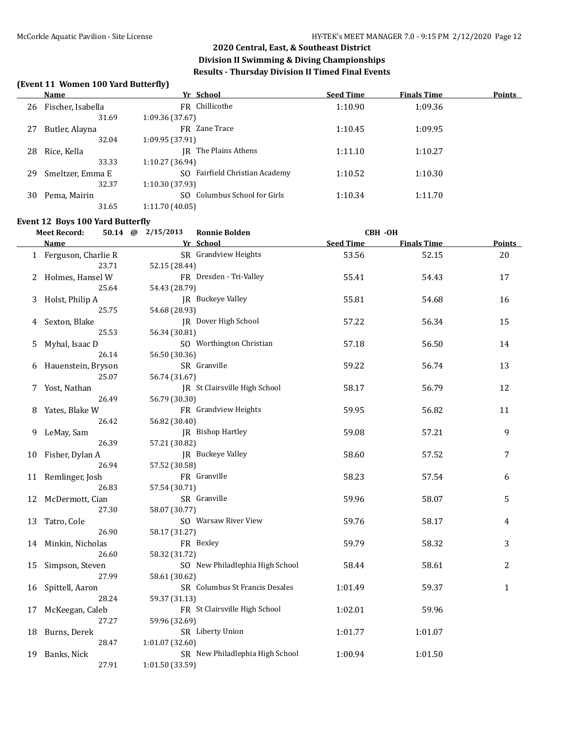### **(Event 11 Women 100 Yard Butterfly)**

|    | Name              | Yr School                        | <b>Seed Time</b> | <b>Finals Time</b> | <b>Points</b> |
|----|-------------------|----------------------------------|------------------|--------------------|---------------|
| 26 | Fischer, Isabella | FR Chillicothe                   | 1:10.90          | 1:09.36            |               |
|    | 31.69             | 1:09.36 (37.67)                  |                  |                    |               |
| 27 | Butler, Alayna    | FR Zane Trace                    | 1:10.45          | 1:09.95            |               |
|    | 32.04             | 1:09.95 (37.91)                  |                  |                    |               |
| 28 | Rice, Kella       | IR The Plains Athens             | 1:11.10          | 1:10.27            |               |
|    | 33.33             | 1:10.27 (36.94)                  |                  |                    |               |
| 29 | Smeltzer, Emma E  | SO Fairfield Christian Academy   | 1:10.52          | 1:10.30            |               |
|    | 32.37             | 1:10.30 (37.93)                  |                  |                    |               |
| 30 | Pema, Mairin      | Columbus School for Girls<br>SO. | 1:10.34          | 1:11.70            |               |
|    | 31.65             | 1:11.70 (40.05)                  |                  |                    |               |

#### **Event 12 Boys 100 Yard Butterfly**

| <b>Meet Record:</b> |                       | 50.14 $\omega$ | 2/15/2013<br><b>Ronnie Bolden</b> |                 | <b>CBH -OH</b>                  |                  |                    |               |
|---------------------|-----------------------|----------------|-----------------------------------|-----------------|---------------------------------|------------------|--------------------|---------------|
|                     | Name                  |                |                                   |                 | Yr School                       | <b>Seed Time</b> | <b>Finals Time</b> | <b>Points</b> |
|                     | 1 Ferguson, Charlie R |                |                                   |                 | SR Grandview Heights            | 53.56            | 52.15              | 20            |
|                     |                       | 23.71          |                                   | 52.15 (28.44)   |                                 |                  |                    |               |
|                     | 2 Holmes, Hansel W    |                |                                   |                 | FR Dresden - Tri-Valley         | 55.41            | 54.43              | 17            |
|                     |                       | 25.64          |                                   | 54.43 (28.79)   |                                 |                  |                    |               |
|                     | 3 Holst, Philip A     |                |                                   |                 | JR Buckeye Valley               | 55.81            | 54.68              | 16            |
|                     |                       | 25.75          |                                   | 54.68 (28.93)   |                                 |                  |                    |               |
| 4                   | Sexton, Blake         |                |                                   |                 | JR Dover High School            | 57.22            | 56.34              | 15            |
|                     |                       | 25.53          |                                   | 56.34 (30.81)   |                                 |                  |                    |               |
| 5                   | Myhal, Isaac D        |                |                                   |                 | SO Worthington Christian        | 57.18            | 56.50              | 14            |
|                     |                       | 26.14          |                                   | 56.50 (30.36)   |                                 |                  |                    |               |
| 6                   | Hauenstein, Bryson    |                |                                   |                 | SR Granville                    | 59.22            | 56.74              | 13            |
|                     |                       | 25.07          |                                   | 56.74 (31.67)   |                                 |                  |                    |               |
| 7                   | Yost, Nathan          |                |                                   |                 | JR St Clairsville High School   | 58.17            | 56.79              | 12            |
|                     |                       | 26.49          |                                   | 56.79 (30.30)   |                                 |                  |                    |               |
| 8                   | Yates, Blake W        |                |                                   |                 | FR Grandview Heights            | 59.95            | 56.82              | 11            |
|                     |                       | 26.42          |                                   | 56.82 (30.40)   |                                 |                  |                    |               |
| 9                   | LeMay, Sam            |                |                                   |                 | JR Bishop Hartley               | 59.08            | 57.21              | 9             |
|                     |                       | 26.39          |                                   | 57.21 (30.82)   |                                 |                  |                    |               |
|                     | 10 Fisher, Dylan A    |                |                                   |                 | JR Buckeye Valley               | 58.60            | 57.52              | 7             |
|                     |                       | 26.94          |                                   | 57.52 (30.58)   |                                 |                  |                    |               |
|                     | 11 Remlinger, Josh    |                |                                   |                 | FR Granville                    | 58.23            | 57.54              | 6             |
|                     |                       | 26.83          |                                   | 57.54 (30.71)   |                                 |                  |                    |               |
|                     | 12 McDermott, Cian    |                |                                   |                 | SR Granville                    | 59.96            | 58.07              | 5             |
|                     |                       | 27.30          |                                   | 58.07 (30.77)   |                                 |                  |                    |               |
| 13                  | Tatro, Cole           |                |                                   |                 | SO Warsaw River View            | 59.76            | 58.17              | 4             |
|                     |                       | 26.90          |                                   | 58.17 (31.27)   |                                 |                  |                    |               |
|                     | 14 Minkin, Nicholas   |                |                                   |                 | FR Bexley                       | 59.79            | 58.32              | 3             |
|                     |                       | 26.60          |                                   | 58.32 (31.72)   |                                 |                  |                    |               |
| 15                  | Simpson, Steven       |                |                                   |                 | SO New Philadlephia High School | 58.44            | 58.61              | 2             |
|                     |                       | 27.99          |                                   | 58.61 (30.62)   |                                 |                  |                    |               |
| 16                  | Spittell, Aaron       |                |                                   |                 | SR Columbus St Francis Desales  | 1:01.49          | 59.37              | $\mathbf{1}$  |
|                     |                       | 28.24          |                                   | 59.37 (31.13)   |                                 |                  |                    |               |
| 17                  | McKeegan, Caleb       |                |                                   |                 | FR St Clairsville High School   | 1:02.01          | 59.96              |               |
|                     |                       | 27.27          |                                   | 59.96 (32.69)   |                                 |                  |                    |               |
|                     | 18 Burns, Derek       |                |                                   |                 | SR Liberty Union                | 1:01.77          | 1:01.07            |               |
|                     |                       | 28.47          |                                   | 1:01.07 (32.60) |                                 |                  |                    |               |
| 19                  | Banks, Nick           |                |                                   |                 | SR New Philadlephia High School | 1:00.94          | 1:01.50            |               |
|                     |                       | 27.91          |                                   | 1:01.50 (33.59) |                                 |                  |                    |               |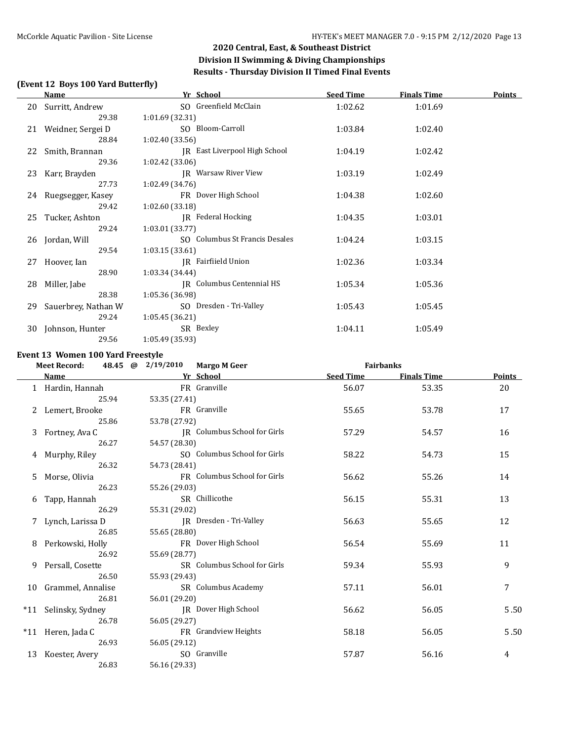### **(Event 12 Boys 100 Yard Butterfly)**

|    | Name                 | Yr School                      | <b>Seed Time</b> | <b>Finals Time</b> | <b>Points</b> |
|----|----------------------|--------------------------------|------------------|--------------------|---------------|
|    | 20 Surritt, Andrew   | SO Greenfield McClain          | 1:02.62          | 1:01.69            |               |
|    | 29.38                | 1:01.69 (32.31)                |                  |                    |               |
|    | 21 Weidner, Sergei D | SO Bloom-Carroll               | 1:03.84          | 1:02.40            |               |
|    | 28.84                | 1:02.40(33.56)                 |                  |                    |               |
| 22 | Smith, Brannan       | JR East Liverpool High School  | 1:04.19          | 1:02.42            |               |
|    | 29.36                | 1:02.42 (33.06)                |                  |                    |               |
|    | 23 Karr, Brayden     | <b>IR</b> Warsaw River View    | 1:03.19          | 1:02.49            |               |
|    | 27.73                | 1:02.49 (34.76)                |                  |                    |               |
| 24 | Ruegsegger, Kasey    | FR Dover High School           | 1:04.38          | 1:02.60            |               |
|    | 29.42                | 1:02.60(33.18)                 |                  |                    |               |
| 25 | Tucker, Ashton       | IR Federal Hocking             | 1:04.35          | 1:03.01            |               |
|    | 29.24                | 1:03.01 (33.77)                |                  |                    |               |
|    | 26 Jordan, Will      | SO Columbus St Francis Desales | 1:04.24          | 1:03.15            |               |
|    | 29.54                | 1:03.15(33.61)                 |                  |                    |               |
| 27 | Hoover, Ian          | IR Fairfiield Union            | 1:02.36          | 1:03.34            |               |
|    | 28.90                | 1:03.34 (34.44)                |                  |                    |               |
| 28 | Miller, Jabe         | IR Columbus Centennial HS      | 1:05.34          | 1:05.36            |               |
|    | 28.38                | 1:05.36 (36.98)                |                  |                    |               |
| 29 | Sauerbrey, Nathan W  | SO Dresden - Tri-Valley        | 1:05.43          | 1:05.45            |               |
|    | 29.24                | 1:05.45(36.21)                 |                  |                    |               |
| 30 | Johnson, Hunter      | SR Bexley                      | 1:04.11          | 1:05.49            |               |
|    | 29.56                | 1:05.49 (35.93)                |                  |                    |               |

#### **Event 13 Women 100 Yard Freestyle**

|    | <b>Meet Record:</b>  | 48.45 @ 2/19/2010 Margo M Geer |                              |                  | <b>Fairbanks</b>   |                |
|----|----------------------|--------------------------------|------------------------------|------------------|--------------------|----------------|
|    | <b>Name</b>          |                                | Yr School                    | <b>Seed Time</b> | <b>Finals Time</b> | Points         |
|    | 1 Hardin, Hannah     |                                | FR Granville                 | 56.07            | 53.35              | 20             |
|    | 25.94                | 53.35 (27.41)                  |                              |                  |                    |                |
|    | Lemert, Brooke       |                                | FR Granville                 | 55.65            | 53.78              | 17             |
|    | 25.86                | 53.78 (27.92)                  |                              |                  |                    |                |
| 3  | Fortney, Ava C       |                                | JR Columbus School for Girls | 57.29            | 54.57              | 16             |
|    | 26.27                | 54.57 (28.30)                  |                              |                  |                    |                |
|    | 4 Murphy, Riley      |                                | SO Columbus School for Girls | 58.22            | 54.73              | 15             |
|    | 26.32                | 54.73 (28.41)                  |                              |                  |                    |                |
| 5. | Morse, Olivia        |                                | FR Columbus School for Girls | 56.62            | 55.26              | 14             |
|    | 26.23                | 55.26 (29.03)                  |                              |                  |                    |                |
| 6  | Tapp, Hannah         |                                | SR Chillicothe               | 56.15            | 55.31              | 13             |
|    | 26.29                | 55.31 (29.02)                  |                              |                  |                    |                |
|    | 7 Lynch, Larissa D   |                                | JR Dresden - Tri-Valley      | 56.63            | 55.65              | 12             |
|    | 26.85                | 55.65 (28.80)                  |                              |                  |                    |                |
| 8  | Perkowski, Holly     |                                | FR Dover High School         | 56.54            | 55.69              | 11             |
|    | 26.92                | 55.69 (28.77)                  |                              |                  |                    |                |
| 9  | Persall, Cosette     |                                | SR Columbus School for Girls | 59.34            | 55.93              | 9              |
|    | 26.50                | 55.93 (29.43)                  |                              |                  |                    |                |
|    | 10 Grammel, Annalise |                                | SR Columbus Academy          | 57.11            | 56.01              | $\overline{7}$ |
|    | 26.81                | 56.01 (29.20)                  |                              |                  |                    |                |
|    | *11 Selinsky, Sydney |                                | <b>IR</b> Dover High School  | 56.62            | 56.05              | 5.50           |
|    | 26.78                | 56.05 (29.27)                  |                              |                  |                    |                |
|    | *11 Heren, Jada C    |                                | FR Grandview Heights         | 58.18            | 56.05              | 5.50           |
|    | 26.93                | 56.05 (29.12)                  |                              |                  |                    |                |
| 13 | Koester, Avery       |                                | SO Granville                 | 57.87            | 56.16              | 4              |
|    | 26.83                | 56.16 (29.33)                  |                              |                  |                    |                |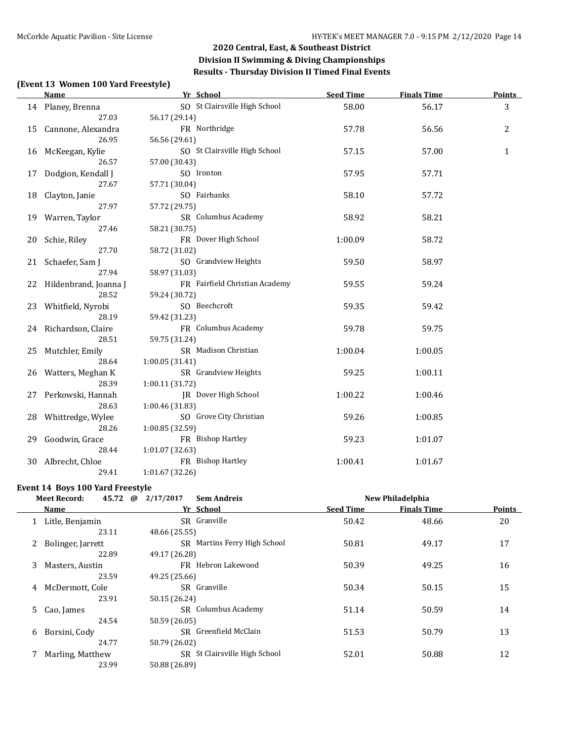### **(Event 13 Women 100 Yard Freestyle)**

|    | <b>Name</b>              | Yr School                      | <b>Seed Time</b> | <b>Finals Time</b> | <b>Points</b> |
|----|--------------------------|--------------------------------|------------------|--------------------|---------------|
|    | 14 Planey, Brenna        | SO St Clairsville High School  | 58.00            | 56.17              | 3             |
|    | 27.03                    | 56.17 (29.14)                  |                  |                    |               |
|    | 15 Cannone, Alexandra    | FR Northridge                  | 57.78            | 56.56              | 2             |
|    | 26.95                    | 56.56 (29.61)                  |                  |                    |               |
| 16 | McKeegan, Kylie          | SO St Clairsville High School  | 57.15            | 57.00              | 1             |
|    | 26.57                    | 57.00 (30.43)                  |                  |                    |               |
| 17 | Dodgion, Kendall J       | SO Ironton                     | 57.95            | 57.71              |               |
|    | 27.67                    | 57.71 (30.04)                  |                  |                    |               |
| 18 | Clayton, Janie           | SO Fairbanks                   | 58.10            | 57.72              |               |
|    | 27.97                    | 57.72 (29.75)                  |                  |                    |               |
|    | 19 Warren, Taylor        | SR Columbus Academy            | 58.92            | 58.21              |               |
|    | 27.46                    | 58.21 (30.75)                  |                  |                    |               |
| 20 | Schie, Riley             | FR Dover High School           | 1:00.09          | 58.72              |               |
|    | 27.70                    | 58.72 (31.02)                  |                  |                    |               |
| 21 | Schaefer, Sam J          | SO Grandview Heights           | 59.50            | 58.97              |               |
|    | 27.94                    | 58.97 (31.03)                  |                  |                    |               |
|    | 22 Hildenbrand, Joanna J | FR Fairfield Christian Academy | 59.55            | 59.24              |               |
|    | 28.52                    | 59.24 (30.72)                  |                  |                    |               |
|    | 23 Whitfield, Nyrobi     | SO Beechcroft                  | 59.35            | 59.42              |               |
|    | 28.19                    | 59.42 (31.23)                  |                  |                    |               |
|    | 24 Richardson, Claire    | FR Columbus Academy            | 59.78            | 59.75              |               |
|    | 28.51                    | 59.75 (31.24)                  |                  |                    |               |
|    | 25 Mutchler, Emily       | SR Madison Christian           | 1:00.04          | 1:00.05            |               |
|    | 28.64                    | 1:00.05 (31.41)                |                  |                    |               |
|    | 26 Watters, Meghan K     | SR Grandview Heights           | 59.25            | 1:00.11            |               |
|    | 28.39                    | 1:00.11 (31.72)                |                  |                    |               |
| 27 | Perkowski, Hannah        | JR Dover High School           | 1:00.22          | 1:00.46            |               |
|    | 28.63                    | 1:00.46 (31.83)                |                  |                    |               |
| 28 | Whittredge, Wylee        | SO Grove City Christian        | 59.26            | 1:00.85            |               |
|    | 28.26                    | 1:00.85 (32.59)                |                  |                    |               |
| 29 | Goodwin, Grace           | FR Bishop Hartley              | 59.23            | 1:01.07            |               |
|    | 28.44                    | 1:01.07 (32.63)                |                  |                    |               |
| 30 | Albrecht, Chloe          | FR Bishop Hartley              | 1:00.41          | 1:01.67            |               |
|    | 29.41                    | 1:01.67 (32.26)                |                  |                    |               |

#### **Event 14 Boys 100 Yard Freestyle**

|   | 45.72<br><b>Meet Record:</b> | 2/17/2017<br>$\omega$ | <b>Sem Andreis</b>            |                  | New Philadelphia   |               |
|---|------------------------------|-----------------------|-------------------------------|------------------|--------------------|---------------|
|   | <b>Name</b>                  |                       | Yr School                     | <b>Seed Time</b> | <b>Finals Time</b> | <b>Points</b> |
|   | Litle, Benjamin              |                       | SR Granville                  | 50.42            | 48.66              | 20            |
|   | 23.11                        | 48.66 (25.55)         |                               |                  |                    |               |
|   | 2 Bolinger, Jarrett          |                       | SR Martins Ferry High School  | 50.81            | 49.17              | 17            |
|   | 22.89                        | 49.17 (26.28)         |                               |                  |                    |               |
| 3 | Masters, Austin              |                       | FR Hebron Lakewood            | 50.39            | 49.25              | 16            |
|   | 23.59                        | 49.25 (25.66)         |                               |                  |                    |               |
| 4 | McDermott, Cole              |                       | SR Granville                  | 50.34            | 50.15              | 15            |
|   | 23.91                        | 50.15 (26.24)         |                               |                  |                    |               |
|   | 5 Cao, James                 |                       | SR Columbus Academy           | 51.14            | 50.59              | 14            |
|   | 24.54                        | 50.59 (26.05)         |                               |                  |                    |               |
| 6 | Borsini, Cody                |                       | SR Greenfield McClain         | 51.53            | 50.79              | 13            |
|   | 24.77                        | 50.79 (26.02)         |                               |                  |                    |               |
|   | Marling, Matthew             |                       | SR St Clairsville High School | 52.01            | 50.88              | 12            |
|   | 23.99                        | 50.88 (26.89)         |                               |                  |                    |               |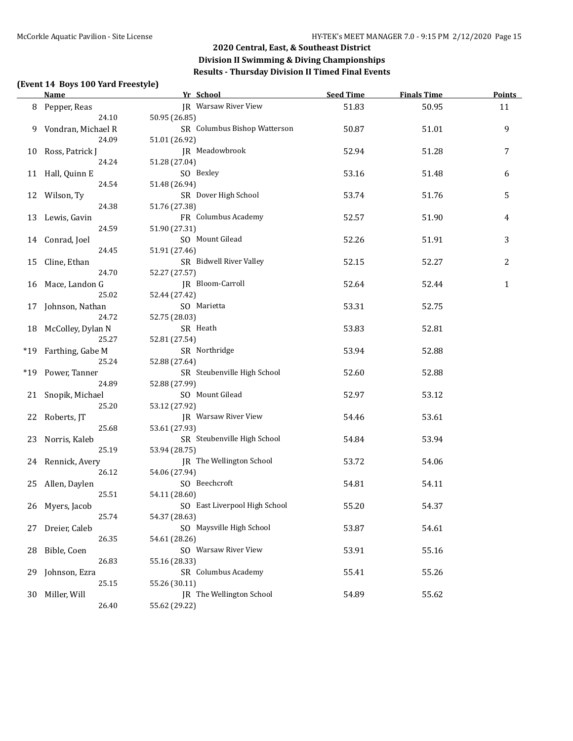### **(Event 14 Boys 100 Yard Freestyle)**

|    | <b>Name</b>          | Yr School                     | <b>Seed Time</b> | <b>Finals Time</b> | <b>Points</b> |
|----|----------------------|-------------------------------|------------------|--------------------|---------------|
|    | 8 Pepper, Reas       | JR Warsaw River View          | 51.83            | 50.95              | 11            |
|    | 24.10                | 50.95 (26.85)                 |                  |                    |               |
|    | 9 Vondran, Michael R | SR Columbus Bishop Watterson  | 50.87            | 51.01              | 9             |
|    | 24.09                | 51.01 (26.92)                 |                  |                    |               |
|    | 10 Ross, Patrick J   | JR Meadowbrook                | 52.94            | 51.28              | 7             |
|    | 24.24                | 51.28 (27.04)                 |                  |                    |               |
|    | 11 Hall, Quinn E     | SO Bexley                     | 53.16            | 51.48              | 6             |
|    | 24.54                | 51.48 (26.94)                 |                  |                    |               |
|    | 12 Wilson, Ty        | SR Dover High School          | 53.74            | 51.76              | 5             |
|    | 24.38                | 51.76 (27.38)                 |                  |                    |               |
|    | 13 Lewis, Gavin      | FR Columbus Academy           | 52.57            | 51.90              | 4             |
|    | 24.59                | 51.90 (27.31)                 |                  |                    |               |
|    | 14 Conrad, Joel      | SO Mount Gilead               | 52.26            | 51.91              | 3             |
|    | 24.45                | 51.91 (27.46)                 |                  |                    |               |
|    | 15 Cline, Ethan      | SR Bidwell River Valley       | 52.15            | 52.27              | 2             |
|    | 24.70                | 52.27 (27.57)                 |                  |                    |               |
|    | 16 Mace, Landon G    | JR Bloom-Carroll              | 52.64            | 52.44              | 1             |
|    | 25.02                | 52.44 (27.42)                 |                  |                    |               |
|    | 17 Johnson, Nathan   | SO Marietta                   | 53.31            | 52.75              |               |
|    | 24.72                | 52.75 (28.03)                 |                  |                    |               |
|    | 18 McColley, Dylan N | SR Heath                      | 53.83            | 52.81              |               |
|    | 25.27                | 52.81 (27.54)                 |                  |                    |               |
|    | *19 Farthing, Gabe M | SR Northridge                 | 53.94            | 52.88              |               |
|    | 25.24                | 52.88 (27.64)                 |                  |                    |               |
|    | *19 Power, Tanner    | SR Steubenville High School   | 52.60            | 52.88              |               |
|    | 24.89                | 52.88 (27.99)                 |                  |                    |               |
|    | 21 Snopik, Michael   | SO Mount Gilead               | 52.97            | 53.12              |               |
|    | 25.20                | 53.12 (27.92)                 |                  |                    |               |
| 22 | Roberts, JT          | JR Warsaw River View          | 54.46            | 53.61              |               |
|    | 25.68                | 53.61 (27.93)                 |                  |                    |               |
|    | 23 Norris, Kaleb     | SR Steubenville High School   | 54.84            | 53.94              |               |
|    | 25.19                | 53.94 (28.75)                 |                  |                    |               |
|    | 24 Rennick, Avery    | JR The Wellington School      | 53.72            | 54.06              |               |
|    | 26.12                | 54.06 (27.94)                 |                  |                    |               |
|    | 25 Allen, Daylen     | SO Beechcroft                 | 54.81            | 54.11              |               |
|    | 25.51                | 54.11 (28.60)                 |                  |                    |               |
|    | 26 Myers, Jacob      | SO East Liverpool High School | 55.20            | 54.37              |               |
|    | 25.74                | 54.37 (28.63)                 |                  |                    |               |
| 27 | Dreier, Caleb        | SO Maysville High School      | 53.87            | 54.61              |               |
|    | 26.35                | 54.61 (28.26)                 |                  |                    |               |
| 28 | Bible, Coen          | SO Warsaw River View          | 53.91            | 55.16              |               |
|    | 26.83                | 55.16 (28.33)                 |                  |                    |               |
| 29 | Johnson, Ezra        | SR Columbus Academy           | 55.41            | 55.26              |               |
|    | 25.15                | 55.26 (30.11)                 |                  |                    |               |
| 30 | Miller, Will         | JR The Wellington School      | 54.89            | 55.62              |               |
|    | 26.40                | 55.62 (29.22)                 |                  |                    |               |
|    |                      |                               |                  |                    |               |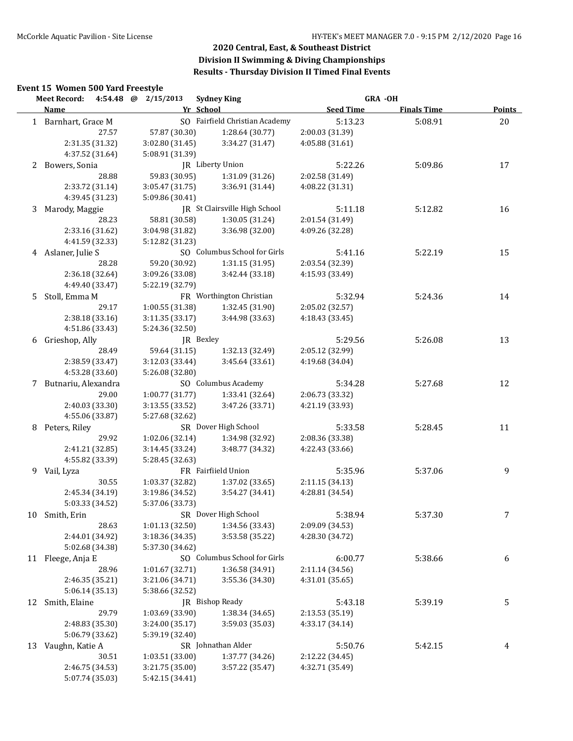# **Event 15 Women 500 Yard Freestyle**

|    | 4:54.48 @ 2/15/2013<br><b>Meet Record:</b> |                 | <b>Sydney King</b>             |                  | <b>GRA -OH</b>     |               |
|----|--------------------------------------------|-----------------|--------------------------------|------------------|--------------------|---------------|
|    | <b>Name</b>                                |                 | Yr School                      | <b>Seed Time</b> | <b>Finals Time</b> | <b>Points</b> |
|    | 1 Barnhart, Grace M                        |                 | SO Fairfield Christian Academy | 5:13.23          | 5:08.91            | 20            |
|    | 27.57                                      | 57.87 (30.30)   | 1:28.64 (30.77)                | 2:00.03 (31.39)  |                    |               |
|    | 2:31.35 (31.32)                            | 3:02.80 (31.45) | 3:34.27 (31.47)                | 4:05.88 (31.61)  |                    |               |
|    | 4:37.52 (31.64)                            | 5:08.91 (31.39) |                                |                  |                    |               |
| 2  | Bowers, Sonia                              |                 | IR Liberty Union               | 5:22.26          | 5:09.86            | 17            |
|    | 28.88                                      | 59.83 (30.95)   | 1:31.09 (31.26)                | 2:02.58 (31.49)  |                    |               |
|    | 2:33.72 (31.14)                            | 3:05.47 (31.75) | 3:36.91 (31.44)                | 4:08.22 (31.31)  |                    |               |
|    | 4:39.45 (31.23)                            | 5:09.86 (30.41) |                                |                  |                    |               |
| 3  | Marody, Maggie                             |                 | JR St Clairsville High School  | 5:11.18          | 5:12.82            | 16            |
|    | 28.23                                      | 58.81 (30.58)   | 1:30.05 (31.24)                | 2:01.54 (31.49)  |                    |               |
|    | 2:33.16 (31.62)                            | 3:04.98 (31.82) | 3:36.98 (32.00)                | 4:09.26 (32.28)  |                    |               |
|    | 4:41.59 (32.33)                            | 5:12.82 (31.23) |                                |                  |                    |               |
| 4  | Aslaner, Julie S                           |                 | SO Columbus School for Girls   | 5:41.16          | 5:22.19            | 15            |
|    | 28.28                                      | 59.20 (30.92)   | 1:31.15 (31.95)                | 2:03.54 (32.39)  |                    |               |
|    | 2:36.18 (32.64)                            | 3:09.26 (33.08) | 3:42.44 (33.18)                | 4:15.93 (33.49)  |                    |               |
|    | 4:49.40 (33.47)                            | 5:22.19 (32.79) |                                |                  |                    |               |
|    |                                            |                 |                                |                  |                    |               |
| 5. | Stoll, Emma M<br>29.17                     |                 | FR Worthington Christian       | 5:32.94          | 5:24.36            | 14            |
|    |                                            | 1:00.55 (31.38) | 1:32.45 (31.90)                | 2:05.02 (32.57)  |                    |               |
|    | 2:38.18 (33.16)                            | 3:11.35 (33.17) | 3:44.98 (33.63)                | 4:18.43 (33.45)  |                    |               |
|    | 4:51.86 (33.43)                            | 5:24.36 (32.50) |                                |                  |                    |               |
| 6  | Grieshop, Ally                             |                 | JR Bexley                      | 5:29.56          | 5:26.08            | 13            |
|    | 28.49                                      | 59.64 (31.15)   | 1:32.13 (32.49)                | 2:05.12 (32.99)  |                    |               |
|    | 2:38.59 (33.47)                            | 3:12.03 (33.44) | 3:45.64 (33.61)                | 4:19.68 (34.04)  |                    |               |
|    | 4:53.28 (33.60)                            | 5:26.08 (32.80) |                                |                  |                    |               |
|    | 7 Butnariu, Alexandra                      |                 | SO Columbus Academy            | 5:34.28          | 5:27.68            | 12            |
|    | 29.00                                      | 1:00.77 (31.77) | 1:33.41 (32.64)                | 2:06.73 (33.32)  |                    |               |
|    | 2:40.03 (33.30)                            | 3:13.55 (33.52) | 3:47.26 (33.71)                | 4:21.19 (33.93)  |                    |               |
|    | 4:55.06 (33.87)                            | 5:27.68 (32.62) |                                |                  |                    |               |
| 8  | Peters, Riley                              |                 | SR Dover High School           | 5:33.58          | 5:28.45            | 11            |
|    | 29.92                                      | 1:02.06 (32.14) | 1:34.98 (32.92)                | 2:08.36 (33.38)  |                    |               |
|    | 2:41.21 (32.85)                            | 3:14.45 (33.24) | 3:48.77 (34.32)                | 4:22.43 (33.66)  |                    |               |
|    | 4:55.82 (33.39)                            | 5:28.45 (32.63) |                                |                  |                    |               |
|    | 9 Vail, Lyza                               |                 | FR Fairfiield Union            | 5:35.96          | 5:37.06            | 9             |
|    | 30.55                                      | 1:03.37 (32.82) | 1:37.02 (33.65)                | 2:11.15 (34.13)  |                    |               |
|    | 2:45.34 (34.19)                            | 3:19.86 (34.52) | 3:54.27 (34.41)                | 4:28.81 (34.54)  |                    |               |
|    | 5:03.33 (34.52)                            | 5:37.06 (33.73) |                                |                  |                    |               |
|    | 10 Smith, Erin                             |                 | SR Dover High School           | 5:38.94          | 5:37.30            | 7             |
|    | 28.63                                      | 1:01.13 (32.50) | 1:34.56 (33.43)                | 2:09.09 (34.53)  |                    |               |
|    | 2:44.01 (34.92)                            | 3:18.36 (34.35) | 3:53.58 (35.22)                | 4:28.30 (34.72)  |                    |               |
|    | 5:02.68 (34.38)                            | 5:37.30 (34.62) |                                |                  |                    |               |
|    | 11 Fleege, Anja E                          |                 | SO Columbus School for Girls   | 6:00.77          | 5:38.66            | 6             |
|    | 28.96                                      | 1:01.67 (32.71) | 1:36.58 (34.91)                | 2:11.14 (34.56)  |                    |               |
|    | 2:46.35 (35.21)                            | 3:21.06 (34.71) | 3:55.36 (34.30)                | 4:31.01 (35.65)  |                    |               |
|    | 5:06.14 (35.13)                            | 5:38.66 (32.52) |                                |                  |                    |               |
|    | 12 Smith, Elaine                           |                 | JR Bishop Ready                | 5:43.18          | 5:39.19            | 5             |
|    | 29.79                                      | 1:03.69 (33.90) | 1:38.34 (34.65)                | 2:13.53 (35.19)  |                    |               |
|    | 2:48.83 (35.30)                            | 3:24.00 (35.17) | 3:59.03 (35.03)                | 4:33.17 (34.14)  |                    |               |
|    | 5:06.79 (33.62)                            | 5:39.19 (32.40) |                                |                  |                    |               |
|    | 13 Vaughn, Katie A                         |                 | SR Johnathan Alder             | 5:50.76          | 5:42.15            | 4             |
|    | 30.51                                      | 1:03.51 (33.00) | 1:37.77 (34.26)                | 2:12.22 (34.45)  |                    |               |
|    | 2:46.75 (34.53)                            | 3:21.75 (35.00) | 3:57.22 (35.47)                | 4:32.71 (35.49)  |                    |               |
|    | 5:07.74 (35.03)                            | 5:42.15 (34.41) |                                |                  |                    |               |
|    |                                            |                 |                                |                  |                    |               |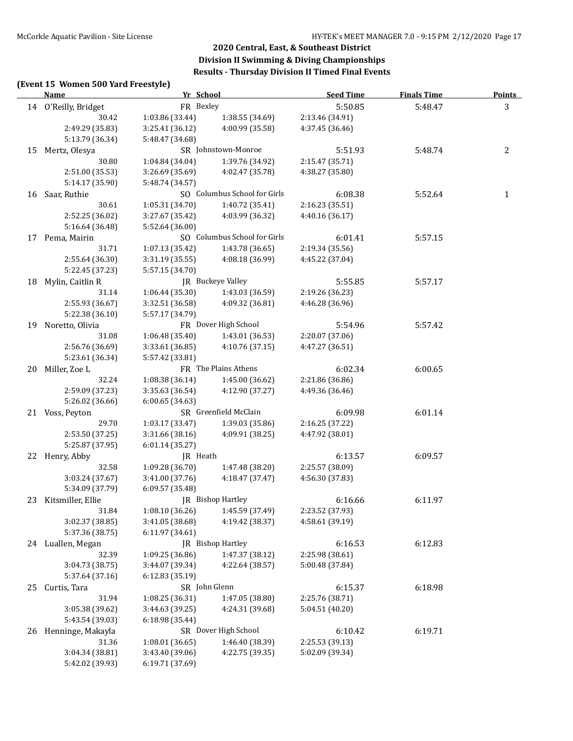#### **(Event 15 Women 500 Yard Freestyle)**

|    | <u>Name</u>          | Yr School       |                              | <b>Seed Time</b> | <b>Finals Time</b> | <b>Points</b> |
|----|----------------------|-----------------|------------------------------|------------------|--------------------|---------------|
|    | 14 O'Reilly, Bridget | FR Bexley       |                              | 5:50.85          | 5:48.47            | 3             |
|    | 30.42                | 1:03.86 (33.44) | 1:38.55 (34.69)              | 2:13.46 (34.91)  |                    |               |
|    | 2:49.29 (35.83)      | 3:25.41 (36.12) | 4:00.99 (35.58)              | 4:37.45 (36.46)  |                    |               |
|    | 5:13.79 (36.34)      | 5:48.47 (34.68) |                              |                  |                    |               |
|    | 15 Mertz, Olesya     |                 | SR Johnstown-Monroe          | 5:51.93          | 5:48.74            | 2             |
|    | 30.80                | 1:04.84 (34.04) | 1:39.76 (34.92)              | 2:15.47 (35.71)  |                    |               |
|    | 2:51.00 (35.53)      | 3:26.69 (35.69) | 4:02.47 (35.78)              | 4:38.27 (35.80)  |                    |               |
|    | 5:14.17 (35.90)      | 5:48.74 (34.57) |                              |                  |                    |               |
|    | 16 Saar, Ruthie      |                 | SO Columbus School for Girls | 6:08.38          | 5:52.64            | $\mathbf{1}$  |
|    | 30.61                | 1:05.31(34.70)  | 1:40.72 (35.41)              | 2:16.23 (35.51)  |                    |               |
|    | 2:52.25 (36.02)      | 3:27.67 (35.42) | 4:03.99 (36.32)              | 4:40.16 (36.17)  |                    |               |
|    | 5:16.64 (36.48)      | 5:52.64 (36.00) |                              |                  |                    |               |
|    | 17 Pema, Mairin      |                 | SO Columbus School for Girls | 6:01.41          | 5:57.15            |               |
|    | 31.71                | 1:07.13 (35.42) | 1:43.78 (36.65)              | 2:19.34 (35.56)  |                    |               |
|    | 2:55.64 (36.30)      | 3:31.19 (35.55) | 4:08.18 (36.99)              | 4:45.22 (37.04)  |                    |               |
|    | 5:22.45 (37.23)      | 5:57.15 (34.70) |                              |                  |                    |               |
|    | 18 Mylin, Caitlin R  |                 | JR Buckeye Valley            |                  | 5:57.17            |               |
|    | 31.14                | 1:06.44(35.30)  |                              | 5:55.85          |                    |               |
|    |                      |                 | 1:43.03 (36.59)              | 2:19.26 (36.23)  |                    |               |
|    | 2:55.93 (36.67)      | 3:32.51 (36.58) | 4:09.32 (36.81)              | 4:46.28 (36.96)  |                    |               |
|    | 5:22.38 (36.10)      | 5:57.17 (34.79) |                              |                  |                    |               |
|    | 19 Noretto, Olivia   |                 | FR Dover High School         | 5:54.96          | 5:57.42            |               |
|    | 31.08                | 1:06.48 (35.40) | 1:43.01 (36.53)              | 2:20.07 (37.06)  |                    |               |
|    | 2:56.76 (36.69)      | 3:33.61 (36.85) | 4:10.76 (37.15)              | 4:47.27 (36.51)  |                    |               |
|    | 5:23.61 (36.34)      | 5:57.42 (33.81) |                              |                  |                    |               |
|    | 20 Miller, Zoe L     |                 | FR The Plains Athens         | 6:02.34          | 6:00.65            |               |
|    | 32.24                | 1:08.38 (36.14) | 1:45.00 (36.62)              | 2:21.86 (36.86)  |                    |               |
|    | 2:59.09 (37.23)      | 3:35.63 (36.54) | 4:12.90 (37.27)              | 4:49.36 (36.46)  |                    |               |
|    | 5:26.02 (36.66)      | 6:00.65 (34.63) |                              |                  |                    |               |
|    | 21 Voss, Peyton      |                 | SR Greenfield McClain        | 6:09.98          | 6:01.14            |               |
|    | 29.70                | 1:03.17 (33.47) | 1:39.03 (35.86)              | 2:16.25 (37.22)  |                    |               |
|    | 2:53.50 (37.25)      | 3:31.66 (38.16) | 4:09.91 (38.25)              | 4:47.92 (38.01)  |                    |               |
|    | 5:25.87 (37.95)      | 6:01.14 (35.27) |                              |                  |                    |               |
|    | 22 Henry, Abby       | JR Heath        |                              | 6:13.57          | 6:09.57            |               |
|    | 32.58                | 1:09.28 (36.70) | 1:47.48 (38.20)              | 2:25.57 (38.09)  |                    |               |
|    | 3:03.24 (37.67)      | 3:41.00 (37.76) | 4:18.47 (37.47)              | 4:56.30 (37.83)  |                    |               |
|    | 5:34.09 (37.79)      | 6:09.57 (35.48) |                              |                  |                    |               |
|    | 23 Kitsmiller, Ellie |                 | JR Bishop Hartley            | 6:16.66          | 6:11.97            |               |
|    | 31.84                | 1:08.10 (36.26) | 1:45.59 (37.49)              | 2:23.52 (37.93)  |                    |               |
|    | 3:02.37 (38.85)      | 3:41.05 (38.68) | 4:19.42 (38.37)              | 4:58.61 (39.19)  |                    |               |
|    | 5:37.36 (38.75)      | 6:11.97 (34.61) |                              |                  |                    |               |
|    | 24 Luallen, Megan    |                 | <b>IR</b> Bishop Hartley     | 6:16.53          | 6:12.83            |               |
|    | 32.39                | 1:09.25 (36.86) | 1:47.37 (38.12)              | 2:25.98 (38.61)  |                    |               |
|    | 3:04.73 (38.75)      | 3:44.07 (39.34) | 4:22.64 (38.57)              | 5:00.48 (37.84)  |                    |               |
|    | 5:37.64 (37.16)      | 6:12.83 (35.19) |                              |                  |                    |               |
| 25 | Curtis, Tara         | SR John Glenn   |                              | 6:15.37          | 6:18.98            |               |
|    | 31.94                | 1:08.25(36.31)  | 1:47.05 (38.80)              | 2:25.76 (38.71)  |                    |               |
|    | 3:05.38 (39.62)      | 3:44.63 (39.25) | 4:24.31 (39.68)              | 5:04.51 (40.20)  |                    |               |
|    | 5:43.54 (39.03)      | 6:18.98 (35.44) |                              |                  |                    |               |
|    | 26 Henninge, Makayla |                 | SR Dover High School         | 6:10.42          | 6:19.71            |               |
|    | 31.36                | 1:08.01 (36.65) | 1:46.40 (38.39)              | 2:25.53 (39.13)  |                    |               |
|    | 3:04.34 (38.81)      | 3:43.40 (39.06) | 4:22.75 (39.35)              | 5:02.09 (39.34)  |                    |               |
|    | 5:42.02 (39.93)      | 6:19.71 (37.69) |                              |                  |                    |               |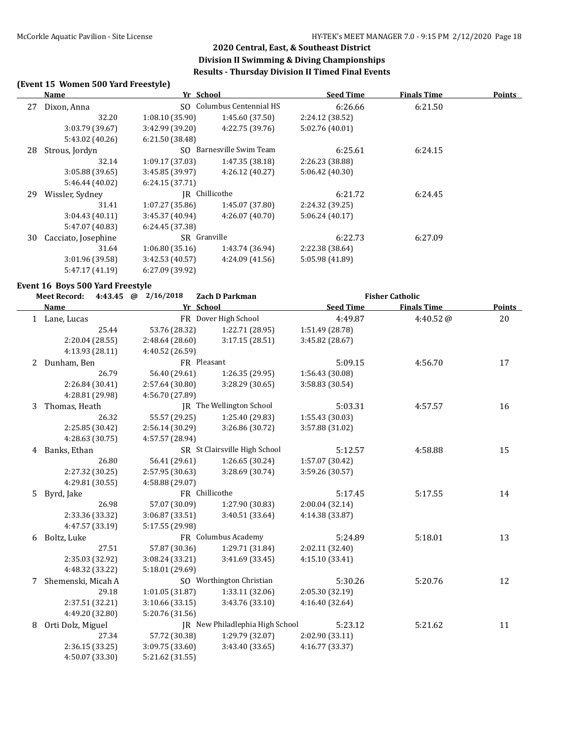### **(Event 15 Women 500 Yard Freestyle)**

| Name                |                           |                 | <b>Seed Time</b>                                   | <b>Finals Time</b> | <b>Points</b> |
|---------------------|---------------------------|-----------------|----------------------------------------------------|--------------------|---------------|
| Dixon, Anna         | SO Columbus Centennial HS |                 | 6:26.66                                            | 6:21.50            |               |
| 32.20               | 1:08.10(35.90)            | 1:45.60(37.50)  | 2:24.12 (38.52)                                    |                    |               |
| 3:03.79 (39.67)     | 3:42.99 (39.20)           | 4:22.75 (39.76) | 5:02.76 (40.01)                                    |                    |               |
| 5:43.02 (40.26)     | 6:21.50(38.48)            |                 |                                                    |                    |               |
| Strous, Jordyn      | SO.                       |                 | 6:25.61                                            | 6:24.15            |               |
| 32.14               | 1:09.17(37.03)            | 1:47.35 (38.18) | 2:26.23 (38.88)                                    |                    |               |
| 3:05.88 (39.65)     | 3:45.85(39.97)            | 4:26.12(40.27)  | 5:06.42(40.30)                                     |                    |               |
| 5:46.44 (40.02)     | 6:24.15(37.71)            |                 |                                                    |                    |               |
| Wissler, Sydney     |                           | IR Chillicothe  |                                                    | 6:24.45            |               |
| 31.41               | 1:07.27(35.86)            | 1:45.07 (37.80) | 2:24.32 (39.25)                                    |                    |               |
| 3:04.43(40.11)      | 3:45.37 (40.94)           | 4:26.07(40.70)  | 5:06.24(40.17)                                     |                    |               |
| 5:47.07 (40.83)     | 6:24.45 (37.38)           |                 |                                                    |                    |               |
| Cacciato, Josephine |                           |                 | 6:22.73                                            | 6:27.09            |               |
| 31.64               | 1:06.80(35.16)            | 1:43.74 (36.94) | 2:22.38 (38.64)                                    |                    |               |
| 3:01.96 (39.58)     | 3:42.53(40.57)            | 4:24.09(41.56)  | 5:05.98 (41.89)                                    |                    |               |
| 5:47.17 (41.19)     | 6:27.09 (39.92)           |                 |                                                    |                    |               |
|                     |                           |                 | Yr School<br>Barnesville Swim Team<br>SR Granville | 6:21.72            |               |

#### **Event 16 Boys 500 Yard Freestyle**

|   | <b>Meet Record:</b> | 4:43.45 @ 2/16/2018<br><b>Zach D Parkman</b> |                                 |                  | <b>Fisher Catholic</b> |        |
|---|---------------------|----------------------------------------------|---------------------------------|------------------|------------------------|--------|
|   | Name                |                                              | Yr School                       | <b>Seed Time</b> | <b>Finals Time</b>     | Points |
|   | 1 Lane, Lucas       |                                              | FR Dover High School            | 4:49.87          | 4:40.52@               | 20     |
|   | 25.44               | 53.76 (28.32)                                | 1:22.71 (28.95)                 | 1:51.49 (28.78)  |                        |        |
|   | 2:20.04 (28.55)     | 2:48.64 (28.60)                              | 3:17.15(28.51)                  | 3:45.82 (28.67)  |                        |        |
|   | 4:13.93 (28.11)     | 4:40.52 (26.59)                              |                                 |                  |                        |        |
| 2 | Dunham, Ben         |                                              | FR Pleasant                     | 5:09.15          | 4:56.70                | 17     |
|   | 26.79               | 56.40 (29.61)                                | 1:26.35(29.95)                  | 1:56.43 (30.08)  |                        |        |
|   | 2:26.84 (30.41)     | 2:57.64 (30.80)                              | 3:28.29 (30.65)                 | 3:58.83 (30.54)  |                        |        |
|   | 4:28.81 (29.98)     | 4:56.70 (27.89)                              |                                 |                  |                        |        |
| 3 | Thomas, Heath       |                                              | JR The Wellington School        | 5:03.31          | 4:57.57                | 16     |
|   | 26.32               | 55.57 (29.25)                                | 1:25.40 (29.83)                 | 1:55.43 (30.03)  |                        |        |
|   | 2:25.85 (30.42)     | 2:56.14 (30.29)                              | 3:26.86 (30.72)                 | 3:57.88 (31.02)  |                        |        |
|   | 4:28.63 (30.75)     | 4:57.57 (28.94)                              |                                 |                  |                        |        |
|   | 4 Banks, Ethan      |                                              | SR St Clairsville High School   | 5:12.57          | 4:58.88                | 15     |
|   | 26.80               | 56.41 (29.61)                                | 1:26.65(30.24)                  | 1:57.07 (30.42)  |                        |        |
|   | 2:27.32 (30.25)     | 2:57.95 (30.63)                              | 3:28.69 (30.74)                 | 3:59.26 (30.57)  |                        |        |
|   | 4:29.81 (30.55)     | 4:58.88 (29.07)                              |                                 |                  |                        |        |
| 5 | Byrd, Jake          |                                              | FR Chillicothe                  | 5:17.45          | 5:17.55                | 14     |
|   | 26.98               | 57.07 (30.09)                                | 1:27.90 (30.83)                 | 2:00.04 (32.14)  |                        |        |
|   | 2:33.36 (33.32)     | 3:06.87 (33.51)                              | 3:40.51 (33.64)                 | 4:14.38 (33.87)  |                        |        |
|   | 4:47.57 (33.19)     | 5:17.55 (29.98)                              |                                 |                  |                        |        |
| 6 | Boltz, Luke         |                                              | FR Columbus Academy             | 5:24.89          | 5:18.01                | 13     |
|   | 27.51               | 57.87 (30.36)                                | 1:29.71 (31.84)                 | 2:02.11 (32.40)  |                        |        |
|   | 2:35.03 (32.92)     | 3:08.24 (33.21)                              | 3:41.69(33.45)                  | 4:15.10 (33.41)  |                        |        |
|   | 4:48.32 (33.22)     | 5:18.01 (29.69)                              |                                 |                  |                        |        |
| 7 | Shemenski, Micah A  |                                              | SO Worthington Christian        | 5:30.26          | 5:20.76                | 12     |
|   | 29.18               | 1:01.05 (31.87)                              | 1:33.11 (32.06)                 | 2:05.30 (32.19)  |                        |        |
|   | 2:37.51 (32.21)     | 3:10.66(33.15)                               | 3:43.76 (33.10)                 | 4:16.40 (32.64)  |                        |        |
|   | 4:49.20 (32.80)     | 5:20.76 (31.56)                              |                                 |                  |                        |        |
| 8 | Orti Dolz, Miguel   |                                              | JR New Philadlephia High School | 5:23.12          | 5:21.62                | 11     |
|   | 27.34               | 57.72 (30.38)                                | 1:29.79 (32.07)                 | 2:02.90 (33.11)  |                        |        |
|   | 2:36.15 (33.25)     | 3:09.75 (33.60)                              | 3:43.40 (33.65)                 | 4:16.77 (33.37)  |                        |        |
|   | 4:50.07 (33.30)     | 5:21.62 (31.55)                              |                                 |                  |                        |        |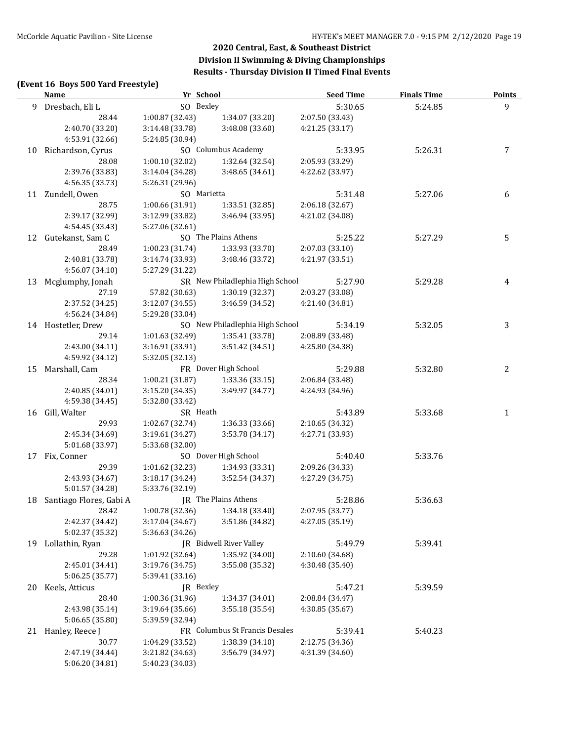### **(Event 16 Boys 500 Yard Freestyle)**

|    | <b>Name</b>                | Yr School       |                                 | <b>Seed Time</b> | <b>Finals Time</b> | <b>Points</b> |
|----|----------------------------|-----------------|---------------------------------|------------------|--------------------|---------------|
|    | 9 Dresbach, Eli L          | SO Bexley       |                                 | 5:30.65          | 5:24.85            | $\mathbf{9}$  |
|    | 28.44                      | 1:00.87 (32.43) | 1:34.07 (33.20)                 | 2:07.50 (33.43)  |                    |               |
|    | 2:40.70 (33.20)            | 3:14.48 (33.78) | 3:48.08 (33.60)                 | 4:21.25 (33.17)  |                    |               |
|    | 4:53.91 (32.66)            | 5:24.85 (30.94) |                                 |                  |                    |               |
|    | 10 Richardson, Cyrus       |                 | SO Columbus Academy             | 5:33.95          | 5:26.31            | 7             |
|    | 28.08                      | 1:00.10 (32.02) | 1:32.64 (32.54)                 | 2:05.93 (33.29)  |                    |               |
|    | 2:39.76 (33.83)            | 3:14.04 (34.28) | 3:48.65 (34.61)                 | 4:22.62 (33.97)  |                    |               |
|    | 4:56.35 (33.73)            | 5:26.31 (29.96) |                                 |                  |                    |               |
|    | 11 Zundell, Owen           | SO Marietta     |                                 | 5:31.48          | 5:27.06            | 6             |
|    | 28.75                      | 1:00.66 (31.91) | 1:33.51 (32.85)                 | 2:06.18 (32.67)  |                    |               |
|    | 2:39.17 (32.99)            | 3:12.99 (33.82) | 3:46.94 (33.95)                 | 4:21.02 (34.08)  |                    |               |
|    | 4:54.45 (33.43)            | 5:27.06 (32.61) |                                 |                  |                    |               |
|    | 12 Gutekanst, Sam C        |                 | SO The Plains Athens            | 5:25.22          | 5:27.29            | 5             |
|    | 28.49                      | 1:00.23 (31.74) | 1:33.93 (33.70)                 | 2:07.03 (33.10)  |                    |               |
|    | 2:40.81 (33.78)            | 3:14.74 (33.93) | 3:48.46 (33.72)                 | 4:21.97 (33.51)  |                    |               |
|    | 4:56.07 (34.10)            | 5:27.29 (31.22) |                                 |                  |                    |               |
|    | 13 Mcglumphy, Jonah        |                 | SR New Philadlephia High School | 5:27.90          | 5:29.28            | 4             |
|    | 27.19                      | 57.82 (30.63)   | 1:30.19(32.37)                  | 2:03.27 (33.08)  |                    |               |
|    | 2:37.52 (34.25)            | 3:12.07(34.55)  | 3:46.59 (34.52)                 | 4:21.40 (34.81)  |                    |               |
|    | 4:56.24 (34.84)            | 5:29.28 (33.04) |                                 |                  |                    |               |
|    | 14 Hostetler, Drew         |                 | SO New Philadlephia High School | 5:34.19          | 5:32.05            | 3             |
|    | 29.14                      | 1:01.63 (32.49) | 1:35.41(33.78)                  | 2:08.89 (33.48)  |                    |               |
|    | 2:43.00 (34.11)            | 3:16.91 (33.91) | 3:51.42 (34.51)                 | 4:25.80 (34.38)  |                    |               |
|    | 4:59.92 (34.12)            | 5:32.05 (32.13) |                                 |                  |                    |               |
|    | 15 Marshall, Cam           |                 | FR Dover High School            | 5:29.88          | 5:32.80            | 2             |
|    | 28.34                      | 1:00.21(31.87)  | 1:33.36 (33.15)                 | 2:06.84 (33.48)  |                    |               |
|    | 2:40.85 (34.01)            | 3:15.20 (34.35) | 3:49.97 (34.77)                 | 4:24.93 (34.96)  |                    |               |
|    | 4:59.38 (34.45)            | 5:32.80 (33.42) |                                 |                  |                    |               |
|    | 16 Gill, Walter            | SR Heath        |                                 | 5:43.89          | 5:33.68            | $\mathbf{1}$  |
|    | 29.93                      | 1:02.67 (32.74) | 1:36.33 (33.66)                 | 2:10.65 (34.32)  |                    |               |
|    | 2:45.34 (34.69)            | 3:19.61 (34.27) | 3:53.78 (34.17)                 | 4:27.71 (33.93)  |                    |               |
|    | 5:01.68 (33.97)            | 5:33.68 (32.00) |                                 |                  |                    |               |
| 17 | Fix, Conner                |                 | SO Dover High School            | 5:40.40          | 5:33.76            |               |
|    | 29.39                      | 1:01.62 (32.23) | 1:34.93 (33.31)                 | 2:09.26 (34.33)  |                    |               |
|    | 2:43.93 (34.67)            | 3:18.17(34.24)  | 3:52.54 (34.37)                 | 4:27.29 (34.75)  |                    |               |
|    | 5:01.57 (34.28)            | 5:33.76 (32.19) |                                 |                  |                    |               |
|    | 18 Santiago Flores, Gabi A |                 | JR The Plains Athens            | 5:28.86          | 5:36.63            |               |
|    | 28.42                      | 1:00.78 (32.36) | 1:34.18 (33.40)                 | 2:07.95 (33.77)  |                    |               |
|    | 2:42.37 (34.42)            | 3:17.04 (34.67) | 3:51.86 (34.82)                 | 4:27.05 (35.19)  |                    |               |
|    | 5:02.37 (35.32)            | 5:36.63 (34.26) |                                 |                  |                    |               |
|    | 19 Lollathin, Ryan         |                 | <b>IR</b> Bidwell River Valley  | 5:49.79          | 5:39.41            |               |
|    | 29.28                      | 1:01.92 (32.64) | 1:35.92 (34.00)                 | 2:10.60 (34.68)  |                    |               |
|    | 2:45.01 (34.41)            | 3:19.76 (34.75) | 3:55.08 (35.32)                 | 4:30.48 (35.40)  |                    |               |
|    | 5:06.25 (35.77)            | 5:39.41 (33.16) |                                 |                  |                    |               |
| 20 | Keels, Atticus             | JR Bexley       |                                 | 5:47.21          | 5:39.59            |               |
|    | 28.40                      | 1:00.36 (31.96) | 1:34.37 (34.01)                 | 2:08.84 (34.47)  |                    |               |
|    | 2:43.98 (35.14)            | 3:19.64 (35.66) | 3:55.18 (35.54)                 | 4:30.85 (35.67)  |                    |               |
|    | 5:06.65 (35.80)            | 5:39.59 (32.94) |                                 |                  |                    |               |
| 21 | Hanley, Reece J            |                 | FR Columbus St Francis Desales  | 5:39.41          | 5:40.23            |               |
|    | 30.77                      | 1:04.29 (33.52) | 1:38.39 (34.10)                 | 2:12.75 (34.36)  |                    |               |
|    | 2:47.19 (34.44)            | 3:21.82 (34.63) | 3:56.79 (34.97)                 | 4:31.39 (34.60)  |                    |               |
|    | 5:06.20 (34.81)            | 5:40.23 (34.03) |                                 |                  |                    |               |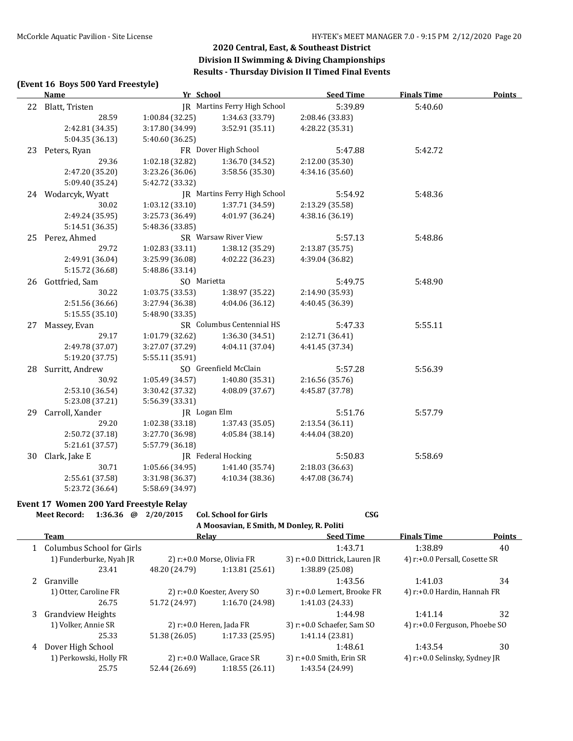### **(Event 16 Boys 500 Yard Freestyle)**

|    | <b>Name</b>        | Yr School                 |                              | <b>Seed Time</b> | <b>Finals Time</b> | <b>Points</b> |
|----|--------------------|---------------------------|------------------------------|------------------|--------------------|---------------|
|    | 22 Blatt, Tristen  |                           | JR Martins Ferry High School | 5:39.89          | 5:40.60            |               |
|    | 28.59              | 1:00.84 (32.25)           | 1:34.63 (33.79)              | 2:08.46 (33.83)  |                    |               |
|    | 2:42.81 (34.35)    | 3:17.80 (34.99)           | 3:52.91 (35.11)              | 4:28.22 (35.31)  |                    |               |
|    | 5:04.35 (36.13)    | 5:40.60 (36.25)           |                              |                  |                    |               |
|    | 23 Peters, Ryan    |                           | FR Dover High School         | 5:47.88          | 5:42.72            |               |
|    | 29.36              | 1:02.18 (32.82)           | 1:36.70 (34.52)              | 2:12.00 (35.30)  |                    |               |
|    | 2:47.20 (35.20)    | 3:23.26 (36.06)           | 3:58.56 (35.30)              | 4:34.16 (35.60)  |                    |               |
|    | 5:09.40 (35.24)    | 5:42.72 (33.32)           |                              |                  |                    |               |
|    | 24 Wodarcyk, Wyatt |                           | JR Martins Ferry High School | 5:54.92          | 5:48.36            |               |
|    | 30.02              | 1:03.12(33.10)            | 1:37.71 (34.59)              | 2:13.29 (35.58)  |                    |               |
|    | 2:49.24 (35.95)    | 3:25.73 (36.49)           | 4:01.97 (36.24)              | 4:38.16 (36.19)  |                    |               |
|    | 5:14.51 (36.35)    | 5:48.36 (33.85)           |                              |                  |                    |               |
|    | 25 Perez, Ahmed    |                           | SR Warsaw River View         | 5:57.13          | 5:48.86            |               |
|    | 29.72              | 1:02.83 (33.11)           | 1:38.12 (35.29)              | 2:13.87 (35.75)  |                    |               |
|    | 2:49.91 (36.04)    | 3:25.99 (36.08)           | 4:02.22 (36.23)              | 4:39.04 (36.82)  |                    |               |
|    | 5:15.72 (36.68)    | 5:48.86 (33.14)           |                              |                  |                    |               |
| 26 | Gottfried, Sam     | SO Marietta               |                              | 5:49.75          | 5:48.90            |               |
|    | 30.22              | 1:03.75 (33.53)           | 1:38.97 (35.22)              | 2:14.90 (35.93)  |                    |               |
|    | 2:51.56 (36.66)    | 3:27.94 (36.38)           | 4:04.06(36.12)               | 4:40.45 (36.39)  |                    |               |
|    | 5:15.55 (35.10)    | 5:48.90 (33.35)           |                              |                  |                    |               |
| 27 | Massey, Evan       | SR Columbus Centennial HS |                              | 5:47.33          | 5:55.11            |               |
|    | 29.17              | 1:01.79 (32.62)           | 1:36.30 (34.51)              | 2:12.71 (36.41)  |                    |               |
|    | 2:49.78 (37.07)    | 3:27.07 (37.29)           | 4:04.11 (37.04)              | 4:41.45 (37.34)  |                    |               |
|    | 5:19.20 (37.75)    | 5:55.11 (35.91)           |                              |                  |                    |               |
| 28 | Surritt, Andrew    |                           | SO Greenfield McClain        | 5:57.28          | 5:56.39            |               |
|    | 30.92              | 1:05.49 (34.57)           | 1:40.80 (35.31)              | 2:16.56 (35.76)  |                    |               |
|    | 2:53.10 (36.54)    | 3:30.42 (37.32)           | 4:08.09 (37.67)              | 4:45.87 (37.78)  |                    |               |
|    | 5:23.08 (37.21)    | 5:56.39 (33.31)           |                              |                  |                    |               |
| 29 | Carroll, Xander    | JR Logan Elm              |                              | 5:51.76          | 5:57.79            |               |
|    | 29.20              | 1:02.38 (33.18)           | 1:37.43 (35.05)              | 2:13.54 (36.11)  |                    |               |
|    | 2:50.72 (37.18)    | 3:27.70 (36.98)           | 4:05.84 (38.14)              | 4:44.04 (38.20)  |                    |               |
|    | 5:21.61 (37.57)    | 5:57.79 (36.18)           |                              |                  |                    |               |
| 30 | Clark, Jake E      |                           | JR Federal Hocking           | 5:50.83          | 5:58.69            |               |
|    | 30.71              | 1:05.66 (34.95)           | 1:41.40 (35.74)              | 2:18.03 (36.63)  |                    |               |
|    | 2:55.61 (37.58)    | 3:31.98 (36.37)           | 4:10.34 (38.36)              | 4:47.08 (36.74)  |                    |               |
|    | 5:23.72 (36.64)    | 5:58.69 (34.97)           |                              |                  |                    |               |

### **Event 17 Women 200 Yard Freestyle Relay**

|                                           | @                                                                                  | 2/20/2015                                                                             |                           | CSG                                                                                                                                                                     |                               |                                                                |  |  |  |
|-------------------------------------------|------------------------------------------------------------------------------------|---------------------------------------------------------------------------------------|---------------------------|-------------------------------------------------------------------------------------------------------------------------------------------------------------------------|-------------------------------|----------------------------------------------------------------|--|--|--|
| A Moosavian, E Smith, M Donley, R. Politi |                                                                                    |                                                                                       |                           |                                                                                                                                                                         |                               |                                                                |  |  |  |
|                                           |                                                                                    |                                                                                       |                           | <b>Seed Time</b>                                                                                                                                                        | <b>Finals Time</b>            | Points                                                         |  |  |  |
|                                           |                                                                                    |                                                                                       |                           | 1:43.71                                                                                                                                                                 | 1:38.89                       | 40                                                             |  |  |  |
|                                           |                                                                                    |                                                                                       |                           | 3) r:+0.0 Dittrick, Lauren JR                                                                                                                                           |                               |                                                                |  |  |  |
| 23.41                                     |                                                                                    | 48.20 (24.79)                                                                         | 1:13.81(25.61)            | 1:38.89 (25.08)                                                                                                                                                         |                               |                                                                |  |  |  |
|                                           |                                                                                    |                                                                                       |                           | 1:43.56                                                                                                                                                                 | 1:41.03                       | 34                                                             |  |  |  |
|                                           |                                                                                    |                                                                                       |                           | 3) r:+0.0 Lemert, Brooke FR                                                                                                                                             | 4) r:+0.0 Hardin, Hannah FR   |                                                                |  |  |  |
| 26.75                                     |                                                                                    | 51.72 (24.97)                                                                         | 1:16.70 (24.98)           | 1:41.03 (24.33)                                                                                                                                                         |                               |                                                                |  |  |  |
|                                           |                                                                                    |                                                                                       |                           | 1:44.98                                                                                                                                                                 | 1:41.14                       | 32                                                             |  |  |  |
| 1) Volker, Annie SR                       |                                                                                    |                                                                                       |                           | $3$ ) r: $+0.0$ Schaefer, Sam SO                                                                                                                                        | 4) r:+0.0 Ferguson, Phoebe SO |                                                                |  |  |  |
| 25.33                                     |                                                                                    | 51.38 (26.05)                                                                         | 1:17.33 (25.95)           | 1:41.14(23.81)                                                                                                                                                          |                               |                                                                |  |  |  |
|                                           |                                                                                    |                                                                                       |                           | 1:48.61                                                                                                                                                                 | 1:43.54                       | 30                                                             |  |  |  |
|                                           |                                                                                    |                                                                                       |                           | $3)$ r:+0.0 Smith, Erin SR                                                                                                                                              |                               |                                                                |  |  |  |
| 25.75                                     |                                                                                    | 52.44 (26.69)                                                                         | 1:18.55(26.11)            | 1:43.54 (24.99)                                                                                                                                                         |                               |                                                                |  |  |  |
|                                           | <b>Meet Record:</b><br>Team<br>Granville<br>Grandview Heights<br>Dover High School | 1:36.36<br>1) Funderburke, Nyah JR<br>1) Otter, Caroline FR<br>1) Perkowski, Holly FR | Columbus School for Girls | <b>Col. School for Girls</b><br><b>Relav</b><br>2) r:+0.0 Morse, Olivia FR<br>2) r:+0.0 Koester, Avery SO<br>2) $r: +0.0$ Heren, Jada FR<br>2) r:+0.0 Wallace, Grace SR |                               | 4) r:+0.0 Persall, Cosette SR<br>4) r:+0.0 Selinsky, Sydney JR |  |  |  |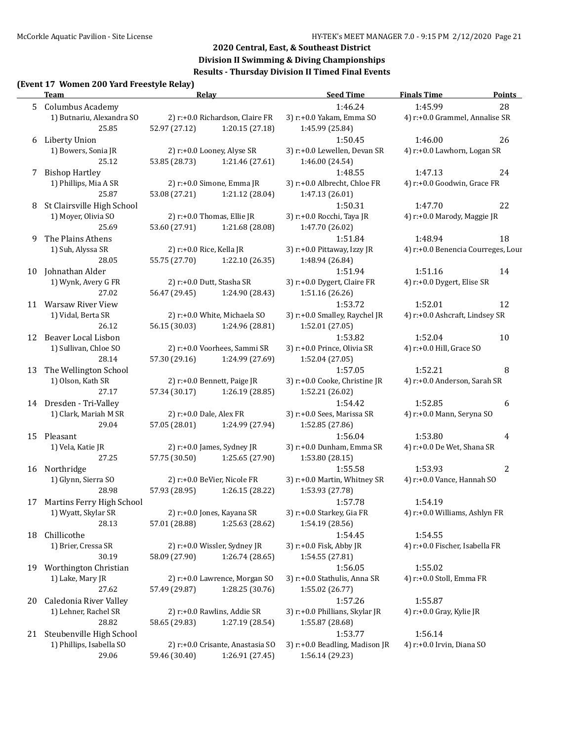### **Division II Swimming & Diving Championships Results - Thursday Division II Timed Final Events**

#### **(Event 17 Women 200 Yard Freestyle Relay)**

|    | Team                         | Relay                      |                                  | <b>Seed Time</b>               | <b>Finals Time</b>                 | <b>Points</b>  |
|----|------------------------------|----------------------------|----------------------------------|--------------------------------|------------------------------------|----------------|
|    | 5 Columbus Academy           |                            |                                  | 1:46.24                        | 1:45.99                            | 28             |
|    | 1) Butnariu, Alexandra SO    |                            | 2) r:+0.0 Richardson, Claire FR  | 3) r:+0.0 Yakam, Emma SO       | 4) r:+0.0 Grammel, Annalise SR     |                |
|    | 25.85                        | 52.97 (27.12)              | 1:20.15(27.18)                   | 1:45.99 (25.84)                |                                    |                |
| 6  | Liberty Union                |                            |                                  | 1:50.45                        | 1:46.00                            | 26             |
|    | 1) Bowers, Sonia JR          |                            | 2) r:+0.0 Looney, Alyse SR       | 3) r:+0.0 Lewellen, Devan SR   | 4) r:+0.0 Lawhorn, Logan SR        |                |
|    | 25.12                        | 53.85 (28.73)              | 1:21.46 (27.61)                  | 1:46.00 (24.54)                |                                    |                |
|    | 7 Bishop Hartley             |                            |                                  | 1:48.55                        | 1:47.13                            | 24             |
|    | 1) Phillips, Mia A SR        |                            | 2) r:+0.0 Simone, Emma JR        | 3) r:+0.0 Albrecht, Chloe FR   | 4) r:+0.0 Goodwin, Grace FR        |                |
|    | 25.87                        | 53.08 (27.21)              | 1:21.12 (28.04)                  | 1:47.13 (26.01)                |                                    |                |
| 8  | St Clairsville High School   |                            |                                  | 1:50.31                        | 1:47.70                            | 22             |
|    | 1) Moyer, Olivia SO          |                            | 2) r:+0.0 Thomas, Ellie JR       | 3) r:+0.0 Rocchi, Taya JR      | 4) r:+0.0 Marody, Maggie JR        |                |
|    | 25.69                        | 53.60 (27.91)              | 1:21.68 (28.08)                  | 1:47.70 (26.02)                |                                    |                |
| 9  | The Plains Athens            |                            |                                  | 1:51.84                        | 1:48.94                            | 18             |
|    | 1) Suh, Alyssa SR            | 2) r:+0.0 Rice, Kella JR   |                                  | 3) r:+0.0 Pittaway, Izzy JR    | 4) r:+0.0 Benencia Courreges, Lour |                |
|    | 28.05                        | 55.75 (27.70)              | 1:22.10 (26.35)                  | 1:48.94 (26.84)                |                                    |                |
|    | 10 Johnathan Alder           |                            |                                  | 1:51.94                        | 1:51.16                            | 14             |
|    | 1) Wynk, Avery G FR          |                            | 2) r:+0.0 Dutt, Stasha SR        | 3) r:+0.0 Dygert, Claire FR    | 4) r:+0.0 Dygert, Elise SR         |                |
|    | 27.02                        | 56.47 (29.45)              | 1:24.90 (28.43)                  | 1:51.16 (26.26)                |                                    |                |
| 11 | Warsaw River View            |                            |                                  | 1:53.72                        | 1:52.01                            | 12             |
|    | 1) Vidal, Berta SR           |                            | 2) r:+0.0 White, Michaela SO     | 3) r:+0.0 Smalley, Raychel JR  | 4) r:+0.0 Ashcraft, Lindsey SR     |                |
|    | 26.12                        | 56.15 (30.03)              | 1:24.96 (28.81)                  | 1:52.01 (27.05)                |                                    |                |
| 12 | Beaver Local Lisbon          |                            |                                  | 1:53.82                        | 1:52.04                            | 10             |
|    | 1) Sullivan, Chloe SO        |                            | 2) r:+0.0 Voorhees, Sammi SR     | 3) r:+0.0 Prince, Olivia SR    | 4) r:+0.0 Hill, Grace SO           |                |
|    | 28.14                        | 57.30 (29.16)              | 1:24.99 (27.69)                  | 1:52.04 (27.05)                |                                    |                |
| 13 | The Wellington School        |                            |                                  | 1:57.05                        | 1:52.21                            | 8              |
|    | 1) Olson, Kath SR            |                            | 2) r:+0.0 Bennett, Paige JR      | 3) r:+0.0 Cooke, Christine JR  | 4) r:+0.0 Anderson, Sarah SR       |                |
|    | 27.17                        | 57.34 (30.17)              | 1:26.19 (28.85)                  | 1:52.21 (26.02)                |                                    |                |
|    | 14 Dresden - Tri-Valley      |                            |                                  | 1:54.42                        | 1:52.85                            | 6              |
|    | 1) Clark, Mariah M SR        | 2) $r: +0.0$ Dale, Alex FR |                                  | 3) r:+0.0 Sees, Marissa SR     | 4) r:+0.0 Mann, Seryna SO          |                |
|    | 29.04                        | 57.05 (28.01)              | 1:24.99 (27.94)                  | 1:52.85 (27.86)                |                                    |                |
|    |                              |                            |                                  |                                |                                    |                |
|    | 15 Pleasant                  |                            |                                  | 1:56.04                        | 1:53.80                            | 4              |
|    | 1) Vela, Katie JR            |                            | 2) r:+0.0 James, Sydney JR       | 3) r:+0.0 Dunham, Emma SR      | 4) r:+0.0 De Wet, Shana SR         |                |
|    | 27.25                        | 57.75 (30.50)              | 1:25.65 (27.90)                  | 1:53.80 (28.15)                |                                    |                |
|    | 16 Northridge                |                            |                                  | 1:55.58                        | 1:53.93                            | $\overline{c}$ |
|    | 1) Glynn, Sierra SO          |                            | 2) r:+0.0 BeVier, Nicole FR      | 3) r:+0.0 Martin, Whitney SR   | 4) r:+0.0 Vance, Hannah SO         |                |
|    | 28.98                        | 57.93 (28.95)              | 1:26.15 (28.22)                  | 1:53.93 (27.78)                |                                    |                |
|    | 17 Martins Ferry High School |                            |                                  | 1:57.78                        | 1:54.19                            |                |
|    | 1) Wyatt, Skylar SR          |                            | 2) r:+0.0 Jones, Kayana SR       | 3) r:+0.0 Starkey, Gia FR      | 4) r:+0.0 Williams, Ashlyn FR      |                |
|    | 28.13                        | 57.01 (28.88)              | 1:25.63 (28.62)                  | 1:54.19 (28.56)                |                                    |                |
| 18 | Chillicothe                  |                            |                                  | 1:54.45                        | 1:54.55                            |                |
|    | 1) Brier, Cressa SR          |                            | 2) r:+0.0 Wissler, Sydney JR     | 3) r:+0.0 Fisk, Abby JR        | 4) r:+0.0 Fischer, Isabella FR     |                |
|    | 30.19                        | 58.09 (27.90)              | 1:26.74 (28.65)                  | 1:54.55 (27.81)                |                                    |                |
| 19 | Worthington Christian        |                            |                                  | 1:56.05                        | 1:55.02                            |                |
|    | 1) Lake, Mary JR             |                            | 2) r:+0.0 Lawrence, Morgan SO    | 3) r:+0.0 Stathulis, Anna SR   | 4) r:+0.0 Stoll, Emma FR           |                |
|    | 27.62                        | 57.49 (29.87)              | 1:28.25 (30.76)                  | 1:55.02 (26.77)                |                                    |                |
| 20 | Caledonia River Valley       |                            |                                  | 1:57.26                        | 1:55.87                            |                |
|    | 1) Lehner, Rachel SR         |                            | 2) r:+0.0 Rawlins, Addie SR      | 3) r:+0.0 Phillians, Skylar JR | 4) $r: +0.0$ Gray, Kylie JR        |                |
|    | 28.82                        | 58.65 (29.83)              | 1:27.19 (28.54)                  | 1:55.87 (28.68)                |                                    |                |
|    | 21 Steubenville High School  |                            |                                  | 1:53.77                        | 1:56.14                            |                |
|    | 1) Phillips, Isabella SO     |                            | 2) r:+0.0 Crisante, Anastasia SO | 3) r:+0.0 Beadling, Madison JR | 4) r:+0.0 Irvin, Diana SO          |                |
|    | 29.06                        | 59.46 (30.40)              | 1:26.91 (27.45)                  | 1:56.14 (29.23)                |                                    |                |
|    |                              |                            |                                  |                                |                                    |                |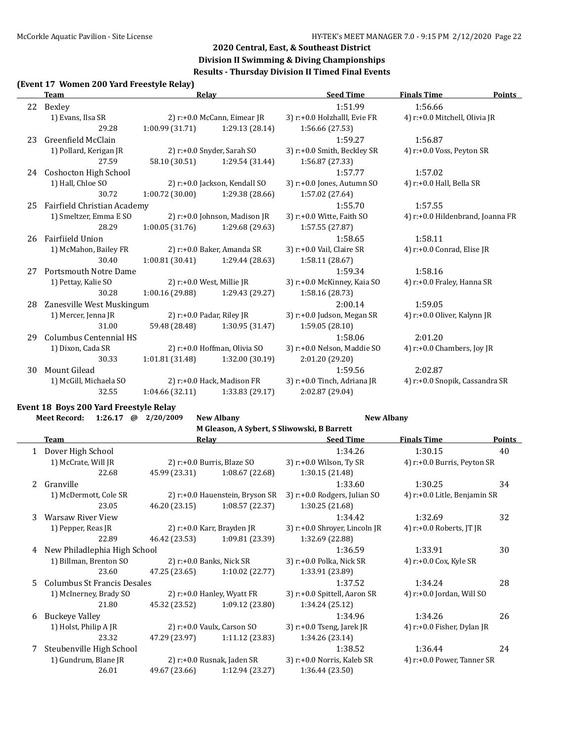### **Division II Swimming & Diving Championships Results - Thursday Division II Timed Final Events**

#### **(Event 17 Women 200 Yard Freestyle Relay)**

| Team |                              | Relav           |                                  | <b>Seed Time</b>              | <b>Finals Time</b><br><b>Points</b> |  |
|------|------------------------------|-----------------|----------------------------------|-------------------------------|-------------------------------------|--|
|      | 22 Bexley                    |                 |                                  | 1:51.99                       | 1:56.66                             |  |
|      | 1) Evans, Ilsa SR            |                 | 2) r:+0.0 McCann, Eimear JR      | 3) r:+0.0 Holzhalll, Evie FR  | 4) r:+0.0 Mitchell, Olivia JR       |  |
|      | 29.28                        | 1:00.99(31.71)  | 1:29.13 (28.14)                  | 1:56.66 (27.53)               |                                     |  |
| 23   | Greenfield McClain           |                 |                                  | 1:59.27                       | 1:56.87                             |  |
|      | 1) Pollard, Kerigan JR       |                 | 2) $r: +0.0$ Snyder, Sarah SO    | 3) r:+0.0 Smith, Beckley SR   | 4) r:+0.0 Voss, Peyton SR           |  |
|      | 27.59                        | 58.10 (30.51)   | 1:29.54 (31.44)                  | 1:56.87 (27.33)               |                                     |  |
|      | 24 Coshocton High School     |                 |                                  | 1:57.77                       | 1:57.02                             |  |
|      | 1) Hall, Chloe SO            |                 | 2) r:+0.0 Jackson, Kendall SO    | 3) r:+0.0 Jones, Autumn SO    | 4) $r: +0.0$ Hall, Bella SR         |  |
|      | 30.72                        | 1:00.72(30.00)  | 1:29.38 (28.66)                  | 1:57.02 (27.64)               |                                     |  |
| 25   | Fairfield Christian Academy  |                 |                                  | 1:55.70                       | 1:57.55                             |  |
|      | 1) Smeltzer, Emma E SO       |                 | 2) $r: +0.0$ Johnson, Madison JR | 3) $r: +0.0$ Witte, Faith SO  | 4) r:+0.0 Hildenbrand, Joanna FR    |  |
|      | 28.29                        | 1:00.05(31.76)  | 1:29.68 (29.63)                  | 1:57.55 (27.87)               |                                     |  |
| 26   | Fairfiield Union             |                 |                                  | 1:58.65                       | 1:58.11                             |  |
|      | 1) McMahon, Bailey FR        |                 | 2) r:+0.0 Baker, Amanda SR       | 3) r:+0.0 Vail, Claire SR     | 4) $r$ :+0.0 Conrad, Elise JR       |  |
|      | 30.40                        | 1:00.81(30.41)  | 1:29.44 (28.63)                  | 1:58.11 (28.67)               |                                     |  |
| 27   | <b>Portsmouth Notre Dame</b> |                 |                                  | 1:59.34                       | 1:58.16                             |  |
|      | 1) Pettay, Kalie SO          |                 | 2) $r+0.0$ West, Millie JR       | 3) r:+0.0 McKinney, Kaia SO   | 4) r:+0.0 Fraley, Hanna SR          |  |
|      | 30.28                        | 1:00.16 (29.88) | 1:29.43 (29.27)                  | 1:58.16 (28.73)               |                                     |  |
| 28   | Zanesville West Muskingum    |                 |                                  | 2:00.14                       | 1:59.05                             |  |
|      | 1) Mercer, Jenna JR          |                 | 2) $r: +0.0$ Padar, Riley JR     | 3) $r: +0.0$ Judson, Megan SR | 4) r:+0.0 Oliver, Kalynn JR         |  |
|      | 31.00                        | 59.48 (28.48)   | 1:30.95 (31.47)                  | 1:59.05 (28.10)               |                                     |  |
| 29   | Columbus Centennial HS       |                 |                                  | 1:58.06                       | 2:01.20                             |  |
|      | 1) Dixon, Cada SR            |                 | 2) r:+0.0 Hoffman, Olivia SO     | 3) r:+0.0 Nelson, Maddie SO   | 4) $r: +0.0$ Chambers, Joy JR       |  |
|      | 30.33                        | 1:01.81(31.48)  | 1:32.00 (30.19)                  | 2:01.20 (29.20)               |                                     |  |
| 30   | Mount Gilead                 |                 |                                  | 1:59.56                       | 2:02.87                             |  |
|      | 1) McGill, Michaela SO       |                 | 2) r:+0.0 Hack, Madison FR       | 3) r:+0.0 Tinch, Adriana JR   | 4) r:+0.0 Snopik, Cassandra SR      |  |
|      | 32.55                        | 1:04.66(32.11)  | 1:33.83(29.17)                   | 2:02.87 (29.04)               |                                     |  |

# **Event 18 Boys 200 Yard Freestyle Relay**

|    | <b>Meet Record:</b><br>1:26.17<br>@ | 2/20/2009                       | <b>New Albany</b>                           | <b>New Albany</b>             |                               |               |
|----|-------------------------------------|---------------------------------|---------------------------------------------|-------------------------------|-------------------------------|---------------|
|    |                                     |                                 | M Gleason, A Sybert, S Sliwowski, B Barrett |                               |                               |               |
|    | Team                                |                                 | <b>Relay</b>                                | <b>Seed Time</b>              | <b>Finals Time</b>            | <b>Points</b> |
| 1  | Dover High School                   |                                 |                                             | 1:34.26                       | 1:30.15                       | 40            |
|    | 1) McCrate, Will JR                 |                                 | 2) $r: +0.0$ Burris, Blaze SO               | 3) $r: +0.0$ Wilson, Ty SR    | 4) r:+0.0 Burris, Peyton SR   |               |
|    | 22.68                               | 45.99 (23.31)                   | 1:08.67 (22.68)                             | 1:30.15 (21.48)               |                               |               |
| 2  | Granville                           |                                 |                                             | 1:33.60                       | 1:30.25                       | 34            |
|    | 1) McDermott, Cole SR               | 2) r:+0.0 Hauenstein, Bryson SR |                                             | 3) r:+0.0 Rodgers, Julian SO  | 4) r:+0.0 Litle, Benjamin SR  |               |
|    | 23.05                               | 46.20 (23.15)                   | 1:08.57 (22.37)                             | 1:30.25 (21.68)               |                               |               |
| 3  | <b>Warsaw River View</b>            |                                 |                                             | 1:34.42                       | 1:32.69                       | 32            |
|    | 1) Pepper, Reas JR                  |                                 | 2) $r$ :+0.0 Karr, Brayden JR               | 3) r:+0.0 Shroyer, Lincoln JR | 4) $r: +0.0$ Roberts, JT JR   |               |
|    | 22.89                               | 46.42 (23.53)                   | 1:09.81 (23.39)                             | 1:32.69 (22.88)               |                               |               |
| 4  | New Philadlephia High School        |                                 |                                             | 1:36.59                       | 1:33.91                       | 30            |
|    | 1) Billman, Brenton SO              |                                 | 2) $r$ :+0.0 Banks, Nick SR                 | 3) r:+0.0 Polka, Nick SR      | 4) $r: +0.0$ Cox, Kyle SR     |               |
|    | 23.60                               | 47.25 (23.65)                   | 1:10.02 (22.77)                             | 1:33.91 (23.89)               |                               |               |
| 5. | <b>Columbus St Francis Desales</b>  |                                 |                                             | 1:37.52                       | 1:34.24                       | 28            |
|    | 1) McInerney, Brady SO              |                                 | 2) $r: +0.0$ Hanley, Wyatt FR               | 3) r:+0.0 Spittell, Aaron SR  | 4) $r$ :+0.0 Jordan, Will SO  |               |
|    | 21.80                               | 45.32 (23.52)                   | 1:09.12(23.80)                              | 1:34.24 (25.12)               |                               |               |
| 6  | <b>Buckeye Valley</b>               |                                 |                                             | 1:34.96                       | 1:34.26                       | 26            |
|    | 1) Holst, Philip A JR               |                                 | 2) r:+0.0 Vaulx, Carson SO                  | 3) r:+0.0 Tseng, Jarek JR     | 4) $r$ :+0.0 Fisher, Dylan JR |               |
|    | 23.32                               | 47.29 (23.97)                   | 1:11.12 (23.83)                             | 1:34.26 (23.14)               |                               |               |
| 7  | Steubenville High School            |                                 |                                             | 1:38.52                       | 1:36.44                       | 24            |
|    | 1) Gundrum, Blane JR                |                                 | 2) $r: +0.0$ Rusnak, Jaden SR               | 3) r:+0.0 Norris, Kaleb SR    | 4) r:+0.0 Power, Tanner SR    |               |
|    | 26.01                               | 49.67 (23.66)                   | 1:12.94 (23.27)                             | 1:36.44(23.50)                |                               |               |
|    |                                     |                                 |                                             |                               |                               |               |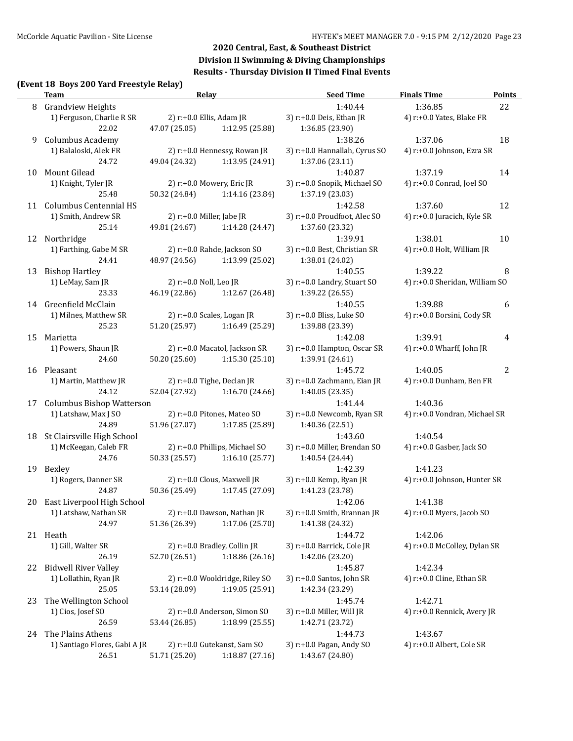### **(Event 18 Boys 200 Yard Freestyle Relay)**

|    | Event To Doys 200 Taru Freestyle Relay J<br><b>Team</b> | <b>Relay</b>           |                                | <b>Seed Time</b>              | <b>Finals Time</b>             | <b>Points</b> |
|----|---------------------------------------------------------|------------------------|--------------------------------|-------------------------------|--------------------------------|---------------|
| 8  | <b>Grandview Heights</b>                                |                        |                                | 1:40.44                       | 1:36.85                        | 22            |
|    | 1) Ferguson, Charlie R SR                               |                        | 2) r:+0.0 Ellis, Adam JR       | 3) r:+0.0 Deis, Ethan JR      | 4) r:+0.0 Yates, Blake FR      |               |
|    | 22.02                                                   | 47.07 (25.05)          | 1:12.95 (25.88)                | 1:36.85 (23.90)               |                                |               |
| 9  | Columbus Academy                                        |                        |                                | 1:38.26                       | 1:37.06                        | 18            |
|    | 1) Balaloski, Alek FR                                   |                        | 2) r:+0.0 Hennessy, Rowan JR   | 3) r:+0.0 Hannallah, Cyrus SO | 4) r:+0.0 Johnson, Ezra SR     |               |
|    | 24.72                                                   | 49.04 (24.32)          | 1:13.95 (24.91)                | 1:37.06 (23.11)               |                                |               |
| 10 | Mount Gilead                                            |                        |                                | 1:40.87                       | 1:37.19                        | 14            |
|    | 1) Knight, Tyler JR                                     |                        | 2) r:+0.0 Mowery, Eric JR      | 3) r:+0.0 Snopik, Michael SO  | 4) r:+0.0 Conrad, Joel SO      |               |
|    | 25.48                                                   | 50.32 (24.84)          | 1:14.16 (23.84)                | 1:37.19 (23.03)               |                                |               |
|    | 11 Columbus Centennial HS                               |                        |                                | 1:42.58                       | 1:37.60                        | 12            |
|    | 1) Smith, Andrew SR                                     |                        | 2) $r$ :+0.0 Miller, Jabe JR   | 3) r:+0.0 Proudfoot, Alec SO  | 4) r:+0.0 Juracich, Kyle SR    |               |
|    | 25.14                                                   | 49.81 (24.67)          | 1:14.28 (24.47)                | 1:37.60 (23.32)               |                                |               |
| 12 | Northridge                                              |                        |                                | 1:39.91                       | 1:38.01                        | 10            |
|    | 1) Farthing, Gabe M SR                                  |                        | 2) r:+0.0 Rahde, Jackson SO    | 3) r:+0.0 Best, Christian SR  | 4) r:+0.0 Holt, William JR     |               |
|    | 24.41                                                   | 48.97 (24.56)          | 1:13.99 (25.02)                | 1:38.01 (24.02)               |                                |               |
| 13 | <b>Bishop Hartley</b>                                   |                        |                                | 1:40.55                       | 1:39.22                        | 8             |
|    | 1) LeMay, Sam JR                                        | 2) r:+0.0 Noll, Leo JR |                                | 3) r:+0.0 Landry, Stuart SO   | 4) r:+0.0 Sheridan, William SO |               |
|    | 23.33                                                   | 46.19 (22.86)          | 1:12.67 (26.48)                | 1:39.22 (26.55)               |                                |               |
|    | 14 Greenfield McClain                                   |                        |                                | 1:40.55                       | 1:39.88                        | 6             |
|    | 1) Milnes, Matthew SR                                   |                        | 2) r:+0.0 Scales, Logan JR     | 3) r:+0.0 Bliss, Luke SO      | 4) r:+0.0 Borsini, Cody SR     |               |
|    | 25.23                                                   | 51.20 (25.97)          | 1:16.49 (25.29)                | 1:39.88 (23.39)               |                                |               |
| 15 | Marietta                                                |                        |                                | 1:42.08                       | 1:39.91                        | 4             |
|    | 1) Powers, Shaun JR                                     |                        | 2) r:+0.0 Macatol, Jackson SR  | 3) r:+0.0 Hampton, Oscar SR   | 4) $r: +0.0$ Wharff, John JR   |               |
|    | 24.60                                                   | 50.20 (25.60)          | 1:15.30(25.10)                 | 1:39.91 (24.61)               |                                |               |
| 16 | Pleasant                                                |                        |                                | 1:45.72                       | 1:40.05                        | 2             |
|    | 1) Martin, Matthew JR                                   |                        | 2) r:+0.0 Tighe, Declan JR     | 3) r:+0.0 Zachmann, Eian JR   | 4) r:+0.0 Dunham, Ben FR       |               |
|    | 24.12                                                   | 52.04 (27.92)          | 1:16.70 (24.66)                | 1:40.05 (23.35)               |                                |               |
| 17 | <b>Columbus Bishop Watterson</b>                        |                        |                                | 1:41.44                       | 1:40.36                        |               |
|    | 1) Latshaw, Max J SO                                    |                        | 2) r:+0.0 Pitones, Mateo SO    | 3) r:+0.0 Newcomb, Ryan SR    | 4) r:+0.0 Vondran, Michael SR  |               |
|    | 24.89                                                   | 51.96 (27.07)          | 1:17.85 (25.89)                | 1:40.36 (22.51)               |                                |               |
| 18 | St Clairsville High School                              |                        |                                | 1:43.60                       | 1:40.54                        |               |
|    | 1) McKeegan, Caleb FR                                   |                        | 2) r:+0.0 Phillips, Michael SO | 3) r:+0.0 Miller, Brendan SO  | 4) r:+0.0 Gasber, Jack SO      |               |
|    | 24.76                                                   | 50.33 (25.57)          | 1:16.10(25.77)                 | 1:40.54 (24.44)               |                                |               |
| 19 | Bexley                                                  |                        |                                | 1:42.39                       | 1:41.23                        |               |
|    | 1) Rogers, Danner SR                                    |                        | 2) r:+0.0 Clous, Maxwell JR    | 3) r:+0.0 Kemp, Ryan JR       | 4) r:+0.0 Johnson, Hunter SR   |               |
|    | 24.87                                                   | 50.36 (25.49)          | 1:17.45 (27.09)                | 1:41.23 (23.78)               |                                |               |
| 20 | East Liverpool High School                              |                        |                                | 1:42.06                       | 1:41.38                        |               |
|    | 1) Latshaw, Nathan SR                                   |                        | 2) r:+0.0 Dawson, Nathan JR    | 3) r:+0.0 Smith, Brannan JR   | 4) r:+0.0 Myers, Jacob SO      |               |
|    | 24.97                                                   | 51.36 (26.39)          | 1:17.06 (25.70)                | 1:41.38 (24.32)               |                                |               |
|    | 21 Heath                                                |                        |                                | 1:44.72                       | 1:42.06                        |               |
|    | 1) Gill, Walter SR                                      |                        | 2) r:+0.0 Bradley, Collin JR   | 3) r:+0.0 Barrick, Cole JR    | 4) r:+0.0 McColley, Dylan SR   |               |
|    | 26.19                                                   | 52.70 (26.51)          | 1:18.86 (26.16)                | 1:42.06 (23.20)               |                                |               |
|    | 22 Bidwell River Valley                                 |                        |                                | 1:45.87                       | 1:42.34                        |               |
|    | 1) Lollathin, Ryan JR                                   |                        | 2) r:+0.0 Wooldridge, Riley SO | 3) r:+0.0 Santos, John SR     | 4) r:+0.0 Cline, Ethan SR      |               |
|    | 25.05                                                   | 53.14 (28.09)          | 1:19.05(25.91)                 | 1:42.34 (23.29)               |                                |               |
| 23 | The Wellington School                                   |                        |                                | 1:45.74                       | 1:42.71                        |               |
|    | 1) Cios, Josef SO                                       |                        | 2) r:+0.0 Anderson, Simon SO   | 3) r:+0.0 Miller, Will JR     | 4) r:+0.0 Rennick, Avery JR    |               |
|    | 26.59                                                   | 53.44 (26.85)          | 1:18.99 (25.55)                | 1:42.71 (23.72)               |                                |               |
|    | 24 The Plains Athens                                    |                        |                                | 1:44.73                       | 1:43.67                        |               |
|    | 1) Santiago Flores, Gabi A JR                           |                        | 2) r:+0.0 Gutekanst, Sam SO    | 3) r:+0.0 Pagan, Andy SO      | 4) r:+0.0 Albert, Cole SR      |               |
|    | 26.51                                                   | 51.71 (25.20)          | 1:18.87 (27.16)                | 1:43.67 (24.80)               |                                |               |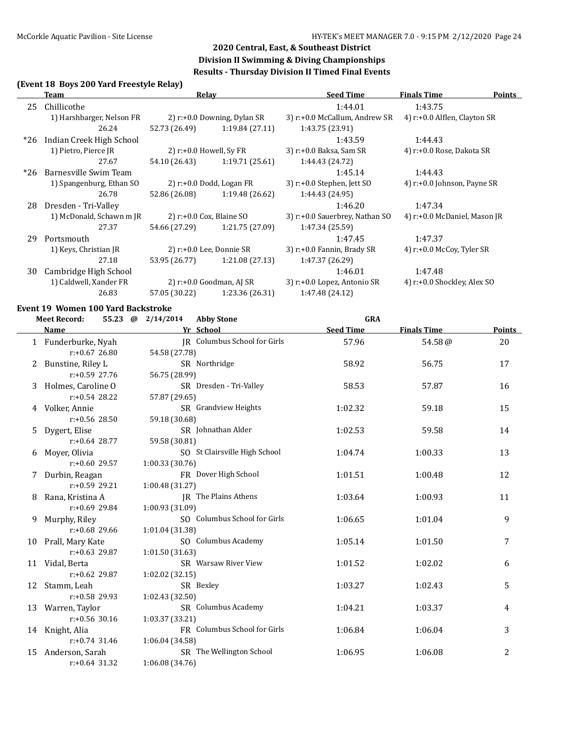#### **(Event 18 Boys 200 Yard Freestyle Relay)**

|       | Team                      | Relav                       |                               | <b>Seed Time</b>               | <b>Finals Time</b><br>Points |
|-------|---------------------------|-----------------------------|-------------------------------|--------------------------------|------------------------------|
| 25    | Chillicothe               |                             |                               | 1:44.01                        | 1:43.75                      |
|       | 1) Harshbarger, Nelson FR |                             | 2) $r.+0.0$ Downing, Dylan SR | 3) r:+0.0 McCallum, Andrew SR  | 4) r:+0.0 Alflen, Clayton SR |
|       | 26.24                     | 52.73 (26.49)               | 1:19.84(27.11)                | 1:43.75 (23.91)                |                              |
| $*26$ | Indian Creek High School  |                             |                               | 1:43.59                        | 1:44.43                      |
|       | 1) Pietro, Pierce JR      | 2) $r: +0.0$ Howell, Sy FR  |                               | 3) r:+0.0 Baksa, Sam SR        | 4) r:+0.0 Rose, Dakota SR    |
|       | 27.67                     | 54.10 (26.43)               | 1:19.71(25.61)                | 1:44.43 (24.72)                |                              |
| $*26$ | Barnesville Swim Team     |                             |                               | 1:45.14                        | 1:44.43                      |
|       | 1) Spangenburg, Ethan SO  |                             | 2) $r: +0.0$ Dodd, Logan FR   | $3)$ r:+0.0 Stephen, Jett SO   | 4) r:+0.0 Johnson, Payne SR  |
|       | 26.78                     | 52.86 (26.08)               | 1:19.48 (26.62)               | 1:44.43 (24.95)                |                              |
| 28    | Dresden - Tri-Valley      |                             |                               | 1:46.20                        | 1:47.34                      |
|       | 1) McDonald, Schawn m JR  | 2) $r: +0.0$ Cox, Blaine SO |                               | 3) r:+0.0 Sauerbrey, Nathan SO | 4) r:+0.0 McDaniel, Mason JR |
|       | 27.37                     | 54.66 (27.29)               | 1:21.75 (27.09)               | 1:47.34 (25.59)                |                              |
| 29    | Portsmouth                |                             |                               | 1:47.45                        | 1:47.37                      |
|       | 1) Keys, Christian JR     |                             | $2)$ r:+0.0 Lee, Donnie SR    | 3) r:+0.0 Fannin, Brady SR     | 4) $r: +0.0$ McCoy, Tyler SR |
|       | 27.18                     | 53.95 (26.77)               | 1:21.08(27.13)                | 1:47.37 (26.29)                |                              |
| 30    | Cambridge High School     |                             |                               | 1:46.01                        | 1:47.48                      |
|       | 1) Caldwell, Xander FR    | 2) $r: +0.0$ Goodman, AJ SR |                               | 3) r:+0.0 Lopez, Antonio SR    | 4) r:+0.0 Shockley, Alex SO  |
|       | 26.83                     | 57.05 (30.22)               | 1:23.36 (26.31)               | 1:47.48 (24.12)                |                              |

# **Event 19 Women 100 Yard Backstroke**

|    | <b>Meet Record:</b> | 55.23 @ 2/14/2014 | <b>Abby Stone</b>             | <b>GRA</b>       |                    |        |
|----|---------------------|-------------------|-------------------------------|------------------|--------------------|--------|
|    | <b>Name</b>         |                   | Yr School                     | <b>Seed Time</b> | <b>Finals Time</b> | Points |
|    | 1 Funderburke, Nyah |                   | JR Columbus School for Girls  | 57.96            | 54.58@             | 20     |
|    | $r: +0.67$ 26.80    | 54.58 (27.78)     |                               |                  |                    |        |
|    | 2 Bunstine, Riley L |                   | SR Northridge                 | 58.92            | 56.75              | 17     |
|    | $r: +0.59$ 27.76    | 56.75 (28.99)     |                               |                  |                    |        |
| 3  | Holmes, Caroline O  |                   | SR Dresden - Tri-Valley       | 58.53            | 57.87              | 16     |
|    | $r: +0.54$ 28.22    | 57.87 (29.65)     |                               |                  |                    |        |
|    | 4 Volker, Annie     |                   | SR Grandview Heights          | 1:02.32          | 59.18              | 15     |
|    | $r: +0.56$ 28.50    | 59.18 (30.68)     |                               |                  |                    |        |
| 5  | Dygert, Elise       |                   | SR Johnathan Alder            | 1:02.53          | 59.58              | 14     |
|    | $r: +0.64$ 28.77    | 59.58 (30.81)     |                               |                  |                    |        |
| 6  | Moyer, Olivia       |                   | SO St Clairsville High School | 1:04.74          | 1:00.33            | 13     |
|    | $r: +0.60$ 29.57    | 1:00.33(30.76)    |                               |                  |                    |        |
|    | Durbin, Reagan      |                   | FR Dover High School          | 1:01.51          | 1:00.48            | 12     |
|    | $r: +0.59$ 29.21    | 1:00.48(31.27)    |                               |                  |                    |        |
| 8  | Rana, Kristina A    |                   | JR The Plains Athens          | 1:03.64          | 1:00.93            | 11     |
|    | $r: +0.69$ 29.84    | 1:00.93 (31.09)   |                               |                  |                    |        |
| 9  | Murphy, Riley       |                   | SO Columbus School for Girls  | 1:06.65          | 1:01.04            | 9      |
|    | $r: +0.68$ 29.66    | 1:01.04 (31.38)   |                               |                  |                    |        |
|    | 10 Prall, Mary Kate |                   | SO Columbus Academy           | 1:05.14          | 1:01.50            | 7      |
|    | $r: +0.63$ 29.87    | 1:01.50 (31.63)   |                               |                  |                    |        |
|    | 11 Vidal, Berta     |                   | SR Warsaw River View          | 1:01.52          | 1:02.02            | 6      |
|    | $r: +0.62$ 29.87    | 1:02.02(32.15)    |                               |                  |                    |        |
| 12 | Stamm, Leah         |                   | SR Bexley                     | 1:03.27          | 1:02.43            | 5      |
|    | $r: +0.58$ 29.93    | 1:02.43 (32.50)   |                               |                  |                    |        |
|    | 13 Warren, Taylor   |                   | SR Columbus Academy           | 1:04.21          | 1:03.37            | 4      |
|    | $r: +0.56$ 30.16    | 1:03.37 (33.21)   |                               |                  |                    |        |
|    | 14 Knight, Alia     |                   | FR Columbus School for Girls  | 1:06.84          | 1:06.04            | 3      |
|    | $r: +0.74$ 31.46    | 1:06.04 (34.58)   |                               |                  |                    |        |
| 15 | Anderson, Sarah     |                   | SR The Wellington School      | 1:06.95          | 1:06.08            | 2      |
|    | $r: +0.64$ 31.32    | 1:06.08 (34.76)   |                               |                  |                    |        |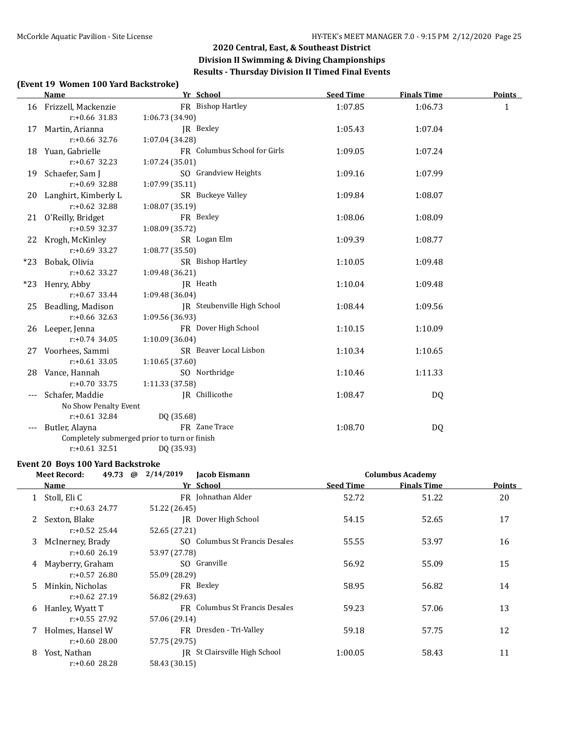### **(Event 19 Women 100 Yard Backstroke)**

|       | Name                    | Yr School                                    | <b>Seed Time</b> | <b>Finals Time</b> | <b>Points</b> |
|-------|-------------------------|----------------------------------------------|------------------|--------------------|---------------|
|       | 16 Frizzell, Mackenzie  | FR Bishop Hartley                            | 1:07.85          | 1:06.73            | 1             |
|       | $r: +0.66$ 31.83        | 1:06.73 (34.90)                              |                  |                    |               |
| 17    | Martin, Arianna         | IR Bexley                                    | 1:05.43          | 1:07.04            |               |
|       | $r: +0.66$ 32.76        | 1:07.04 (34.28)                              |                  |                    |               |
|       | 18 Yuan, Gabrielle      | FR Columbus School for Girls                 | 1:09.05          | 1:07.24            |               |
|       | $r: +0.67$ 32.23        | 1:07.24 (35.01)                              |                  |                    |               |
|       | 19 Schaefer, Sam J      | SO Grandview Heights                         | 1:09.16          | 1:07.99            |               |
|       | $r: +0.69$ 32.88        | 1:07.99 (35.11)                              |                  |                    |               |
|       | 20 Langhirt, Kimberly L | SR Buckeye Valley                            | 1:09.84          | 1:08.07            |               |
|       | $r: +0.62$ 32.88        | 1:08.07 (35.19)                              |                  |                    |               |
|       | 21 O'Reilly, Bridget    | FR Bexley                                    | 1:08.06          | 1:08.09            |               |
|       | $r: +0.59$ 32.37        | 1:08.09 (35.72)                              |                  |                    |               |
|       | 22 Krogh, McKinley      | SR Logan Elm                                 | 1:09.39          | 1:08.77            |               |
|       | $r: +0.69$ 33.27        | 1:08.77 (35.50)                              |                  |                    |               |
|       | *23 Bobak, Olivia       | SR Bishop Hartley                            | 1:10.05          | 1:09.48            |               |
|       | $r: +0.62$ 33.27        | 1:09.48 (36.21)                              |                  |                    |               |
|       | *23 Henry, Abby         | JR Heath                                     | 1:10.04          | 1:09.48            |               |
|       | $r: +0.67$ 33.44        | 1:09.48 (36.04)                              |                  |                    |               |
|       | 25 Beadling, Madison    | JR Steubenville High School                  | 1:08.44          | 1:09.56            |               |
|       | $r: +0.66$ 32.63        | 1:09.56 (36.93)                              |                  |                    |               |
|       | 26 Leeper, Jenna        | FR Dover High School                         | 1:10.15          | 1:10.09            |               |
|       | $r: +0.74$ 34.05        | 1:10.09 (36.04)                              |                  |                    |               |
| 27    | Voorhees, Sammi         | SR Beaver Local Lisbon                       | 1:10.34          | 1:10.65            |               |
|       | $r: +0.61$ 33.05        | 1:10.65(37.60)                               |                  |                    |               |
|       | 28 Vance, Hannah        | SO Northridge                                | 1:10.46          | 1:11.33            |               |
|       | $r: +0.70$ 33.75        | 1:11.33 (37.58)                              |                  |                    |               |
|       | Schafer, Maddie         | IR Chillicothe                               | 1:08.47          | DQ                 |               |
|       | No Show Penalty Event   |                                              |                  |                    |               |
|       | $r: +0.61$ 32.84        | DQ (35.68)                                   |                  |                    |               |
| $---$ | Butler, Alayna          | FR Zane Trace                                | 1:08.70          | DQ                 |               |
|       |                         | Completely submerged prior to turn or finish |                  |                    |               |
|       | $r: +0.61$ 32.51        | DQ (35.93)                                   |                  |                    |               |

#### **Event 20 Boys 100 Yard Backstroke**

|    | <b>Meet Record:</b><br>49.73<br>@ | 2/14/2019<br>Jacob Eismann     |                  | <b>Columbus Academy</b> |        |
|----|-----------------------------------|--------------------------------|------------------|-------------------------|--------|
|    | Name                              | Yr School                      | <b>Seed Time</b> | <b>Finals Time</b>      | Points |
|    | Stoll, Eli C                      | FR Johnathan Alder             | 52.72            | 51.22                   | 20     |
|    | $r: +0.63$ 24.77                  | 51.22 (26.45)                  |                  |                         |        |
| 2  | Sexton, Blake                     | IR Dover High School           | 54.15            | 52.65                   | 17     |
|    | $r: +0.52$ 25.44                  | 52.65 (27.21)                  |                  |                         |        |
| 3  | McInerney, Brady                  | SO Columbus St Francis Desales | 55.55            | 53.97                   | 16     |
|    | $r: +0.60$ 26.19                  | 53.97 (27.78)                  |                  |                         |        |
| 4  | Mayberry, Graham                  | SO Granville                   | 56.92            | 55.09                   | 15     |
|    | $r: +0.57$ 26.80                  | 55.09 (28.29)                  |                  |                         |        |
| 5. | Minkin, Nicholas                  | FR Bexley                      | 58.95            | 56.82                   | 14     |
|    | $r: +0.62$ 27.19                  | 56.82 (29.63)                  |                  |                         |        |
| 6  | Hanley, Wyatt T                   | FR Columbus St Francis Desales | 59.23            | 57.06                   | 13     |
|    | $r: +0.55$ 27.92                  | 57.06 (29.14)                  |                  |                         |        |
|    | Holmes, Hansel W                  | FR Dresden - Tri-Valley        | 59.18            | 57.75                   | 12     |
|    | $r: +0.60$ 28.00                  | 57.75 (29.75)                  |                  |                         |        |
| 8  | Yost, Nathan                      | JR St Clairsville High School  | 1:00.05          | 58.43                   | 11     |
|    | $r: +0.60$ 28.28                  | 58.43 (30.15)                  |                  |                         |        |
|    |                                   |                                |                  |                         |        |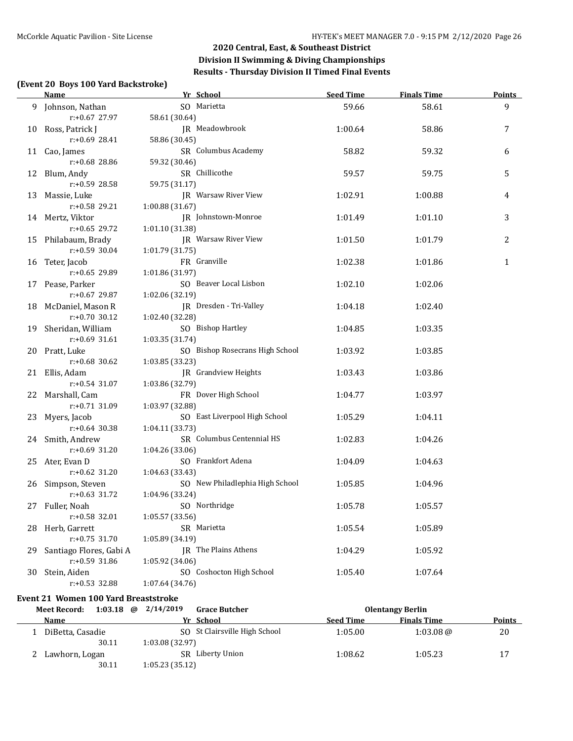#### **(Event 20 Boys 100 Yard Backstroke)**

|                    | <b>Name</b>             | Yr School                       | <b>Seed Time</b> | <b>Finals Time</b> | <b>Points</b> |
|--------------------|-------------------------|---------------------------------|------------------|--------------------|---------------|
|                    | 9 Johnson, Nathan       | SO Marietta                     | 59.66            | 58.61              | 9             |
|                    | r:+0.67 27.97           | 58.61 (30.64)                   |                  |                    |               |
| 10 Ross, Patrick J |                         | JR Meadowbrook                  | 1:00.64          | 58.86              | 7             |
|                    | $r: +0.69$ 28.41        | 58.86 (30.45)                   |                  |                    |               |
|                    | 11 Cao, James           | SR Columbus Academy             | 58.82            | 59.32              | 6             |
|                    | r:+0.68 28.86           | 59.32 (30.46)                   |                  |                    |               |
|                    | 12 Blum, Andy           | SR Chillicothe                  | 59.57            | 59.75              | 5             |
|                    | r:+0.59 28.58           | 59.75 (31.17)                   |                  |                    |               |
|                    | 13 Massie, Luke         | JR Warsaw River View            | 1:02.91          | 1:00.88            | 4             |
|                    | r:+0.58 29.21           | 1:00.88 (31.67)                 |                  |                    |               |
|                    | 14 Mertz, Viktor        | JR Johnstown-Monroe             | 1:01.49          | 1:01.10            | 3             |
|                    | $r: +0.65$ 29.72        | 1:01.10 (31.38)                 |                  |                    |               |
|                    | 15 Philabaum, Brady     | JR Warsaw River View            | 1:01.50          | 1:01.79            | 2             |
|                    | $r: +0.59$ 30.04        | 1:01.79 (31.75)                 |                  |                    |               |
|                    | 16 Teter, Jacob         | FR Granville                    | 1:02.38          | 1:01.86            | $\mathbf{1}$  |
|                    | r:+0.65 29.89           | 1:01.86 (31.97)                 |                  |                    |               |
|                    | 17 Pease, Parker        | SO Beaver Local Lisbon          | 1:02.10          | 1:02.06            |               |
|                    | r:+0.67 29.87           | 1:02.06 (32.19)                 |                  |                    |               |
|                    | 18 McDaniel, Mason R    | JR Dresden - Tri-Valley         | 1:04.18          | 1:02.40            |               |
|                    | $r: +0.70$ 30.12        | 1:02.40 (32.28)                 |                  |                    |               |
|                    | 19 Sheridan, William    | SO Bishop Hartley               | 1:04.85          | 1:03.35            |               |
|                    | $r: +0.69$ 31.61        | 1:03.35 (31.74)                 |                  |                    |               |
|                    | 20 Pratt, Luke          | SO Bishop Rosecrans High School | 1:03.92          | 1:03.85            |               |
|                    | $r: +0.68$ 30.62        | 1:03.85 (33.23)                 |                  |                    |               |
|                    | 21 Ellis, Adam          | JR Grandview Heights            | 1:03.43          | 1:03.86            |               |
|                    | $r: +0.54$ 31.07        | 1:03.86 (32.79)                 |                  |                    |               |
|                    | 22 Marshall, Cam        | FR Dover High School            | 1:04.77          | 1:03.97            |               |
|                    | $r: +0.71$ 31.09        | 1:03.97 (32.88)                 |                  |                    |               |
|                    | 23 Myers, Jacob         | SO East Liverpool High School   | 1:05.29          | 1:04.11            |               |
|                    | $r: +0.64$ 30.38        | 1:04.11 (33.73)                 |                  |                    |               |
|                    | 24 Smith, Andrew        | SR Columbus Centennial HS       | 1:02.83          | 1:04.26            |               |
|                    | $r: +0.69$ 31.20        | 1:04.26 (33.06)                 |                  |                    |               |
|                    | 25 Ater, Evan D         | SO Frankfort Adena              | 1:04.09          | 1:04.63            |               |
|                    | $r: +0.62$ 31.20        | 1:04.63 (33.43)                 |                  |                    |               |
|                    | 26 Simpson, Steven      | SO New Philadlephia High School | 1:05.85          | 1:04.96            |               |
|                    | $r: +0.63$ 31.72        | 1:04.96 (33.24)                 |                  |                    |               |
|                    | 27 Fuller, Noah         | SO Northridge                   | 1:05.78          | 1:05.57            |               |
|                    | r:+0.58 32.01           | 1:05.57(33.56)                  |                  |                    |               |
| 28                 | Herb, Garrett           | SR Marietta                     | 1:05.54          | 1:05.89            |               |
|                    | $r: +0.75$ 31.70        | 1:05.89 (34.19)                 |                  |                    |               |
| 29                 | Santiago Flores, Gabi A | <b>IR</b> The Plains Athens     | 1:04.29          | 1:05.92            |               |
|                    | r:+0.59 31.86           | 1:05.92 (34.06)                 |                  |                    |               |
| 30                 | Stein, Aiden            | SO Coshocton High School        | 1:05.40          | 1:07.64            |               |
|                    | r:+0.53 32.88           | 1:07.64(34.76)                  |                  |                    |               |

#### **Event 21 Women 100 Yard Breaststroke**

| 1:03.18<br>Meet Record: | 2/14/2019<br>@<br><b>Grace Butcher</b> |                  | <b>Olentangy Berlin</b> |               |
|-------------------------|----------------------------------------|------------------|-------------------------|---------------|
| <b>Name</b>             | Yr School                              | <b>Seed Time</b> | <b>Finals Time</b>      | <b>Points</b> |
| DiBetta, Casadie        | SO St Clairsville High School          | 1:05.00          | $1:03.08\omega$         | 20            |
| 30.11                   | 1:03.08(32.97)                         |                  |                         |               |
| Lawhorn, Logan          | SR Liberty Union                       | 1:08.62          | 1:05.23                 | 17            |
| 30.11                   | 1:05.23(35.12)                         |                  |                         |               |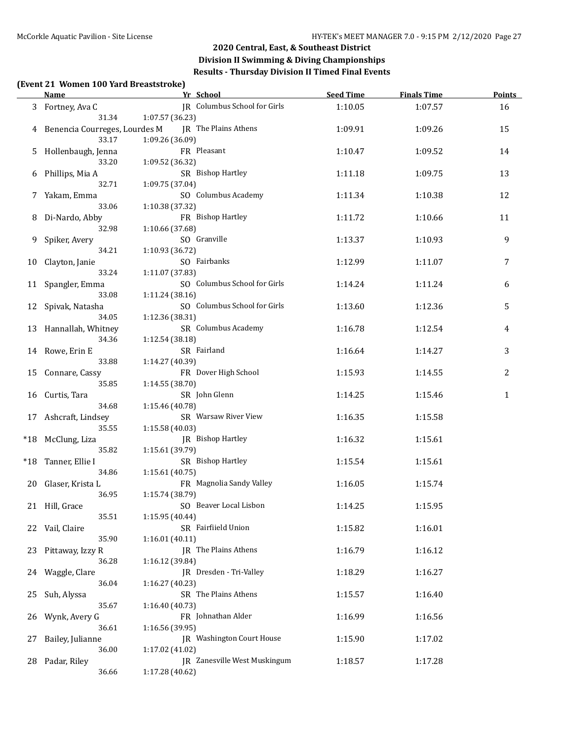### **Division II Swimming & Diving Championships Results - Thursday Division II Timed Final Events**

#### **(Event 21 Women 100 Yard Breaststroke)**

|    | <b>Name</b>                              | Yr School                                       | Seed Time | <b>Finals Time</b> | <b>Points</b> |
|----|------------------------------------------|-------------------------------------------------|-----------|--------------------|---------------|
|    | 3 Fortney, Ava C<br>31.34                | JR Columbus School for Girls<br>1:07.57 (36.23) | 1:10.05   | 1:07.57            | 16            |
|    | 4 Benencia Courreges, Lourdes M<br>33.17 | JR The Plains Athens<br>1:09.26 (36.09)         | 1:09.91   | 1:09.26            | 15            |
|    | 5 Hollenbaugh, Jenna<br>33.20            | FR Pleasant<br>1:09.52 (36.32)                  | 1:10.47   | 1:09.52            | 14            |
| 6  | Phillips, Mia A<br>32.71                 | SR Bishop Hartley<br>1:09.75 (37.04)            | 1:11.18   | 1:09.75            | 13            |
|    | 7 Yakam, Emma<br>33.06                   | SO Columbus Academy<br>1:10.38 (37.32)          | 1:11.34   | 1:10.38            | 12            |
| 8  | Di-Nardo, Abby<br>32.98                  | FR Bishop Hartley<br>1:10.66 (37.68)            | 1:11.72   | 1:10.66            | 11            |
|    | 9 Spiker, Avery<br>34.21                 | SO Granville<br>1:10.93 (36.72)                 | 1:13.37   | 1:10.93            | 9             |
|    | 10 Clayton, Janie<br>33.24               | SO Fairbanks<br>1:11.07 (37.83)                 | 1:12.99   | 1:11.07            | 7             |
|    | 11 Spangler, Emma<br>33.08               | SO Columbus School for Girls<br>1:11.24 (38.16) | 1:14.24   | 1:11.24            | 6             |
|    | 12 Spivak, Natasha<br>34.05              | SO Columbus School for Girls<br>1:12.36 (38.31) | 1:13.60   | 1:12.36            | 5             |
|    | 13 Hannallah, Whitney<br>34.36           | SR Columbus Academy<br>1:12.54 (38.18)          | 1:16.78   | 1:12.54            | 4             |
|    | 14 Rowe, Erin E<br>33.88                 | SR Fairland<br>1:14.27 (40.39)                  | 1:16.64   | 1:14.27            | 3             |
|    | 15 Connare, Cassy<br>35.85               | FR Dover High School<br>1:14.55 (38.70)         | 1:15.93   | 1:14.55            | 2             |
|    | 16 Curtis, Tara<br>34.68                 | SR John Glenn<br>1:15.46 (40.78)                | 1:14.25   | 1:15.46            | $\mathbf{1}$  |
|    | 17 Ashcraft, Lindsey<br>35.55            | SR Warsaw River View<br>1:15.58 (40.03)         | 1:16.35   | 1:15.58            |               |
|    | *18 McClung, Liza<br>35.82               | JR Bishop Hartley<br>1:15.61 (39.79)            | 1:16.32   | 1:15.61            |               |
|    | *18 Tanner, Ellie I<br>34.86             | SR Bishop Hartley<br>1:15.61 (40.75)            | 1:15.54   | 1:15.61            |               |
|    | 20 Glaser, Krista L<br>36.95             | FR Magnolia Sandy Valley<br>1:15.74 (38.79)     | 1:16.05   | 1:15.74            |               |
|    | 21 Hill, Grace<br>35.51                  | SO Beaver Local Lisbon<br>1:15.95 (40.44)       | 1:14.25   | 1:15.95            |               |
| 22 | Vail, Claire<br>35.90                    | SR Fairfiield Union<br>1:16.01(40.11)           | 1:15.82   | 1:16.01            |               |
| 23 | Pittaway, Izzy R<br>36.28                | JR The Plains Athens<br>1:16.12 (39.84)         | 1:16.79   | 1:16.12            |               |
| 24 | Waggle, Clare<br>36.04                   | JR Dresden - Tri-Valley<br>1:16.27 (40.23)      | 1:18.29   | 1:16.27            |               |
| 25 | Suh, Alyssa<br>35.67                     | SR The Plains Athens<br>1:16.40 (40.73)         | 1:15.57   | 1:16.40            |               |
| 26 | Wynk, Avery G<br>36.61                   | FR Johnathan Alder<br>1:16.56 (39.95)           | 1:16.99   | 1:16.56            |               |
| 27 | Bailey, Julianne<br>36.00                | JR Washington Court House<br>1:17.02 (41.02)    | 1:15.90   | 1:17.02            |               |
| 28 | Padar, Riley<br>36.66                    | JR Zanesville West Muskingum<br>1:17.28 (40.62) | 1:18.57   | 1:17.28            |               |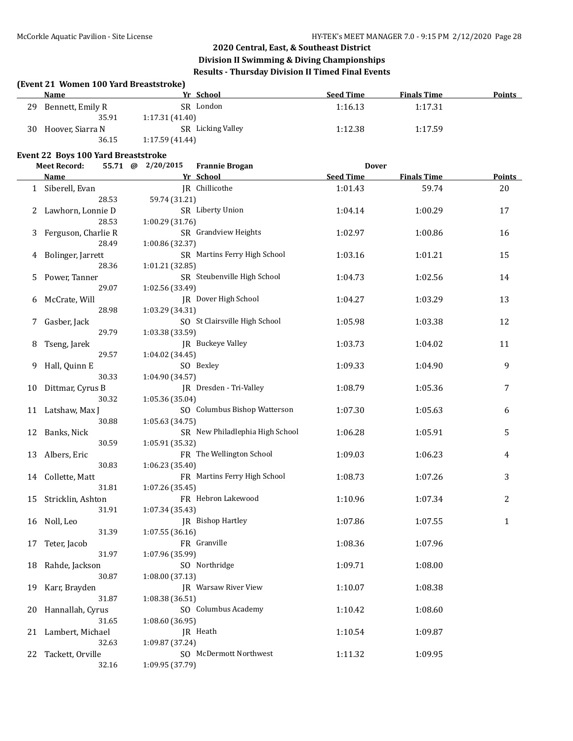# **Division II Swimming & Diving Championships Results - Thursday Division II Timed Final Events**

|    | (Event 21 Women 100 Yard Breaststroke)<br><b>Name</b> | Yr School                                       | <b>Seed Time</b> | <b>Finals Time</b> | Points |
|----|-------------------------------------------------------|-------------------------------------------------|------------------|--------------------|--------|
| 29 | Bennett, Emily R                                      | SR London                                       | 1:16.13          | 1:17.31            |        |
|    | 35.91                                                 | 1:17.31(41.40)                                  |                  |                    |        |
|    | 30 Hoover, Siarra N                                   | SR Licking Valley                               | 1:12.38          | 1:17.59            |        |
|    | 36.15                                                 | 1:17.59 (41.44)                                 |                  |                    |        |
|    |                                                       |                                                 |                  |                    |        |
|    | Event 22 Boys 100 Yard Breaststroke                   |                                                 |                  |                    |        |
|    | <b>Meet Record:</b>                                   | 55.71 @ 2/20/2015<br><b>Frannie Brogan</b>      | <b>Dover</b>     |                    |        |
|    | <b>Name</b>                                           | Yr School                                       | <b>Seed Time</b> | <b>Finals Time</b> | Points |
|    | 1 Siberell, Evan                                      | JR Chillicothe                                  | 1:01.43          | 59.74              | 20     |
|    | 28.53                                                 | 59.74 (31.21)                                   |                  |                    |        |
|    | Lawhorn, Lonnie D<br>28.53                            | SR Liberty Union                                | 1:04.14          | 1:00.29            | 17     |
|    |                                                       | 1:00.29 (31.76)<br>SR Grandview Heights         |                  |                    |        |
| 3  | Ferguson, Charlie R<br>28.49                          |                                                 | 1:02.97          | 1:00.86            | 16     |
|    |                                                       | 1:00.86 (32.37)<br>SR Martins Ferry High School |                  |                    |        |
| 4  | Bolinger, Jarrett<br>28.36                            | 1:01.21 (32.85)                                 | 1:03.16          | 1:01.21            | 15     |
|    | Power, Tanner                                         | SR Steubenville High School                     | 1:04.73          | 1:02.56            | 14     |
| 5. | 29.07                                                 | 1:02.56 (33.49)                                 |                  |                    |        |
|    |                                                       | JR Dover High School                            | 1:04.27          | 1:03.29            | 13     |
| 6  | McCrate, Will<br>28.98                                | 1:03.29 (34.31)                                 |                  |                    |        |
| 7  | Gasber, Jack                                          | SO St Clairsville High School                   | 1:05.98          | 1:03.38            | 12     |
|    | 29.79                                                 | 1:03.38 (33.59)                                 |                  |                    |        |
|    | Tseng, Jarek                                          | JR Buckeye Valley                               | 1:03.73          | 1:04.02            | 11     |
| 8  | 29.57                                                 | 1:04.02 (34.45)                                 |                  |                    |        |
|    | Hall, Quinn E                                         | SO Bexley                                       | 1:09.33          | 1:04.90            | 9      |
|    | 30.33                                                 | 1:04.90 (34.57)                                 |                  |                    |        |
| 10 | Dittmar, Cyrus B                                      | JR Dresden - Tri-Valley                         | 1:08.79          | 1:05.36            | 7      |
|    | 30.32                                                 | 1:05.36 (35.04)                                 |                  |                    |        |
|    | 11 Latshaw, Max J                                     | SO Columbus Bishop Watterson                    | 1:07.30          | 1:05.63            | 6      |
|    | 30.88                                                 | 1:05.63 (34.75)                                 |                  |                    |        |
| 12 | Banks, Nick                                           | SR New Philadlephia High School                 | 1:06.28          | 1:05.91            | 5      |
|    | 30.59                                                 | 1:05.91 (35.32)                                 |                  |                    |        |
| 13 | Albers, Eric                                          | FR The Wellington School                        | 1:09.03          | 1:06.23            | 4      |
|    | 30.83                                                 | 1:06.23 (35.40)                                 |                  |                    |        |
| 14 | Collette, Matt                                        | FR Martins Ferry High School                    | 1:08.73          | 1:07.26            | 3      |
|    | 31.81                                                 | 1:07.26 (35.45)                                 |                  |                    |        |
|    | 15 Stricklin, Ashton                                  | FR Hebron Lakewood                              | 1:10.96          | 1:07.34            | 2      |
|    | 31.91                                                 | 1:07.34 (35.43)                                 |                  |                    |        |
| 16 | Noll, Leo                                             | JR Bishop Hartley                               | 1:07.86          | 1:07.55            | 1      |
|    | 31.39                                                 | 1:07.55(36.16)                                  |                  |                    |        |
| 17 | Teter, Jacob                                          | FR Granville                                    | 1:08.36          | 1:07.96            |        |
|    | 31.97                                                 | 1:07.96 (35.99)                                 |                  |                    |        |
| 18 | Rahde, Jackson                                        | SO Northridge                                   | 1:09.71          | 1:08.00            |        |
|    | 30.87                                                 | 1:08.00 (37.13)                                 |                  |                    |        |
| 19 | Karr, Brayden                                         | IR Warsaw River View                            | 1:10.07          | 1:08.38            |        |
|    | 31.87                                                 | 1:08.38 (36.51)                                 |                  |                    |        |
| 20 | Hannallah, Cyrus                                      | SO Columbus Academy                             | 1:10.42          | 1:08.60            |        |
|    | 31.65                                                 | 1:08.60 (36.95)                                 |                  |                    |        |
| 21 | Lambert, Michael                                      | JR Heath                                        | 1:10.54          | 1:09.87            |        |
|    | 32.63                                                 | 1:09.87 (37.24)                                 |                  |                    |        |
| 22 | Tackett, Orville                                      | SO McDermott Northwest                          | 1:11.32          | 1:09.95            |        |
|    | 32.16                                                 | 1:09.95 (37.79)                                 |                  |                    |        |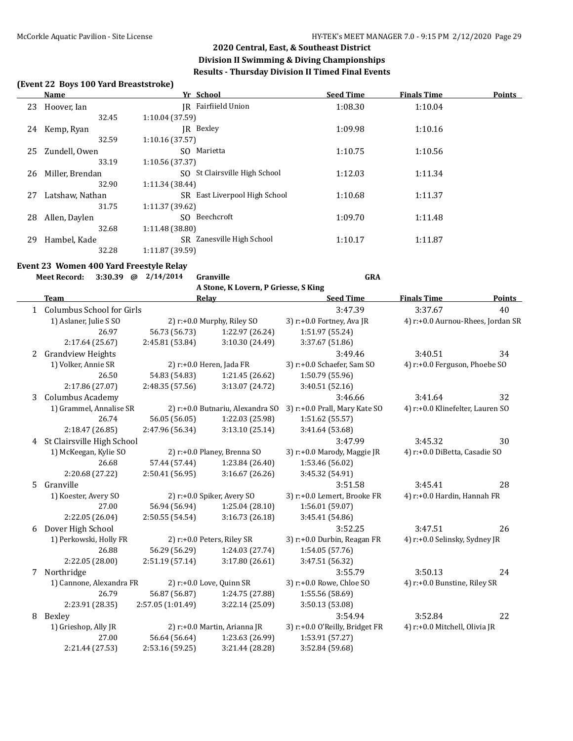#### **(Event 22 Boys 100 Yard Breaststroke)**

|    | Name            | Yr School                     | <b>Seed Time</b> | <b>Finals Time</b> | <b>Points</b> |
|----|-----------------|-------------------------------|------------------|--------------------|---------------|
| 23 | Hoover, Ian     | IR Fairfiield Union           | 1:08.30          | 1:10.04            |               |
|    | 32.45           | 1:10.04(37.59)                |                  |                    |               |
| 24 | Kemp, Ryan      | IR Bexley                     | 1:09.98          | 1:10.16            |               |
|    | 32.59           | 1:10.16(37.57)                |                  |                    |               |
| 25 | Zundell, Owen   | SO Marietta                   | 1:10.75          | 1:10.56            |               |
|    | 33.19           | 1:10.56 (37.37)               |                  |                    |               |
| 26 | Miller, Brendan | SO St Clairsville High School | 1:12.03          | 1:11.34            |               |
|    | 32.90           | 1:11.34 (38.44)               |                  |                    |               |
| 27 | Latshaw, Nathan | SR East Liverpool High School | 1:10.68          | 1:11.37            |               |
|    | 31.75           | 1:11.37 (39.62)               |                  |                    |               |
| 28 | Allen, Daylen   | Beechcroft<br>SO.             | 1:09.70          | 1:11.48            |               |
|    | 32.68           | 1:11.48(38.80)                |                  |                    |               |
| 29 | Hambel, Kade    | SR Zanesville High School     | 1:10.17          | 1:11.87            |               |
|    | 32.28           | 1:11.87(39.59)                |                  |                    |               |
|    |                 |                               |                  |                    |               |

#### **Event 23 Women 400 Yard Freestyle Relay**

**Meet Record: 3:30.39 @ 2/14/2014 Granville GRA**

**A Stone, K Lovern, P Griesse, S King**

|    | <b>Team</b>                 | Relay             |                                  | <b>Seed Time</b>               | <b>Finals Time</b>                | <b>Points</b> |
|----|-----------------------------|-------------------|----------------------------------|--------------------------------|-----------------------------------|---------------|
|    | 1 Columbus School for Girls |                   |                                  | 3:47.39                        | 3:37.67                           | 40            |
|    | 1) Aslaner, Julie S SO      |                   | 2) r:+0.0 Murphy, Riley SO       | 3) r:+0.0 Fortney, Ava JR      | 4) r:+0.0 Aurnou-Rhees, Jordan SR |               |
|    | 26.97                       | 56.73 (56.73)     | 1:22.97 (26.24)                  | 1:51.97 (55.24)                |                                   |               |
|    | 2:17.64 (25.67)             | 2:45.81 (53.84)   | 3:10.30 (24.49)                  | 3:37.67 (51.86)                |                                   |               |
| 2  | <b>Grandview Heights</b>    |                   |                                  | 3:49.46                        | 3:40.51                           | 34            |
|    | 1) Volker, Annie SR         |                   | 2) $r: +0.0$ Heren, Jada FR      | 3) r:+0.0 Schaefer, Sam SO     | 4) r:+0.0 Ferguson, Phoebe SO     |               |
|    | 26.50                       | 54.83 (54.83)     | 1:21.45 (26.62)                  | 1:50.79 (55.96)                |                                   |               |
|    | 2:17.86 (27.07)             | 2:48.35(57.56)    | 3:13.07 (24.72)                  | 3:40.51 (52.16)                |                                   |               |
| 3  | Columbus Academy            |                   |                                  | 3:46.66                        | 3:41.64                           | 32            |
|    | 1) Grammel, Annalise SR     |                   | 2) r:+0.0 Butnariu, Alexandra SO | 3) r:+0.0 Prall, Mary Kate SO  | 4) r:+0.0 Klinefelter, Lauren SO  |               |
|    | 26.74                       | 56.05 (56.05)     | 1:22.03 (25.98)                  | 1:51.62 (55.57)                |                                   |               |
|    | 2:18.47 (26.85)             | 2:47.96 (56.34)   | 3:13.10(25.14)                   | 3:41.64 (53.68)                |                                   |               |
| 4  | St Clairsville High School  |                   |                                  | 3:47.99                        | 3:45.32                           | 30            |
|    | 1) McKeegan, Kylie SO       |                   | 2) r:+0.0 Planey, Brenna SO      | 3) r:+0.0 Marody, Maggie JR    | 4) r:+0.0 DiBetta, Casadie SO     |               |
|    | 26.68                       | 57.44 (57.44)     | 1:23.84 (26.40)                  | 1:53.46 (56.02)                |                                   |               |
|    | 2:20.68 (27.22)             | 2:50.41(56.95)    | 3:16.67(26.26)                   | 3:45.32 (54.91)                |                                   |               |
| 5. | Granville                   |                   |                                  | 3:51.58                        | 3:45.41                           | 28            |
|    | 1) Koester, Avery SO        |                   | 2) r:+0.0 Spiker, Avery SO       | 3) r:+0.0 Lemert, Brooke FR    | 4) r:+0.0 Hardin, Hannah FR       |               |
|    | 27.00                       | 56.94 (56.94)     | 1:25.04 (28.10)                  | 1:56.01 (59.07)                |                                   |               |
|    | 2:22.05 (26.04)             | 2:50.55 (54.54)   | 3:16.73(26.18)                   | 3:45.41 (54.86)                |                                   |               |
| 6  | Dover High School           |                   |                                  | 3:52.25                        | 3:47.51                           | 26            |
|    | 1) Perkowski, Holly FR      |                   | 2) r:+0.0 Peters, Riley SR       | 3) r:+0.0 Durbin, Reagan FR    | 4) r:+0.0 Selinsky, Sydney JR     |               |
|    | 26.88                       | 56.29 (56.29)     | 1:24.03 (27.74)                  | 1:54.05 (57.76)                |                                   |               |
|    | 2:22.05 (28.00)             | 2:51.19(57.14)    | 3:17.80 (26.61)                  | 3:47.51 (56.32)                |                                   |               |
| 7  | Northridge                  |                   |                                  | 3:55.79                        | 3:50.13                           | 24            |
|    | 1) Cannone, Alexandra FR    |                   | 2) r:+0.0 Love, Quinn SR         | 3) r:+0.0 Rowe, Chloe SO       | 4) r:+0.0 Bunstine, Riley SR      |               |
|    | 26.79                       | 56.87 (56.87)     | 1:24.75 (27.88)                  | 1:55.56 (58.69)                |                                   |               |
|    | 2:23.91 (28.35)             | 2:57.05 (1:01.49) | 3:22.14 (25.09)                  | 3:50.13 (53.08)                |                                   |               |
| 8  | Bexley                      |                   |                                  | 3:54.94                        | 3:52.84                           | 22            |
|    | 1) Grieshop, Ally JR        |                   | 2) r:+0.0 Martin, Arianna JR     | 3) r:+0.0 O'Reilly, Bridget FR | 4) r:+0.0 Mitchell, Olivia JR     |               |
|    | 27.00                       | 56.64 (56.64)     | 1:23.63 (26.99)                  | 1:53.91 (57.27)                |                                   |               |
|    | 2:21.44 (27.53)             | 2:53.16 (59.25)   | 3:21.44 (28.28)                  | 3:52.84 (59.68)                |                                   |               |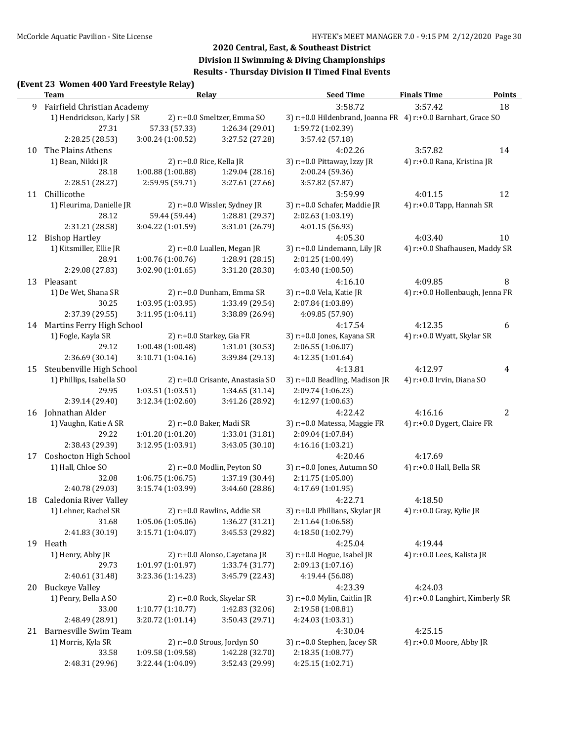### **Division II Swimming & Diving Championships Results - Thursday Division II Timed Final Events**

### **(Event 23 Women 400 Yard Freestyle Relay)**

|    | <b>Team</b>                           |                   | <u>Relav</u>                     | <b>Seed Time</b>                                              | <b>Finals Time</b>                     | <b>Points</b>  |
|----|---------------------------------------|-------------------|----------------------------------|---------------------------------------------------------------|----------------------------------------|----------------|
| 9  | Fairfield Christian Academy           |                   |                                  | 3:58.72                                                       | 3:57.42                                | 18             |
|    | 1) Hendrickson, Karly J SR            |                   | 2) r:+0.0 Smeltzer, Emma SO      | 3) r:+0.0 Hildenbrand, Joanna FR 4) r:+0.0 Barnhart, Grace SO |                                        |                |
|    | 27.31                                 | 57.33 (57.33)     | 1:26.34 (29.01)                  | 1:59.72 (1:02.39)                                             |                                        |                |
|    | 2:28.25 (28.53)                       | 3:00.24 (1:00.52) | 3:27.52 (27.28)                  | 3:57.42 (57.18)                                               |                                        |                |
| 10 | The Plains Athens                     |                   |                                  | 4:02.26                                                       | 3:57.82                                | 14             |
|    | 1) Bean, Nikki JR                     |                   | 2) r:+0.0 Rice, Kella JR         | 3) r:+0.0 Pittaway, Izzy JR                                   | 4) r:+0.0 Rana, Kristina JR            |                |
|    | 28.18                                 | 1:00.88 (1:00.88) | 1:29.04 (28.16)                  | 2:00.24 (59.36)                                               |                                        |                |
|    | 2:28.51 (28.27)                       | 2:59.95 (59.71)   | 3:27.61 (27.66)                  | 3:57.82 (57.87)                                               |                                        |                |
|    | 11 Chillicothe                        |                   |                                  | 3:59.99                                                       | 4:01.15                                | 12             |
|    | 1) Fleurima, Danielle JR              |                   | 2) r:+0.0 Wissler, Sydney JR     | 3) r:+0.0 Schafer, Maddie JR                                  | 4) r:+0.0 Tapp, Hannah SR              |                |
|    | 28.12                                 | 59.44 (59.44)     | 1:28.81 (29.37)                  | 2:02.63 (1:03.19)                                             |                                        |                |
|    | 2:31.21 (28.58)                       | 3:04.22 (1:01.59) | 3:31.01 (26.79)                  | 4:01.15 (56.93)                                               |                                        |                |
| 12 | <b>Bishop Hartley</b>                 |                   |                                  | 4:05.30                                                       | 4:03.40                                | 10             |
|    | 1) Kitsmiller, Ellie JR               |                   | 2) r:+0.0 Luallen, Megan JR      | 3) r:+0.0 Lindemann, Lily JR                                  | 4) r:+0.0 Shafhausen, Maddy SR         |                |
|    | 28.91                                 | 1:00.76 (1:00.76) | 1:28.91 (28.15)                  | 2:01.25 (1:00.49)                                             |                                        |                |
|    | 2:29.08 (27.83)                       | 3:02.90(1:01.65)  | 3:31.20 (28.30)                  | 4:03.40 (1:00.50)                                             |                                        |                |
|    | 13 Pleasant                           |                   |                                  | 4:16.10                                                       | 4:09.85                                | 8              |
|    | 1) De Wet, Shana SR                   |                   | 2) r:+0.0 Dunham, Emma SR        | 3) r:+0.0 Vela, Katie JR                                      | 4) r:+0.0 Hollenbaugh, Jenna FR        |                |
|    | 30.25                                 | 1:03.95 (1:03.95) | 1:33.49 (29.54)                  | 2:07.84 (1:03.89)                                             |                                        |                |
|    | 2:37.39 (29.55)                       | 3:11.95 (1:04.11) | 3:38.89 (26.94)                  | 4:09.85 (57.90)                                               |                                        |                |
|    | 14 Martins Ferry High School          |                   |                                  | 4:17.54                                                       | 4:12.35                                | 6              |
|    | 1) Fogle, Kayla SR                    |                   | 2) r:+0.0 Starkey, Gia FR        | 3) r:+0.0 Jones, Kayana SR                                    | 4) r:+0.0 Wyatt, Skylar SR             |                |
|    | 29.12                                 | 1:00.48 (1:00.48) | 1:31.01 (30.53)                  | 2:06.55 (1:06.07)                                             |                                        |                |
|    | 2:36.69 (30.14)                       | 3:10.71 (1:04.16) | 3:39.84 (29.13)                  | 4:12.35 (1:01.64)                                             |                                        |                |
| 15 | Steubenville High School              |                   |                                  | 4:13.81                                                       | 4:12.97                                | 4              |
|    | 1) Phillips, Isabella SO              |                   | 2) r:+0.0 Crisante, Anastasia SO | 3) r:+0.0 Beadling, Madison JR                                | 4) r:+0.0 Irvin, Diana SO              |                |
|    | 29.95                                 | 1:03.51 (1:03.51) | 1:34.65 (31.14)                  | 2:09.74 (1:06.23)                                             |                                        |                |
|    | 2:39.14 (29.40)<br>16 Johnathan Alder | 3:12.34 (1:02.60) | 3:41.26 (28.92)                  | 4:12.97 (1:00.63)                                             |                                        |                |
|    | 1) Vaughn, Katie A SR                 |                   | 2) r:+0.0 Baker, Madi SR         | 4:22.42                                                       | 4:16.16<br>4) r:+0.0 Dygert, Claire FR | $\overline{2}$ |
|    | 29.22                                 | 1:01.20 (1:01.20) | 1:33.01 (31.81)                  | 3) r:+0.0 Matessa, Maggie FR<br>2:09.04 (1:07.84)             |                                        |                |
|    | 2:38.43 (29.39)                       | 3:12.95 (1:03.91) | 3:43.05 (30.10)                  | 4:16.16 (1:03.21)                                             |                                        |                |
| 17 | Coshocton High School                 |                   |                                  | 4:20.46                                                       | 4:17.69                                |                |
|    | 1) Hall, Chloe SO                     |                   | 2) r:+0.0 Modlin, Peyton SO      | 3) r:+0.0 Jones, Autumn SO                                    | 4) r:+0.0 Hall, Bella SR               |                |
|    | 32.08                                 | 1:06.75 (1:06.75) | 1:37.19 (30.44)                  | 2:11.75 (1:05.00)                                             |                                        |                |
|    | 2:40.78 (29.03)                       | 3:15.74 (1:03.99) | 3:44.60 (28.86)                  | 4:17.69 (1:01.95)                                             |                                        |                |
|    | 18 Caledonia River Valley             |                   |                                  | 4:22.71                                                       | 4:18.50                                |                |
|    | 1) Lehner, Rachel SR                  |                   | 2) r:+0.0 Rawlins, Addie SR      | 3) r:+0.0 Phillians, Skylar JR                                | 4) r:+0.0 Gray, Kylie JR               |                |
|    | 31.68                                 | 1:05.06 (1:05.06) | 1:36.27 (31.21)                  | 2:11.64 (1:06.58)                                             |                                        |                |
|    | 2:41.83 (30.19)                       | 3:15.71 (1:04.07) | 3:45.53 (29.82)                  | 4:18.50 (1:02.79)                                             |                                        |                |
|    | 19 Heath                              |                   |                                  | 4:25.04                                                       | 4:19.44                                |                |
|    | 1) Henry, Abby JR                     |                   | 2) r:+0.0 Alonso, Cayetana JR    | 3) r:+0.0 Hogue, Isabel JR                                    | 4) r:+0.0 Lees, Kalista JR             |                |
|    | 29.73                                 | 1:01.97 (1:01.97) | 1:33.74 (31.77)                  | 2:09.13 (1:07.16)                                             |                                        |                |
|    | 2:40.61 (31.48)                       | 3:23.36 (1:14.23) | 3:45.79 (22.43)                  | 4:19.44 (56.08)                                               |                                        |                |
|    | 20 Buckeye Valley                     |                   |                                  | 4:23.39                                                       | 4:24.03                                |                |
|    | 1) Penry, Bella A SO                  |                   | 2) r:+0.0 Rock, Skyelar SR       | 3) r:+0.0 Mylin, Caitlin JR                                   | 4) r:+0.0 Langhirt, Kimberly SR        |                |
|    | 33.00                                 | 1:10.77 (1:10.77) | 1:42.83 (32.06)                  | 2:19.58 (1:08.81)                                             |                                        |                |
|    | 2:48.49 (28.91)                       | 3:20.72 (1:01.14) | 3:50.43 (29.71)                  | 4:24.03 (1:03.31)                                             |                                        |                |
| 21 | Barnesville Swim Team                 |                   |                                  | 4:30.04                                                       | 4:25.15                                |                |
|    | 1) Morris, Kyla SR                    |                   | 2) r:+0.0 Strous, Jordyn SO      | 3) r:+0.0 Stephen, Jacey SR                                   | 4) r:+0.0 Moore, Abby JR               |                |
|    | 33.58                                 | 1:09.58 (1:09.58) | 1:42.28 (32.70)                  | 2:18.35 (1:08.77)                                             |                                        |                |
|    | 2:48.31 (29.96)                       | 3:22.44 (1:04.09) | 3:52.43 (29.99)                  | 4:25.15 (1:02.71)                                             |                                        |                |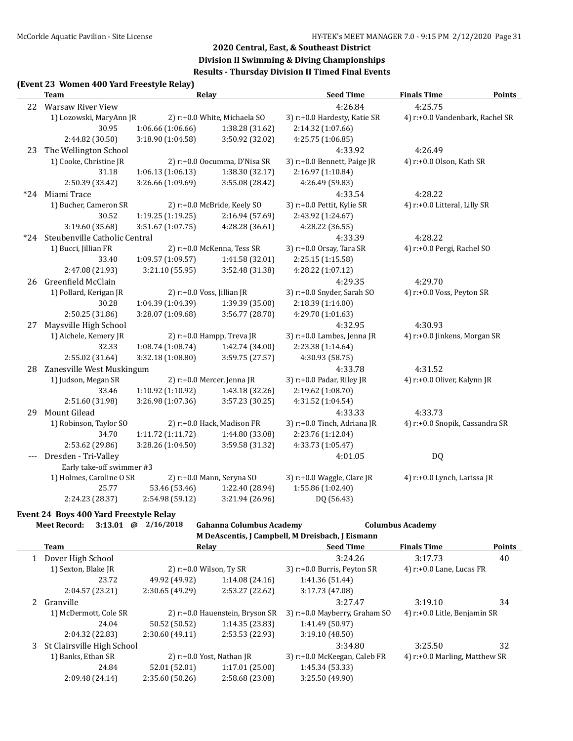### **Division II Swimming & Diving Championships Results - Thursday Division II Timed Final Events**

### **(Event 23 Women 400 Yard Freestyle Relay)**

|       | <b>Team</b>                   | <b>Relay</b>      |                              | <b>Seed Time</b>             | <b>Finals Time</b>              | <b>Points</b> |
|-------|-------------------------------|-------------------|------------------------------|------------------------------|---------------------------------|---------------|
|       | 22 Warsaw River View          |                   |                              | 4:26.84                      | 4:25.75                         |               |
|       | 1) Lozowski, MaryAnn JR       |                   | 2) r:+0.0 White, Michaela SO | 3) r:+0.0 Hardesty, Katie SR | 4) r:+0.0 Vandenbark, Rachel SR |               |
|       | 30.95                         | 1:06.66 (1:06.66) | 1:38.28 (31.62)              | 2:14.32 (1:07.66)            |                                 |               |
|       | 2:44.82 (30.50)               | 3:18.90 (1:04.58) | 3:50.92 (32.02)              | 4:25.75 (1:06.85)            |                                 |               |
| 23    | The Wellington School         |                   |                              | 4:33.92                      | 4:26.49                         |               |
|       | 1) Cooke, Christine JR        |                   | 2) r:+0.0 Oocumma, D'Nisa SR | 3) r:+0.0 Bennett, Paige JR  | 4) r:+0.0 Olson, Kath SR        |               |
|       | 31.18                         | 1:06.13 (1:06.13) | 1:38.30 (32.17)              | 2:16.97 (1:10.84)            |                                 |               |
|       | 2:50.39 (33.42)               | 3:26.66 (1:09.69) | 3:55.08 (28.42)              | 4:26.49 (59.83)              |                                 |               |
|       | *24 Miami Trace               |                   |                              | 4:33.54                      | 4:28.22                         |               |
|       | 1) Bucher, Cameron SR         |                   | 2) r:+0.0 McBride, Keely SO  | 3) r:+0.0 Pettit, Kylie SR   | 4) r:+0.0 Litteral, Lilly SR    |               |
|       | 30.52                         | 1:19.25 (1:19.25) | 2:16.94 (57.69)              | 2:43.92 (1:24.67)            |                                 |               |
|       | 3:19.60 (35.68)               | 3:51.67 (1:07.75) | 4:28.28 (36.61)              | 4:28.22 (36.55)              |                                 |               |
| *24   | Steubenville Catholic Central |                   |                              | 4:33.39                      | 4:28.22                         |               |
|       | 1) Bucci, Jillian FR          |                   | 2) r:+0.0 McKenna, Tess SR   | 3) r:+0.0 Orsay, Tara SR     | 4) r:+0.0 Pergi, Rachel SO      |               |
|       | 33.40                         | 1:09.57 (1:09.57) | 1:41.58 (32.01)              | 2:25.15 (1:15.58)            |                                 |               |
|       | 2:47.08 (21.93)               | 3:21.10 (55.95)   | 3:52.48 (31.38)              | 4:28.22 (1:07.12)            |                                 |               |
| 26    | Greenfield McClain            |                   |                              | 4:29.35                      | 4:29.70                         |               |
|       | 1) Pollard, Kerigan JR        |                   | 2) r:+0.0 Voss, Jillian JR   | 3) r:+0.0 Snyder, Sarah SO   | 4) r:+0.0 Voss, Peyton SR       |               |
|       | 30.28                         | 1:04.39 (1:04.39) | 1:39.39 (35.00)              | 2:18.39 (1:14.00)            |                                 |               |
|       | 2:50.25 (31.86)               | 3:28.07 (1:09.68) | 3:56.77 (28.70)              | 4:29.70 (1:01.63)            |                                 |               |
| 27    | Maysville High School         |                   |                              | 4:32.95                      | 4:30.93                         |               |
|       | 1) Aichele, Kemery JR         |                   | 2) r:+0.0 Hampp, Treva JR    | 3) r:+0.0 Lambes, Jenna JR   | 4) r:+0.0 Jinkens, Morgan SR    |               |
|       | 32.33                         | 1:08.74 (1:08.74) | 1:42.74 (34.00)              | 2:23.38 (1:14.64)            |                                 |               |
|       | 2:55.02 (31.64)               | 3:32.18 (1:08.80) | 3:59.75 (27.57)              | 4:30.93 (58.75)              |                                 |               |
| 28    | Zanesville West Muskingum     |                   |                              | 4:33.78                      | 4:31.52                         |               |
|       | 1) Judson, Megan SR           |                   | 2) r:+0.0 Mercer, Jenna JR   | 3) r:+0.0 Padar, Riley JR    | 4) r:+0.0 Oliver, Kalynn JR     |               |
|       | 33.46                         | 1:10.92 (1:10.92) | 1:43.18 (32.26)              | 2:19.62 (1:08.70)            |                                 |               |
|       | 2:51.60 (31.98)               | 3:26.98 (1:07.36) | 3:57.23 (30.25)              | 4:31.52 (1:04.54)            |                                 |               |
| 29    | Mount Gilead                  |                   |                              | 4:33.33                      | 4:33.73                         |               |
|       | 1) Robinson, Taylor SO        |                   | 2) r:+0.0 Hack, Madison FR   | 3) r:+0.0 Tinch, Adriana JR  | 4) r:+0.0 Snopik, Cassandra SR  |               |
|       | 34.70                         | 1:11.72 (1:11.72) | 1:44.80 (33.08)              | 2:23.76 (1:12.04)            |                                 |               |
|       | 2:53.62 (29.86)               | 3:28.26 (1:04.50) | 3:59.58 (31.32)              | 4:33.73 (1:05.47)            |                                 |               |
| $---$ | Dresden - Tri-Valley          |                   |                              | 4:01.05                      | DQ                              |               |
|       | Early take-off swimmer #3     |                   |                              |                              |                                 |               |
|       | 1) Holmes, Caroline O SR      |                   | 2) r:+0.0 Mann, Seryna SO    | 3) r:+0.0 Waggle, Clare JR   | 4) r:+0.0 Lynch, Larissa JR     |               |
|       | 25.77                         | 53.46 (53.46)     | 1:22.40 (28.94)              | 1:55.86 (1:02.40)            |                                 |               |
|       | 2:24.23 (28.37)               | 2:54.98 (59.12)   | 3:21.94 (26.96)              | DQ (56.43)                   |                                 |               |
|       |                               |                   |                              |                              |                                 |               |

#### **Event 24 Boys 400 Yard Freestyle Relay**

|      | <b>Meet Record:</b> | 3:13.01                    | @ | 2/16/2018      | <b>Gahanna Columbus Academy</b> |                                                  | <b>Columbus Academy</b>         |               |
|------|---------------------|----------------------------|---|----------------|---------------------------------|--------------------------------------------------|---------------------------------|---------------|
|      |                     |                            |   |                |                                 | M DeAscentis, J Campbell, M Dreisbach, J Eismann |                                 |               |
| Team |                     |                            |   |                | Relay                           | <b>Seed Time</b>                                 | <b>Finals Time</b>              | <b>Points</b> |
|      | Dover High School   |                            |   |                |                                 | 3:24.26                                          | 3:17.73                         | 40            |
|      | 1) Sexton, Blake JR |                            |   |                | 2) $r: +0.0$ Wilson, Ty SR      | 3) r:+0.0 Burris, Peyton SR                      | 4) $r: +0.0$ Lane, Lucas FR     |               |
|      |                     | 23.72                      |   | 49.92 (49.92)  | 1:14.08(24.16)                  | 1:41.36 (51.44)                                  |                                 |               |
|      |                     | 2:04.57 (23.21)            |   | 2:30.65(49.29) | 2:53.27 (22.62)                 | 3:17.73 (47.08)                                  |                                 |               |
| 2    | Granville           |                            |   |                |                                 | 3:27.47                                          | 3:19.10                         | 34            |
|      |                     | 1) McDermott, Cole SR      |   |                | 2) r:+0.0 Hauenstein, Bryson SR | 3) r:+0.0 Mayberry, Graham SO                    | 4) r:+0.0 Litle, Benjamin SR    |               |
|      |                     | 24.04                      |   | 50.52 (50.52)  | 1:14.35(23.83)                  | 1:41.49 (50.97)                                  |                                 |               |
|      |                     | 2:04.32 (22.83)            |   | 2:30.60(49.11) | 2:53.53 (22.93)                 | 3:19.10(48.50)                                   |                                 |               |
| 3    |                     | St Clairsville High School |   |                |                                 | 3:34.80                                          | 3:25.50                         | 32            |
|      | 1) Banks, Ethan SR  |                            |   |                | 2) $r: +0.0$ Yost, Nathan JR    | 3) r:+0.0 McKeegan, Caleb FR                     | 4) $r.+0.0$ Marling, Matthew SR |               |
|      |                     | 24.84                      |   | 52.01 (52.01)  | 1:17.01(25.00)                  | 1:45.34(53.33)                                   |                                 |               |
|      |                     | 2:09.48 (24.14)            |   | 2:35.60(50.26) | 2:58.68 (23.08)                 | 3:25.50 (49.90)                                  |                                 |               |
|      |                     |                            |   |                |                                 |                                                  |                                 |               |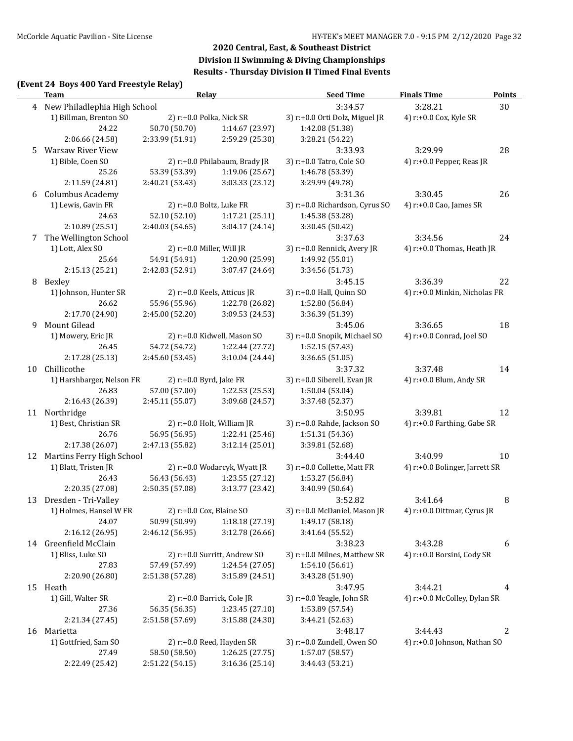### **(Event 24 Boys 400 Yard Freestyle Relay)**

|    | <u>Team</u>                    | Relay                        |                               | <b>Seed Time</b>                              | <b>Finals Time</b>             | <b>Points</b> |
|----|--------------------------------|------------------------------|-------------------------------|-----------------------------------------------|--------------------------------|---------------|
|    | 4 New Philadlephia High School |                              |                               | 3:34.57                                       | 3:28.21                        | 30            |
|    | 1) Billman, Brenton SO         |                              | 2) r:+0.0 Polka, Nick SR      | 3) r:+0.0 Orti Dolz, Miguel JR                | 4) r:+0.0 Cox, Kyle SR         |               |
|    | 24.22                          | 50.70 (50.70)                | 1:14.67 (23.97)               | 1:42.08 (51.38)                               |                                |               |
|    | 2:06.66 (24.58)                | 2:33.99 (51.91)              | 2:59.29 (25.30)               | 3:28.21 (54.22)                               |                                |               |
| 5. | <b>Warsaw River View</b>       |                              |                               | 3:33.93                                       | 3:29.99                        | 28            |
|    | 1) Bible, Coen SO              |                              | 2) r:+0.0 Philabaum, Brady JR | 3) r:+0.0 Tatro, Cole SO                      | 4) r:+0.0 Pepper, Reas JR      |               |
|    | 25.26                          | 53.39 (53.39)                | 1:19.06 (25.67)               | 1:46.78 (53.39)                               |                                |               |
|    | 2:11.59 (24.81)                | 2:40.21 (53.43)              | 3:03.33 (23.12)               | 3:29.99 (49.78)                               |                                |               |
|    | 6 Columbus Academy             |                              |                               | 3:31.36                                       | 3:30.45                        | 26            |
|    | 1) Lewis, Gavin FR             |                              | 2) r:+0.0 Boltz, Luke FR      | 3) r:+0.0 Richardson, Cyrus SO                | 4) r:+0.0 Cao, James SR        |               |
|    | 24.63                          | 52.10 (52.10)                | 1:17.21 (25.11)               | 1:45.38 (53.28)                               |                                |               |
|    | 2:10.89 (25.51)                | 2:40.03 (54.65)              | 3:04.17 (24.14)               | 3:30.45 (50.42)                               |                                |               |
| 7  | The Wellington School          |                              |                               | 3:37.63                                       | 3:34.56                        | 24            |
|    | 1) Lott, Alex SO               | 2) $r$ :+0.0 Miller, Will JR |                               | 3) r:+0.0 Rennick, Avery JR                   | 4) r:+0.0 Thomas, Heath JR     |               |
|    | 25.64                          | 54.91 (54.91)                | 1:20.90 (25.99)               | 1:49.92 (55.01)                               |                                |               |
|    | 2:15.13 (25.21)                | 2:42.83 (52.91)              | 3:07.47 (24.64)               | 3:34.56 (51.73)                               |                                |               |
| 8  | Bexley                         |                              |                               | 3:45.15                                       | 3:36.39                        | 22            |
|    | 1) Johnson, Hunter SR          |                              | 2) r:+0.0 Keels, Atticus JR   | 3) r:+0.0 Hall, Quinn SO                      | 4) r:+0.0 Minkin, Nicholas FR  |               |
|    | 26.62                          | 55.96 (55.96)                | 1:22.78 (26.82)               | 1:52.80 (56.84)                               |                                |               |
|    | 2:17.70 (24.90)                | 2:45.00 (52.20)              | 3:09.53 (24.53)               | 3:36.39 (51.39)                               |                                |               |
| 9  | Mount Gilead                   |                              |                               | 3:45.06                                       | 3:36.65                        | 18            |
|    | 1) Mowery, Eric JR             |                              | 2) r:+0.0 Kidwell, Mason SO   | 3) r:+0.0 Snopik, Michael SO                  | 4) r:+0.0 Conrad, Joel SO      |               |
|    | 26.45                          | 54.72 (54.72)                | 1:22.44 (27.72)               | 1:52.15 (57.43)                               |                                |               |
|    | 2:17.28 (25.13)                | 2:45.60 (53.45)              | 3:10.04 (24.44)               | 3:36.65 (51.05)                               |                                |               |
| 10 | Chillicothe                    |                              |                               | 3:37.32                                       | 3:37.48                        | 14            |
|    | 1) Harshbarger, Nelson FR      | 2) r:+0.0 Byrd, Jake FR      |                               | 3) r:+0.0 Siberell, Evan JR                   | 4) r:+0.0 Blum, Andy SR        |               |
|    | 26.83                          | 57.00 (57.00)                | 1:22.53 (25.53)               | 1:50.04 (53.04)                               |                                |               |
|    | 2:16.43 (26.39)                | 2:45.11 (55.07)              | 3:09.68 (24.57)               | 3:37.48 (52.37)                               |                                |               |
|    | 11 Northridge                  |                              |                               | 3:50.95                                       | 3:39.81                        | 12            |
|    | 1) Best, Christian SR          |                              | 2) r:+0.0 Holt, William JR    | 3) r:+0.0 Rahde, Jackson SO                   | 4) r:+0.0 Farthing, Gabe SR    |               |
|    | 26.76                          | 56.95 (56.95)                | 1:22.41 (25.46)               | 1:51.31 (54.36)                               |                                |               |
|    | 2:17.38 (26.07)                | 2:47.13 (55.82)              | 3:12.14(25.01)                | 3:39.81 (52.68)                               |                                |               |
|    | 12 Martins Ferry High School   |                              |                               | 3:44.40                                       | 3:40.99                        | 10            |
|    | 1) Blatt, Tristen JR           |                              | 2) r:+0.0 Wodarcyk, Wyatt JR  | 3) r:+0.0 Collette, Matt FR                   | 4) r:+0.0 Bolinger, Jarrett SR |               |
|    | 26.43                          | 56.43 (56.43)                | 1:23.55 (27.12)               | 1:53.27 (56.84)                               |                                |               |
|    | 2:20.35 (27.08)                | 2:50.35 (57.08)              | 3:13.77 (23.42)               | 3:40.99 (50.64)                               |                                |               |
|    | 13 Dresden - Tri-Valley        |                              |                               | 3:52.82                                       | 3:41.64                        | 8             |
|    | 1) Holmes, Hansel W FR         |                              | 2) r:+0.0 Cox, Blaine SO      | 3) r:+0.0 McDaniel, Mason JR                  | 4) r:+0.0 Dittmar, Cyrus JR    |               |
|    | 24.07                          | 50.99 (50.99)                | 1:18.18 (27.19)               | 1:49.17 (58.18)                               |                                |               |
|    | 2:16.12 (26.95)                | 2:46.12 (56.95)              | 3:12.78 (26.66)               | 3:41.64 (55.52)                               |                                |               |
|    | 14 Greenfield McClain          |                              |                               | 3:38.23                                       | 3:43.28                        | 6             |
|    | 1) Bliss, Luke SO              |                              | 2) r:+0.0 Surritt, Andrew SO  | 3) r:+0.0 Milnes, Matthew SR                  | 4) r:+0.0 Borsini, Cody SR     |               |
|    | 27.83                          | 57.49 (57.49)                | 1:24.54 (27.05)               | 1:54.10(56.61)                                |                                |               |
|    | 2:20.90 (26.80)                | 2:51.38 (57.28)              | 3:15.89 (24.51)               | 3:43.28 (51.90)                               |                                |               |
|    | 15 Heath                       |                              |                               | 3:47.95                                       | 3:44.21                        | 4             |
|    | 1) Gill, Walter SR             |                              | 2) r:+0.0 Barrick, Cole JR    | 3) r:+0.0 Yeagle, John SR                     | 4) r:+0.0 McColley, Dylan SR   |               |
|    | 27.36                          | 56.35 (56.35)                | 1:23.45 (27.10)               | 1:53.89 (57.54)                               |                                |               |
|    | 2:21.34 (27.45)                | 2:51.58 (57.69)              | 3:15.88 (24.30)               | 3:44.21 (52.63)                               |                                |               |
|    | 16 Marietta                    |                              |                               | 3:48.17                                       | 3:44.43                        | 2             |
|    | 1) Gottfried, Sam SO<br>27.49  | 58.50 (58.50)                | 2) r:+0.0 Reed, Hayden SR     | 3) r:+0.0 Zundell, Owen SO<br>1:57.07 (58.57) | 4) r:+0.0 Johnson, Nathan SO   |               |
|    |                                |                              | 1:26.25 (27.75)               |                                               |                                |               |
|    | 2:22.49 (25.42)                | 2:51.22 (54.15)              | 3:16.36 (25.14)               | 3:44.43 (53.21)                               |                                |               |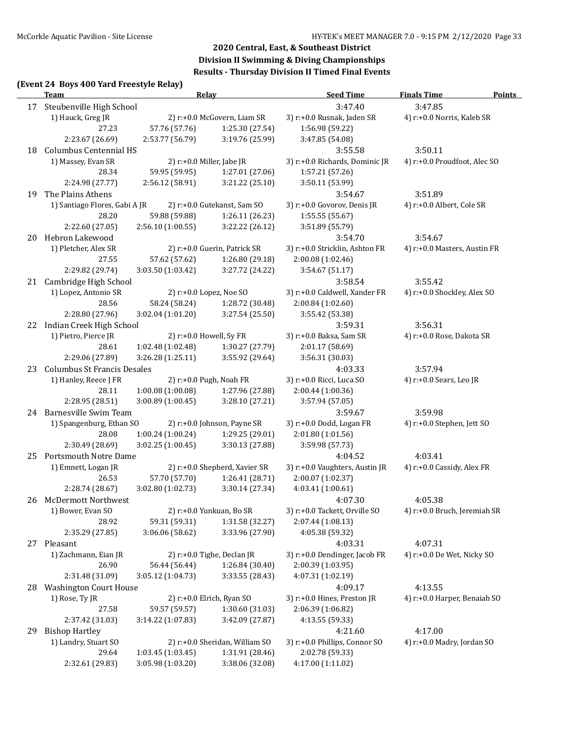#### **(Event 24 Boys 400 Yard Freestyle Relay)**

|    | $\frac{1}{2}$<br><b>Team</b>       |                   | <b>Relay</b>                   | <b>Seed Time</b>               | <b>Finals Time</b>           | <b>Points</b> |
|----|------------------------------------|-------------------|--------------------------------|--------------------------------|------------------------------|---------------|
| 17 | Steubenville High School           |                   |                                | 3:47.40                        | 3:47.85                      |               |
|    | 1) Hauck, Greg JR                  |                   | 2) r:+0.0 McGovern, Liam SR    | 3) r:+0.0 Rusnak, Jaden SR     | 4) r:+0.0 Norris, Kaleb SR   |               |
|    | 27.23                              | 57.76 (57.76)     | 1:25.30 (27.54)                | 1:56.98 (59.22)                |                              |               |
|    | 2:23.67 (26.69)                    | 2:53.77 (56.79)   | 3:19.76 (25.99)                | 3:47.85 (54.08)                |                              |               |
| 18 | Columbus Centennial HS             |                   |                                | 3:55.58                        | 3:50.11                      |               |
|    | 1) Massey, Evan SR                 |                   | 2) r:+0.0 Miller, Jabe JR      | 3) r:+0.0 Richards, Dominic JR | 4) r:+0.0 Proudfoot, Alec SO |               |
|    | 28.34                              | 59.95 (59.95)     | 1:27.01 (27.06)                | 1:57.21 (57.26)                |                              |               |
|    | 2:24.98 (27.77)                    | 2:56.12 (58.91)   | 3:21.22 (25.10)                | 3:50.11 (53.99)                |                              |               |
| 19 | The Plains Athens                  |                   |                                | 3:54.67                        | 3:51.89                      |               |
|    | 1) Santiago Flores, Gabi A JR      |                   | 2) r:+0.0 Gutekanst, Sam SO    | 3) r:+0.0 Govorov, Denis JR    | 4) r:+0.0 Albert, Cole SR    |               |
|    | 28.20                              | 59.88 (59.88)     | 1:26.11 (26.23)                | 1:55.55 (55.67)                |                              |               |
|    | 2:22.60 (27.05)                    | 2:56.10 (1:00.55) | 3:22.22 (26.12)                | 3:51.89 (55.79)                |                              |               |
|    | 20 Hebron Lakewood                 |                   |                                | 3:54.70                        | 3:54.67                      |               |
|    | 1) Pletcher, Alex SR               |                   | 2) r:+0.0 Guerin, Patrick SR   | 3) r:+0.0 Stricklin, Ashton FR | 4) r:+0.0 Masters, Austin FR |               |
|    | 27.55                              | 57.62 (57.62)     | 1:26.80 (29.18)                | 2:00.08 (1:02.46)              |                              |               |
|    | 2:29.82 (29.74)                    | 3:03.50 (1:03.42) | 3:27.72 (24.22)                | 3:54.67 (51.17)                |                              |               |
| 21 | Cambridge High School              |                   |                                | 3:58.54                        | 3:55.42                      |               |
|    | 1) Lopez, Antonio SR               |                   | 2) r:+0.0 Lopez, Noe SO        | 3) r:+0.0 Caldwell, Xander FR  | 4) r:+0.0 Shockley, Alex SO  |               |
|    | 28.56                              | 58.24 (58.24)     | 1:28.72 (30.48)                | 2:00.84 (1:02.60)              |                              |               |
|    | 2:28.80 (27.96)                    | 3:02.04 (1:01.20) | 3:27.54 (25.50)                | 3:55.42 (53.38)                |                              |               |
|    | 22 Indian Creek High School        |                   |                                | 3:59.31                        | 3:56.31                      |               |
|    | 1) Pietro, Pierce JR               |                   | 2) r:+0.0 Howell, Sy FR        | 3) r:+0.0 Baksa, Sam SR        | 4) r:+0.0 Rose, Dakota SR    |               |
|    | 28.61                              | 1:02.48 (1:02.48) | 1:30.27 (27.79)                | 2:01.17 (58.69)                |                              |               |
|    | 2:29.06 (27.89)                    | 3:26.28 (1:25.11) | 3:55.92 (29.64)                | 3:56.31 (30.03)                |                              |               |
| 23 | <b>Columbus St Francis Desales</b> |                   |                                | 4:03.33                        | 3:57.94                      |               |
|    | 1) Hanley, Reece J FR              |                   | 2) r:+0.0 Pugh, Noah FR        | 3) r:+0.0 Ricci, Luca SO       | 4) r:+0.0 Sears, Leo JR      |               |
|    | 28.11                              | 1:00.08 (1:00.08) | 1:27.96 (27.88)                | 2:00.44 (1:00.36)              |                              |               |
|    | 2:28.95 (28.51)                    | 3:00.89 (1:00.45) | 3:28.10 (27.21)                | 3:57.94 (57.05)                |                              |               |
|    | 24 Barnesville Swim Team           |                   |                                | 3:59.67                        | 3:59.98                      |               |
|    | 1) Spangenburg, Ethan SO           |                   | 2) r:+0.0 Johnson, Payne SR    | 3) r:+0.0 Dodd, Logan FR       | 4) r:+0.0 Stephen, Jett SO   |               |
|    | 28.08                              | 1:00.24 (1:00.24) | 1:29.25 (29.01)                | 2:01.80 (1:01.56)              |                              |               |
|    | 2:30.49 (28.69)                    | 3:02.25 (1:00.45) | 3:30.13 (27.88)                | 3:59.98 (57.73)                |                              |               |
| 25 | <b>Portsmouth Notre Dame</b>       |                   |                                | 4:04.52                        | 4:03.41                      |               |
|    | 1) Emnett, Logan JR                |                   | 2) r:+0.0 Shepherd, Xavier SR  | 3) r:+0.0 Vaughters, Austin JR | 4) r:+0.0 Cassidy, Alex FR   |               |
|    | 26.53                              | 57.70 (57.70)     | 1:26.41 (28.71)                | 2:00.07 (1:02.37)              |                              |               |
|    | 2:28.74 (28.67)                    | 3:02.80 (1:02.73) | 3:30.14 (27.34)                | 4:03.41 (1:00.61)              |                              |               |
| 26 | <b>McDermott Northwest</b>         |                   |                                | 4:07.30                        | 4:05.38                      |               |
|    | 1) Bower, Evan SO                  |                   | 2) r:+0.0 Yunkuan, Bo SR       | 3) r:+0.0 Tackett, Orville SO  | 4) r:+0.0 Bruch, Jeremiah SR |               |
|    | 28.92                              | 59.31 (59.31)     | 1:31.58 (32.27)                | 2:07.44 (1:08.13)              |                              |               |
|    | 2:35.29 (27.85)                    | 3:06.06 (58.62)   | 3:33.96 (27.90)                | 4:05.38 (59.32)                |                              |               |
| 27 | Pleasant                           |                   |                                | 4:03.31                        | 4:07.31                      |               |
|    | 1) Zachmann, Eian JR               |                   | 2) $r: +0.0$ Tighe, Declan JR  | 3) r:+0.0 Dendinger, Jacob FR  | 4) r:+0.0 De Wet, Nicky SO   |               |
|    | 26.90                              | 56.44 (56.44)     | 1:26.84 (30.40)                | 2:00.39 (1:03.95)              |                              |               |
|    | 2:31.48 (31.09)                    | 3:05.12 (1:04.73) | 3:33.55 (28.43)                | 4:07.31 (1:02.19)              |                              |               |
| 28 | <b>Washington Court House</b>      |                   |                                | 4:09.17                        | 4:13.55                      |               |
|    | 1) Rose, Ty JR                     |                   | 2) r:+0.0 Elrich, Ryan SO      | 3) r:+0.0 Hines, Preston JR    | 4) r:+0.0 Harper, Benaiah SO |               |
|    | 27.58                              | 59.57 (59.57)     | 1:30.60 (31.03)                | 2:06.39 (1:06.82)              |                              |               |
|    | 2:37.42 (31.03)                    | 3:14.22 (1:07.83) | 3:42.09 (27.87)                | 4:13.55 (59.33)                |                              |               |
| 29 | <b>Bishop Hartley</b>              |                   |                                | 4:21.60                        | 4:17.00                      |               |
|    | 1) Landry, Stuart SO               |                   | 2) r:+0.0 Sheridan, William SO | 3) r:+0.0 Phillips, Connor SO  | 4) r:+0.0 Madry, Jordan SO   |               |
|    | 29.64                              | 1:03.45 (1:03.45) | 1:31.91 (28.46)                | 2:02.78 (59.33)                |                              |               |
|    | 2:32.61 (29.83)                    | 3:05.98 (1:03.20) | 3:38.06 (32.08)                | 4:17.00 (1:11.02)              |                              |               |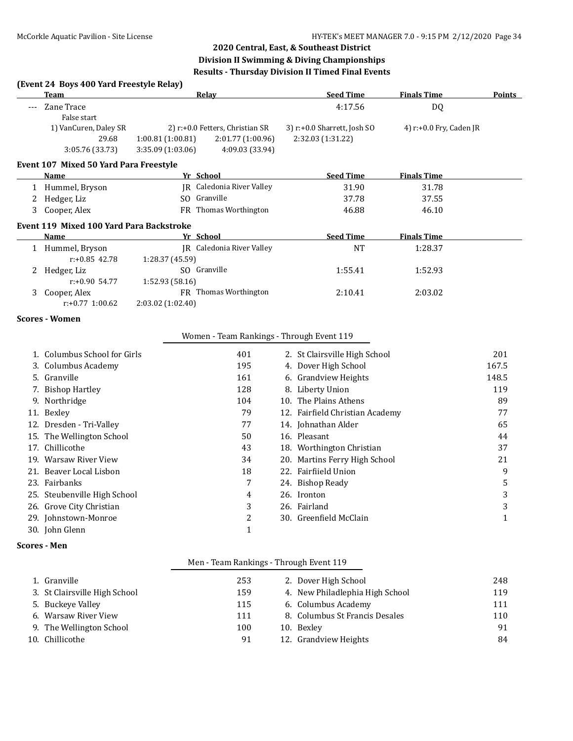#### **(Event 24 Boys 400 Yard Freestyle Relay)**

| Team                                            | Relav                                | <b>Seed Time</b>                  | <b>Finals Time</b>         | Points |
|-------------------------------------------------|--------------------------------------|-----------------------------------|----------------------------|--------|
| Zane Trace                                      |                                      | 4:17.56                           | DQ                         |        |
| False start                                     |                                      |                                   |                            |        |
| 1) VanCuren, Daley SR                           | 2) r:+0.0 Fetters, Christian SR      | $3$ ) r: $+0.0$ Sharrett, Josh SO | 4) $r: +0.0$ Fry, Caden JR |        |
| 29.68                                           | 2:01.77(1:00.96)<br>1:00.81(1:00.81) | 2:32.03 (1:31.22)                 |                            |        |
| 3:05.76 (33.73)                                 | 4:09.03 (33.94)<br>3:35.09(1:03.06)  |                                   |                            |        |
| Event 107 Mixed 50 Yard Para Freestyle          |                                      |                                   |                            |        |
| Name                                            | Yr School                            | <b>Seed Time</b>                  | <b>Finals Time</b>         |        |
| 1 Hummel, Bryson                                | IR Caledonia River Valley            | 31.90                             | 31.78                      |        |
| Hedger, Liz                                     | Granville<br>SO.                     | 37.78                             | 37.55                      |        |
| 3 Cooper, Alex                                  | <b>FR</b> Thomas Worthington         | 46.88                             | 46.10                      |        |
| <b>Event 119 Mixed 100 Yard Para Backstroke</b> |                                      |                                   |                            |        |
| Name                                            | Yr School                            | <b>Seed Time</b>                  | <b>Finals Time</b>         |        |
| Hummel, Bryson                                  | IR Caledonia River Valley            | NT                                | 1:28.37                    |        |

| $r: +0.85$ 42.78   | 1:28.37(45.59)               |         |         |  |
|--------------------|------------------------------|---------|---------|--|
| Hedger, Liz        | SO Granville                 | 1:55.41 | 1:52.93 |  |
| $r: +0.90$ 54.77   | 1:52.93(58.16)               |         |         |  |
| 3 Cooper, Alex     | <b>FR</b> Thomas Worthington | 2:10.41 | 2:03.02 |  |
| $r: +0.77$ 1:00.62 | 2:03.02(1:02.40)             |         |         |  |

#### **Scores - Women**

#### Women - Team Rankings - Through Event 119

| 1. Columbus School for Girls | 401 | 2. St Clairsville High School   | 201   |
|------------------------------|-----|---------------------------------|-------|
| 3. Columbus Academy          | 195 | 4. Dover High School            | 167.5 |
| 5. Granville                 | 161 | 6. Grandview Heights            | 148.5 |
| 7. Bishop Hartley            | 128 | 8. Liberty Union                | 119   |
| 9. Northridge                | 104 | 10. The Plains Athens           | 89    |
| 11. Bexley                   | 79  | 12. Fairfield Christian Academy | 77    |
| 12. Dresden - Tri-Valley     | 77  | 14. Johnathan Alder             | 65    |
| 15. The Wellington School    | 50  | 16. Pleasant                    | 44    |
| 17. Chillicothe              | 43  | 18. Worthington Christian       | 37    |
| 19. Warsaw River View        | 34  | 20. Martins Ferry High School   | 21    |
| 21. Beaver Local Lisbon      | 18  | 22. Fairfiield Union            | 9     |
| 23. Fairbanks                | 7   | 24. Bishop Ready                | 5     |
| 25. Steubenville High School | 4   | 26. Ironton                     | 3     |
| 26. Grove City Christian     | 3   | 26. Fairland                    | 3     |
| 29. Johnstown-Monroe         | 2   | 30. Greenfield McClain          | 1     |
| 30. John Glenn               |     |                                 |       |

#### **Scores - Men**

#### Men - Team Rankings - Through Event 119

| 253                                                                                                                                       | 2. Dover High School            | 248 |
|-------------------------------------------------------------------------------------------------------------------------------------------|---------------------------------|-----|
| 159                                                                                                                                       | 4. New Philadlephia High School | 119 |
| 115                                                                                                                                       | 6. Columbus Academy             | 111 |
| 111                                                                                                                                       | 8. Columbus St Francis Desales  | 110 |
| 100                                                                                                                                       | 10. Bexley                      | 91  |
| 91                                                                                                                                        | 12. Grandview Heights           | 84  |
| 1. Granville<br>3. St Clairsville High School<br>5. Buckeye Valley<br>6. Warsaw River View<br>9. The Wellington School<br>10. Chillicothe |                                 |     |